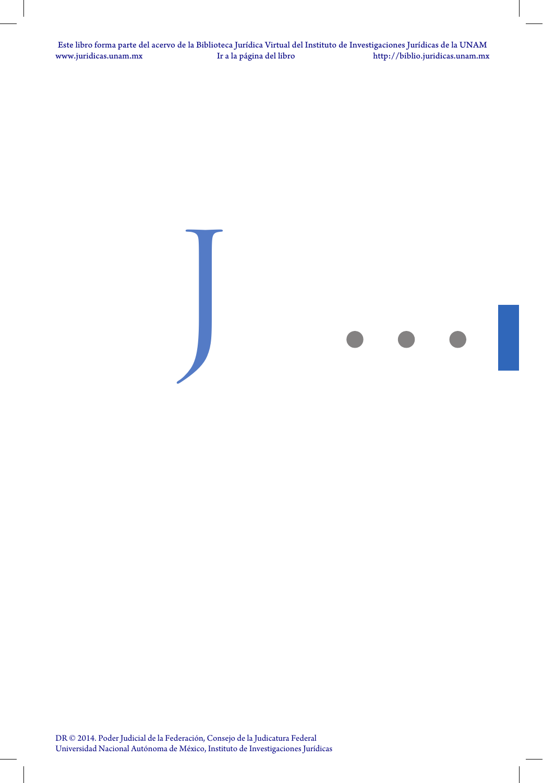www.juridicas.unam.mx Ir a la página del libro Este libro forma parte del acervo de la Biblioteca Jurídica Virtual del Instituto de Investigaciones Jurídicas de la UNAM [http://biblio.juridicas.unam.mx](http://biblio.juridicas.unam.mx/)

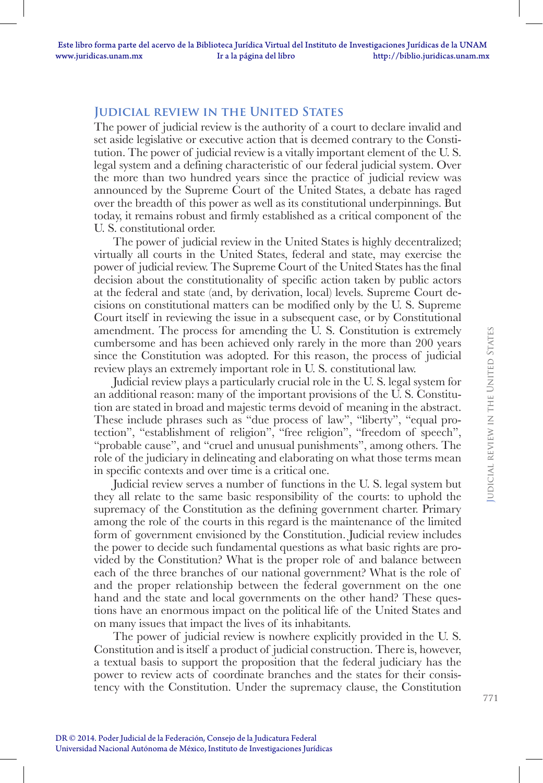### **Judicial review in the United States**

The power of judicial review is the authority of a court to declare invalid and set aside legislative or executive action that is deemed contrary to the Constitution. The power of judicial review is a vitally important element of the U. S. legal system and a defining characteristic of our federal judicial system. Over the more than two hundred years since the practice of judicial review was announced by the Supreme Court of the United States, a debate has raged over the breadth of this power as well as its constitutional underpinnings. But today, it remains robust and firmly established as a critical component of the U. S. constitutional order.

The power of judicial review in the United States is highly decentralized; virtually all courts in the United States, federal and state, may exercise the power of judicial review. The Supreme Court of the United States has the final decision about the constitutionality of specific action taken by public actors at the federal and state (and, by derivation, local) levels. Supreme Court decisions on constitutional matters can be modified only by the U. S. Supreme Court itself in reviewing the issue in a subsequent case, or by Constitutional amendment. The process for amending the U. S. Constitution is extremely cumbersome and has been achieved only rarely in the more than 200 years since the Constitution was adopted. For this reason, the process of judicial review plays an extremely important role in U. S. constitutional law.

Judicial review plays a particularly crucial role in the U. S. legal system for an additional reason: many of the important provisions of the U. S. Constitution are stated in broad and majestic terms devoid of meaning in the abstract. These include phrases such as "due process of law", "liberty", "equal protection", "establishment of religion", "free religion", "freedom of speech", "probable cause", and "cruel and unusual punishments", among others. The role of the judiciary in delineating and elaborating on what those terms mean in specific contexts and over time is a critical one.

Judicial review serves a number of functions in the U. S. legal system but they all relate to the same basic responsibility of the courts: to uphold the supremacy of the Constitution as the defining government charter. Primary among the role of the courts in this regard is the maintenance of the limited form of government envisioned by the Constitution. Judicial review includes the power to decide such fundamental questions as what basic rights are provided by the Constitution? What is the proper role of and balance between each of the three branches of our national government? What is the role of and the proper relationship between the federal government on the one hand and the state and local governments on the other hand? These questions have an enormous impact on the political life of the United States and on many issues that impact the lives of its inhabitants.

The power of judicial review is nowhere explicitly provided in the U. S. Constitution and is itself a product of judicial construction. There is, however, a textual basis to support the proposition that the federal judiciary has the power to review acts of coordinate branches and the states for their consistency with the Constitution. Under the supremacy clause, the Constitution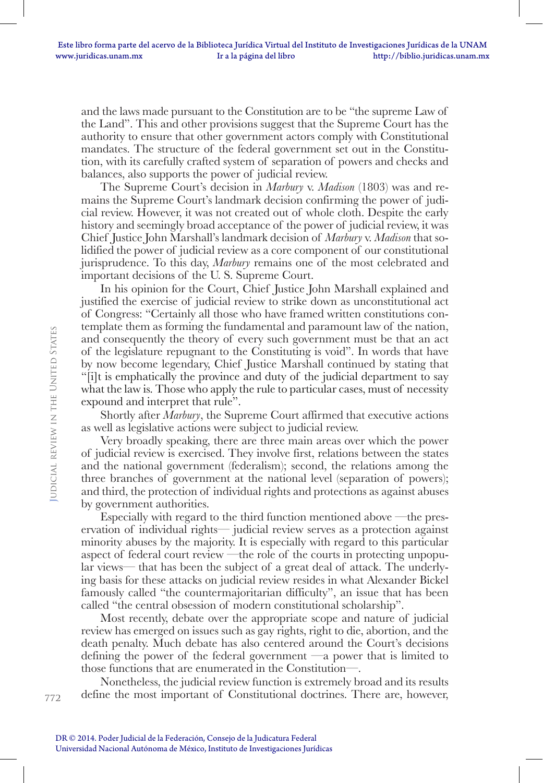and the laws made pursuant to the Constitution are to be "the supreme Law of the Land". This and other provisions suggest that the Supreme Court has the authority to ensure that other government actors comply with Constitutional mandates. The structure of the federal government set out in the Constitution, with its carefully crafted system of separation of powers and checks and balances, also supports the power of judicial review.

The Supreme Court's decision in *Marbury* v. *Madison* (1803) was and remains the Supreme Court's landmark decision confirming the power of judicial review. However, it was not created out of whole cloth. Despite the early history and seemingly broad acceptance of the power of judicial review, it was Chief Justice John Marshall's landmark decision of *Marbury* v. *Madison* that solidified the power of judicial review as a core component of our constitutional jurisprudence. To this day, *Marbury* remains one of the most celebrated and important decisions of the U. S. Supreme Court.

In his opinion for the Court, Chief Justice John Marshall explained and justified the exercise of judicial review to strike down as unconstitutional act of Congress: "Certainly all those who have framed written constitutions contemplate them as forming the fundamental and paramount law of the nation, and consequently the theory of every such government must be that an act of the legislature repugnant to the Constituting is void". In words that have by now become legendary, Chief Justice Marshall continued by stating that "[i]t is emphatically the province and duty of the judicial department to say what the law is. Those who apply the rule to particular cases, must of necessity expound and interpret that rule".

Shortly after *Marbury*, the Supreme Court affirmed that executive actions as well as legislative actions were subject to judicial review.

Very broadly speaking, there are three main areas over which the power of judicial review is exercised. They involve first, relations between the states and the national government (federalism); second, the relations among the three branches of government at the national level (separation of powers); and third, the protection of individual rights and protections as against abuses by government authorities.

Especially with regard to the third function mentioned above —the preservation of individual rights— judicial review serves as a protection against minority abuses by the majority. It is especially with regard to this particular aspect of federal court review —the role of the courts in protecting unpopular views— that has been the subject of a great deal of attack. The underlying basis for these attacks on judicial review resides in what Alexander Bickel famously called "the countermajoritarian difficulty", an issue that has been called "the central obsession of modern constitutional scholarship".

Most recently, debate over the appropriate scope and nature of judicial review has emerged on issues such as gay rights, right to die, abortion, and the death penalty. Much debate has also centered around the Court's decisions defining the power of the federal government —a power that is limited to those functions that are enumerated in the Constitution—.

Nonetheless, the judicial review function is extremely broad and its results define the most important of Constitutional doctrines. There are, however,

DR © 2014. Poder Judicial de la Federación, Consejo de la Judicatura Federal Universidad Nacional Autónoma de México, Instituto de Investigaciones Jurídicas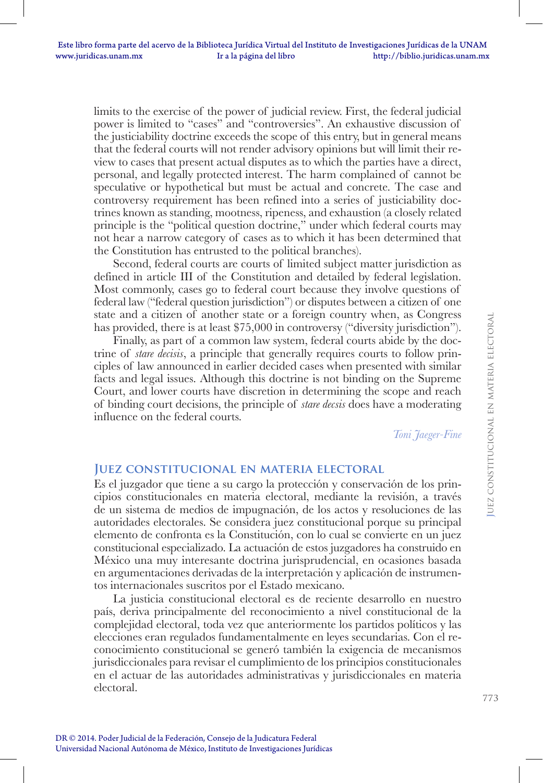limits to the exercise of the power of judicial review. First, the federal judicial power is limited to "cases" and "controversies". An exhaustive discussion of the justiciability doctrine exceeds the scope of this entry, but in general means that the federal courts will not render advisory opinions but will limit their review to cases that present actual disputes as to which the parties have a direct, personal, and legally protected interest. The harm complained of cannot be speculative or hypothetical but must be actual and concrete. The case and controversy requirement has been refined into a series of justiciability doctrines known as standing, mootness, ripeness, and exhaustion (a closely related principle is the "political question doctrine," under which federal courts may not hear a narrow category of cases as to which it has been determined that the Constitution has entrusted to the political branches).

Second, federal courts are courts of limited subject matter jurisdiction as defined in article III of the Constitution and detailed by federal legislation. Most commonly, cases go to federal court because they involve questions of federal law ("federal question jurisdiction") or disputes between a citizen of one state and a citizen of another state or a foreign country when, as Congress has provided, there is at least \$75,000 in controversy ("diversity jurisdiction").

Finally, as part of a common law system, federal courts abide by the doctrine of *stare decisis*, a principle that generally requires courts to follow principles of law announced in earlier decided cases when presented with similar facts and legal issues. Although this doctrine is not binding on the Supreme Court, and lower courts have discretion in determining the scope and reach of binding court decisions, the principle of *stare decsis* does have a moderating influence on the federal courts.

*Toni Jaeger-Fine*

#### **Juez constitucional en materia electoral**

Es el juzgador que tiene a su cargo la protección y conservación de los principios constitucionales en materia electoral, mediante la revisión, a través de un sistema de medios de impugnación, de los actos y resoluciones de las autoridades electorales. Se considera juez constitucional porque su principal elemento de confronta es la Constitución, con lo cual se convierte en un juez constitucional especializado. La actuación de estos juzgadores ha construido en México una muy interesante doctrina jurisprudencial, en ocasiones basada en argumentaciones derivadas de la interpretación y aplicación de instrumentos internacionales suscritos por el Estado mexicano.

La justicia constitucional electoral es de reciente desarrollo en nuestro país, deriva principalmente del reconocimiento a nivel constitucional de la complejidad electoral, toda vez que anteriormente los partidos políticos y las elecciones eran regulados fundamentalmente en leyes secundarias. Con el reconocimiento constitucional se generó también la exigencia de mecanismos jurisdiccionales para revisar el cumplimiento de los principios constitucionales en el actuar de las autoridades administrativas y jurisdiccionales en materia electoral.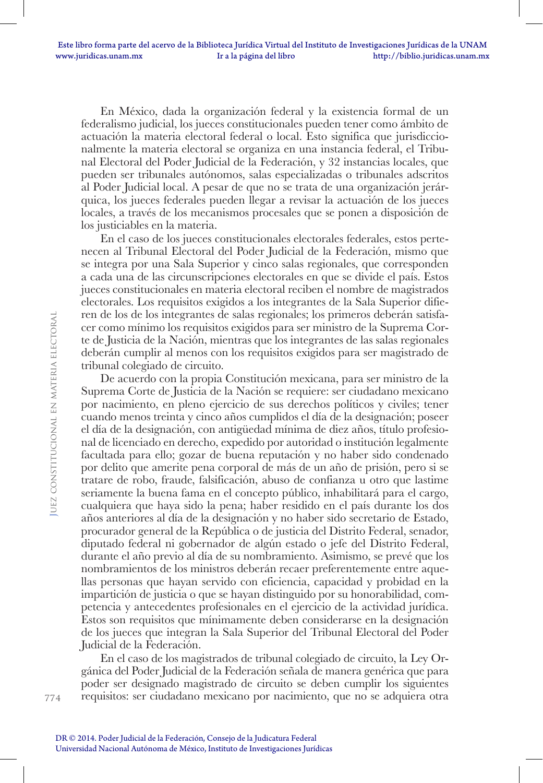En México, dada la organización federal y la existencia formal de un federalismo judicial, los jueces constitucionales pueden tener como ámbito de actuación la materia electoral federal o local. Esto significa que jurisdiccionalmente la materia electoral se organiza en una instancia federal, el Tribunal Electoral del Poder Judicial de la Federación, y 32 instancias locales, que pueden ser tribunales autónomos, salas especializadas o tribunales adscritos al Poder Judicial local. A pesar de que no se trata de una organización jerárquica, los jueces federales pueden llegar a revisar la actuación de los jueces locales, a través de los mecanismos procesales que se ponen a disposición de los justiciables en la materia.

En el caso de los jueces constitucionales electorales federales, estos pertenecen al Tribunal Electoral del Poder Judicial de la Federación, mismo que se integra por una Sala Superior y cinco salas regionales, que corresponden a cada una de las circunscripciones electorales en que se divide el país. Estos jueces constitucionales en materia electoral reciben el nombre de magistrados electorales. Los requisitos exigidos a los integrantes de la Sala Superior difieren de los de los integrantes de salas regionales; los primeros deberán satisfacer como mínimo los requisitos exigidos para ser ministro de la Suprema Corte de Justicia de la Nación, mientras que los integrantes de las salas regionales deberán cumplir al menos con los requisitos exigidos para ser magistrado de tribunal colegiado de circuito.

De acuerdo con la propia Constitución mexicana, para ser ministro de la Suprema Corte de Justicia de la Nación se requiere: ser ciudadano mexicano por nacimiento, en pleno ejercicio de sus derechos políticos y civiles; tener cuando menos treinta y cinco años cumplidos el día de la designación; poseer el día de la designación, con antigüedad mínima de diez años, título profesional de licenciado en derecho, expedido por autoridad o institución legalmente facultada para ello; gozar de buena reputación y no haber sido condenado por delito que amerite pena corporal de más de un año de prisión, pero si se tratare de robo, fraude, falsificación, abuso de confianza u otro que lastime seriamente la buena fama en el concepto público, inhabilitará para el cargo, cualquiera que haya sido la pena; haber residido en el país durante los dos años anteriores al día de la designación y no haber sido secretario de Estado, procurador general de la República o de justicia del Distrito Federal, senador, diputado federal ni gobernador de algún estado o jefe del Distrito Federal, durante el año previo al día de su nombramiento. Asimismo, se prevé que los nombramientos de los ministros deberán recaer preferentemente entre aquellas personas que hayan servido con eficiencia, capacidad y probidad en la impartición de justicia o que se hayan distinguido por su honorabilidad, competencia y antecedentes profesionales en el ejercicio de la actividad jurídica. Estos son requisitos que mínimamente deben considerarse en la designación de los jueces que integran la Sala Superior del Tribunal Electoral del Poder Judicial de la Federación.

En el caso de los magistrados de tribunal colegiado de circuito, la Ley Orgánica del Poder Judicial de la Federación señala de manera genérica que para poder ser designado magistrado de circuito se deben cumplir los siguientes requisitos: ser ciudadano mexicano por nacimiento, que no se adquiera otra

774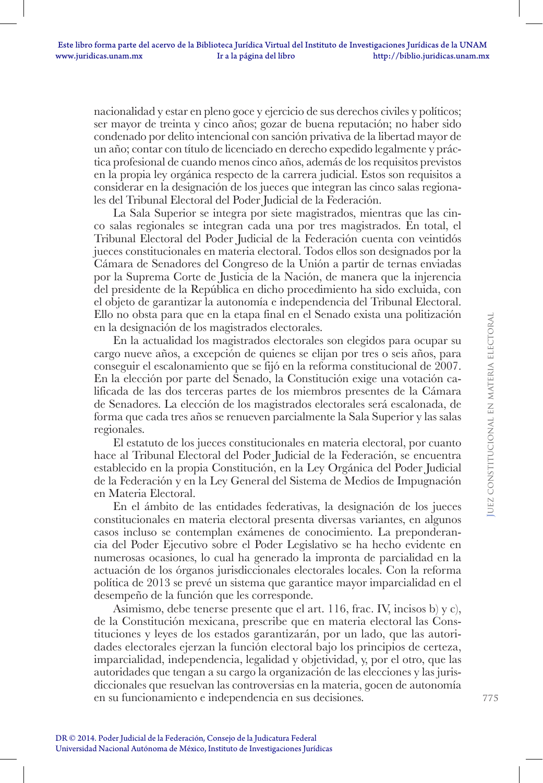nacionalidad y estar en pleno goce y ejercicio de sus derechos civiles y políticos; ser mayor de treinta y cinco años; gozar de buena reputación; no haber sido condenado por delito intencional con sanción privativa de la libertad mayor de un año; contar con título de licenciado en derecho expedido legalmente y práctica profesional de cuando menos cinco años, además de los requisitos previstos en la propia ley orgánica respecto de la carrera judicial. Estos son requisitos a considerar en la designación de los jueces que integran las cinco salas regionales del Tribunal Electoral del Poder Judicial de la Federación.

La Sala Superior se integra por siete magistrados, mientras que las cinco salas regionales se integran cada una por tres magistrados. En total, el Tribunal Electoral del Poder Judicial de la Federación cuenta con veintidós jueces constitucionales en materia electoral. Todos ellos son designados por la Cámara de Senadores del Congreso de la Unión a partir de ternas enviadas por la Suprema Corte de Justicia de la Nación, de manera que la injerencia del presidente de la República en dicho procedimiento ha sido excluida, con el objeto de garantizar la autonomía e independencia del Tribunal Electoral. Ello no obsta para que en la etapa final en el Senado exista una politización en la designación de los magistrados electorales.

En la actualidad los magistrados electorales son elegidos para ocupar su cargo nueve años, a excepción de quienes se elijan por tres o seis años, para conseguir el escalonamiento que se fijó en la reforma constitucional de 2007. En la elección por parte del Senado, la Constitución exige una votación calificada de las dos terceras partes de los miembros presentes de la Cámara de Senadores. La elección de los magistrados electorales será escalonada, de forma que cada tres años se renueven parcialmente la Sala Superior y las salas regionales.

El estatuto de los jueces constitucionales en materia electoral, por cuanto hace al Tribunal Electoral del Poder Judicial de la Federación, se encuentra establecido en la propia Constitución, en la Ley Orgánica del Poder Judicial de la Federación y en la Ley General del Sistema de Medios de Impugnación en Materia Electoral.

En el ámbito de las entidades federativas, la designación de los jueces constitucionales en materia electoral presenta diversas variantes, en algunos casos incluso se contemplan exámenes de conocimiento. La preponderancia del Poder Ejecutivo sobre el Poder Legislativo se ha hecho evidente en numerosas ocasiones, lo cual ha generado la impronta de parcialidad en la actuación de los órganos jurisdiccionales electorales locales. Con la reforma política de 2013 se prevé un sistema que garantice mayor imparcialidad en el desempeño de la función que les corresponde.

Asimismo, debe tenerse presente que el art. 116, frac. IV, incisos b) y c), de la Constitución mexicana, prescribe que en materia electoral las Constituciones y leyes de los estados garantizarán, por un lado, que las autoridades electorales ejerzan la función electoral bajo los principios de certeza, imparcialidad, independencia, legalidad y objetividad, y, por el otro, que las autoridades que tengan a su cargo la organización de las elecciones y las jurisdiccionales que resuelvan las controversias en la materia, gocen de autonomía en su funcionamiento e independencia en sus decisiones.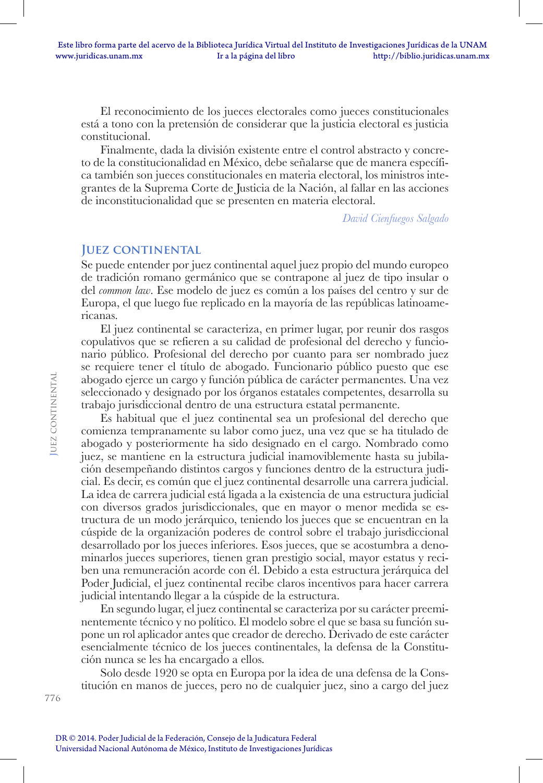El reconocimiento de los jueces electorales como jueces constitucionales está a tono con la pretensión de considerar que la justicia electoral es justicia constitucional.

Finalmente, dada la división existente entre el control abstracto y concreto de la constitucionalidad en México, debe señalarse que de manera específica también son jueces constitucionales en materia electoral, los ministros integrantes de la Suprema Corte de Justicia de la Nación, al fallar en las acciones de inconstitucionalidad que se presenten en materia electoral.

*David Cienfuegos Salgado*

#### **JUEZ CONTINENTAL**

Se puede entender por juez continental aquel juez propio del mundo europeo de tradición romano germánico que se contrapone al juez de tipo insular o del *common law*. Ese modelo de juez es común a los países del centro y sur de Europa, el que luego fue replicado en la mayoría de las repúblicas latinoamericanas.

El juez continental se caracteriza, en primer lugar, por reunir dos rasgos copulativos que se refieren a su calidad de profesional del derecho y funcionario público. Profesional del derecho por cuanto para ser nombrado juez se requiere tener el título de abogado. Funcionario público puesto que ese abogado ejerce un cargo y función pública de carácter permanentes. Una vez seleccionado y designado por los órganos estatales competentes, desarrolla su trabajo jurisdiccional dentro de una estructura estatal permanente.

Es habitual que el juez continental sea un profesional del derecho que comienza tempranamente su labor como juez, una vez que se ha titulado de abogado y posteriormente ha sido designado en el cargo. Nombrado como juez, se mantiene en la estructura judicial inamoviblemente hasta su jubilación desempeñando distintos cargos y funciones dentro de la estructura judicial. Es decir, es común que el juez continental desarrolle una carrera judicial. La idea de carrera judicial está ligada a la existencia de una estructura judicial con diversos grados jurisdiccionales, que en mayor o menor medida se estructura de un modo jerárquico, teniendo los jueces que se encuentran en la cúspide de la organización poderes de control sobre el trabajo jurisdiccional desarrollado por los jueces inferiores. Esos jueces, que se acostumbra a denominarlos jueces superiores, tienen gran prestigio social, mayor estatus y reciben una remuneración acorde con él. Debido a esta estructura jerárquica del Poder Judicial, el juez continental recibe claros incentivos para hacer carrera judicial intentando llegar a la cúspide de la estructura.

En segundo lugar, el juez continental se caracteriza por su carácter preeminentemente técnico y no político. El modelo sobre el que se basa su función supone un rol aplicador antes que creador de derecho. Derivado de este carácter esencialmente técnico de los jueces continentales, la defensa de la Constitución nunca se les ha encargado a ellos.

Solo desde 1920 se opta en Europa por la idea de una defensa de la Constitución en manos de jueces, pero no de cualquier juez, sino a cargo del juez

**J**uez continental

**JUEZ CONTINENTAL**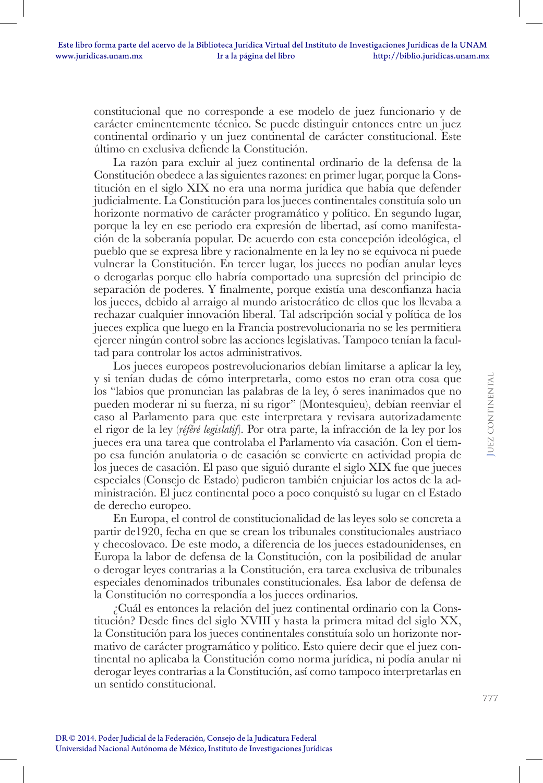constitucional que no corresponde a ese modelo de juez funcionario y de carácter eminentemente técnico. Se puede distinguir entonces entre un juez continental ordinario y un juez continental de carácter constitucional. Este último en exclusiva defiende la Constitución.

La razón para excluir al juez continental ordinario de la defensa de la Constitución obedece a las siguientes razones: en primer lugar, porque la Constitución en el siglo XIX no era una norma jurídica que había que defender judicialmente. La Constitución para los jueces continentales constituía solo un horizonte normativo de carácter programático y político. En segundo lugar, porque la ley en ese periodo era expresión de libertad, así como manifestación de la soberanía popular. De acuerdo con esta concepción ideológica, el pueblo que se expresa libre y racionalmente en la ley no se equivoca ni puede vulnerar la Constitución. En tercer lugar, los jueces no podían anular leyes o derogarlas porque ello habría comportado una supresión del principio de separación de poderes. Y finalmente, porque existía una desconfianza hacia los jueces, debido al arraigo al mundo aristocrático de ellos que los llevaba a rechazar cualquier innovación liberal. Tal adscripción social y política de los jueces explica que luego en la Francia postrevolucionaria no se les permitiera ejercer ningún control sobre las acciones legislativas. Tampoco tenían la facultad para controlar los actos administrativos.

Los jueces europeos postrevolucionarios debían limitarse a aplicar la ley, y si tenían dudas de cómo interpretarla, como estos no eran otra cosa que los "labios que pronuncian las palabras de la ley, ó seres inanimados que no pueden moderar ni su fuerza, ni su rigor" (Montesquieu), debían reenviar el caso al Parlamento para que este interpretara y revisara autorizadamente el rigor de la ley (*référé legislatif*). Por otra parte, la infracción de la ley por los jueces era una tarea que controlaba el Parlamento vía casación. Con el tiempo esa función anulatoria o de casación se convierte en actividad propia de los jueces de casación. El paso que siguió durante el siglo XIX fue que jueces especiales (Consejo de Estado) pudieron también enjuiciar los actos de la administración. El juez continental poco a poco conquistó su lugar en el Estado de derecho europeo.

En Europa, el control de constitucionalidad de las leyes solo se concreta a partir de1920, fecha en que se crean los tribunales constitucionales austriaco y checoslovaco. De este modo, a diferencia de los jueces estadounidenses, en Europa la labor de defensa de la Constitución, con la posibilidad de anular o derogar leyes contrarias a la Constitución, era tarea exclusiva de tribunales especiales denominados tribunales constitucionales. Esa labor de defensa de la Constitución no correspondía a los jueces ordinarios.

¿Cuál es entonces la relación del juez continental ordinario con la Constitución? Desde fines del siglo XVIII y hasta la primera mitad del siglo XX, la Constitución para los jueces continentales constituía solo un horizonte normativo de carácter programático y político. Esto quiere decir que el juez continental no aplicaba la Constitución como norma jurídica, ni podía anular ni derogar leyes contrarias a la Constitución, así como tampoco interpretarlas en un sentido constitucional.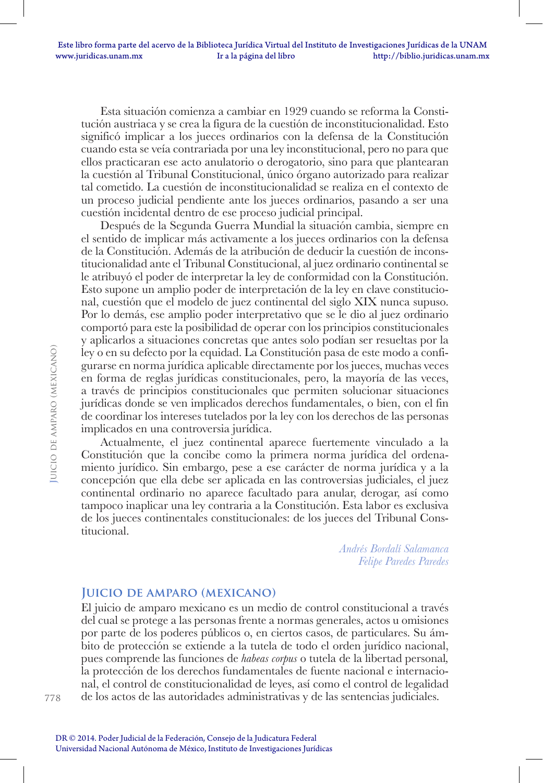Esta situación comienza a cambiar en 1929 cuando se reforma la Constitución austriaca y se crea la figura de la cuestión de inconstitucionalidad. Esto significó implicar a los jueces ordinarios con la defensa de la Constitución cuando esta se veía contrariada por una ley inconstitucional, pero no para que ellos practicaran ese acto anulatorio o derogatorio, sino para que plantearan la cuestión al Tribunal Constitucional, único órgano autorizado para realizar tal cometido. La cuestión de inconstitucionalidad se realiza en el contexto de un proceso judicial pendiente ante los jueces ordinarios, pasando a ser una cuestión incidental dentro de ese proceso judicial principal.

Después de la Segunda Guerra Mundial la situación cambia, siempre en el sentido de implicar más activamente a los jueces ordinarios con la defensa de la Constitución. Además de la atribución de deducir la cuestión de inconstitucionalidad ante el Tribunal Constitucional, al juez ordinario continental se le atribuyó el poder de interpretar la ley de conformidad con la Constitución. Esto supone un amplio poder de interpretación de la ley en clave constitucional, cuestión que el modelo de juez continental del siglo XIX nunca supuso. Por lo demás, ese amplio poder interpretativo que se le dio al juez ordinario comportó para este la posibilidad de operar con los principios constitucionales y aplicarlos a situaciones concretas que antes solo podían ser resueltas por la ley o en su defecto por la equidad. La Constitución pasa de este modo a configurarse en norma jurídica aplicable directamente por los jueces, muchas veces en forma de reglas jurídicas constitucionales, pero, la mayoría de las veces, a través de principios constitucionales que permiten solucionar situaciones jurídicas donde se ven implicados derechos fundamentales, o bien, con el fin de coordinar los intereses tutelados por la ley con los derechos de las personas implicados en una controversia jurídica.

Actualmente, el juez continental aparece fuertemente vinculado a la Constitución que la concibe como la primera norma jurídica del ordenamiento jurídico. Sin embargo, pese a ese carácter de norma jurídica y a la concepción que ella debe ser aplicada en las controversias judiciales, el juez continental ordinario no aparece facultado para anular, derogar, así como tampoco inaplicar una ley contraria a la Constitución. Esta labor es exclusiva de los jueces continentales constitucionales: de los jueces del Tribunal Constitucional.

> *Andrés Bordalí Salamanca Felipe Paredes Paredes*

### **Juicio de amparo (mexicano)**

El juicio de amparo mexicano es un medio de control constitucional a través del cual se protege a las personas frente a normas generales, actos u omisiones por parte de los poderes públicos o, en ciertos casos, de particulares. Su ámbito de protección se extiende a la tutela de todo el orden jurídico nacional, pues comprende las funciones de *habeas corpus* o tutela de la libertad personal*,* la protección de los derechos fundamentales de fuente nacional e internacional, el control de constitucionalidad de leyes, así como el control de legalidad de los actos de las autoridades administrativas y de las sentencias judiciales.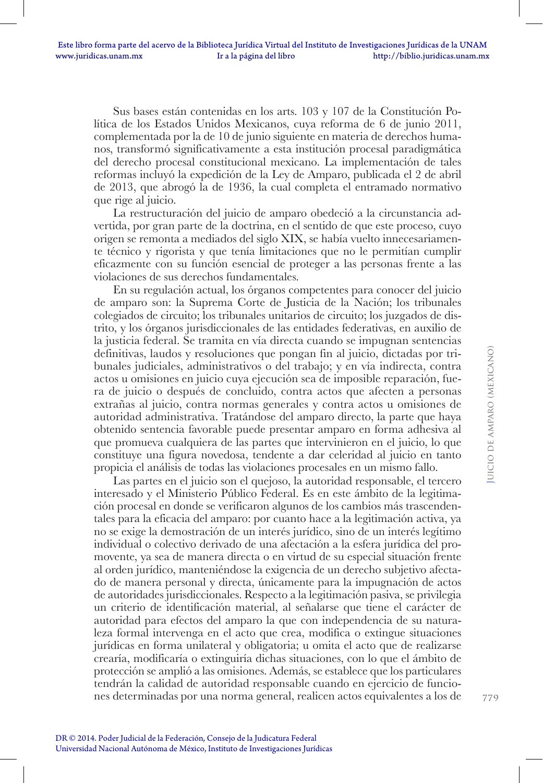Sus bases están contenidas en los arts. 103 y 107 de la Constitución Política de los Estados Unidos Mexicanos, cuya reforma de 6 de junio 2011, complementada por la de 10 de junio siguiente en materia de derechos humanos, transformó significativamente a esta institución procesal paradigmática del derecho procesal constitucional mexicano. La implementación de tales reformas incluyó la expedición de la Ley de Amparo, publicada el 2 de abril de 2013, que abrogó la de 1936, la cual completa el entramado normativo que rige al juicio.

La restructuración del juicio de amparo obedeció a la circunstancia advertida, por gran parte de la doctrina, en el sentido de que este proceso, cuyo origen se remonta a mediados del siglo XIX, se había vuelto innecesariamente técnico y rigorista y que tenía limitaciones que no le permitían cumplir eficazmente con su función esencial de proteger a las personas frente a las violaciones de sus derechos fundamentales.

En su regulación actual, los órganos competentes para conocer del juicio de amparo son: la Suprema Corte de Justicia de la Nación; los tribunales colegiados de circuito; los tribunales unitarios de circuito; los juzgados de distrito, y los órganos jurisdiccionales de las entidades federativas, en auxilio de la justicia federal. Se tramita en vía directa cuando se impugnan sentencias definitivas, laudos y resoluciones que pongan fin al juicio, dictadas por tribunales judiciales, administrativos o del trabajo; y en vía indirecta, contra actos u omisiones en juicio cuya ejecución sea de imposible reparación, fuera de juicio o después de concluido, contra actos que afecten a personas extrañas al juicio, contra normas generales y contra actos u omisiones de autoridad administrativa. Tratándose del amparo directo, la parte que haya obtenido sentencia favorable puede presentar amparo en forma adhesiva al que promueva cualquiera de las partes que intervinieron en el juicio, lo que constituye una figura novedosa, tendente a dar celeridad al juicio en tanto propicia el análisis de todas las violaciones procesales en un mismo fallo.

Las partes en el juicio son el quejoso, la autoridad responsable, el tercero interesado y el Ministerio Público Federal. Es en este ámbito de la legitimación procesal en donde se verificaron algunos de los cambios más trascendentales para la eficacia del amparo: por cuanto hace a la legitimación activa, ya no se exige la demostración de un interés jurídico, sino de un interés legítimo individual o colectivo derivado de una afectación a la esfera jurídica del promovente, ya sea de manera directa o en virtud de su especial situación frente al orden jurídico, manteniéndose la exigencia de un derecho subjetivo afectado de manera personal y directa, únicamente para la impugnación de actos de autoridades jurisdiccionales. Respecto a la legitimación pasiva, se privilegia un criterio de identificación material, al señalarse que tiene el carácter de autoridad para efectos del amparo la que con independencia de su naturaleza formal intervenga en el acto que crea, modifica o extingue situaciones jurídicas en forma unilateral y obligatoria; u omita el acto que de realizarse crearía, modificaría o extinguiría dichas situaciones, con lo que el ámbito de protección se amplió a las omisiones. Además, se establece que los particulares tendrán la calidad de autoridad responsable cuando en ejercicio de funciones determinadas por una norma general, realicen actos equivalentes a los de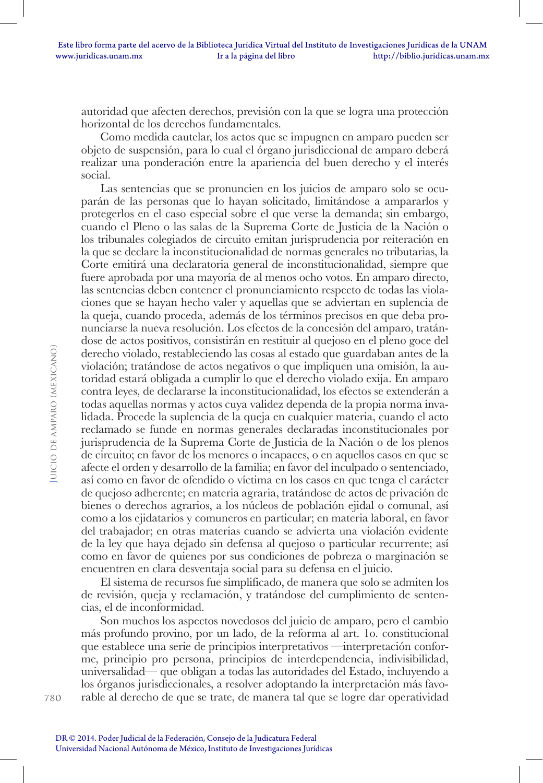autoridad que afecten derechos, previsión con la que se logra una protección horizontal de los derechos fundamentales.

Como medida cautelar, los actos que se impugnen en amparo pueden ser objeto de suspensión, para lo cual el órgano jurisdiccional de amparo deberá realizar una ponderación entre la apariencia del buen derecho y el interés social.

Las sentencias que se pronuncien en los juicios de amparo solo se ocuparán de las personas que lo hayan solicitado, limitándose a ampararlos y protegerlos en el caso especial sobre el que verse la demanda; sin embargo, cuando el Pleno o las salas de la Suprema Corte de Justicia de la Nación o los tribunales colegiados de circuito emitan jurisprudencia por reiteración en la que se declare la inconstitucionalidad de normas generales no tributarias, la Corte emitirá una declaratoria general de inconstitucionalidad, siempre que fuere aprobada por una mayoría de al menos ocho votos. En amparo directo, las sentencias deben contener el pronunciamiento respecto de todas las violaciones que se hayan hecho valer y aquellas que se adviertan en suplencia de la queja, cuando proceda, además de los términos precisos en que deba pronunciarse la nueva resolución. Los efectos de la concesión del amparo, tratándose de actos positivos, consistirán en restituir al quejoso en el pleno goce del derecho violado, restableciendo las cosas al estado que guardaban antes de la violación; tratándose de actos negativos o que impliquen una omisión, la autoridad estará obligada a cumplir lo que el derecho violado exija. En amparo contra leyes, de declararse la inconstitucionalidad, los efectos se extenderán a todas aquellas normas y actos cuya validez dependa de la propia norma invalidada. Procede la suplencia de la queja en cualquier materia, cuando el acto reclamado se funde en normas generales declaradas inconstitucionales por jurisprudencia de la Suprema Corte de Justicia de la Nación o de los plenos de circuito; en favor de los menores o incapaces, o en aquellos casos en que se afecte el orden y desarrollo de la familia; en favor del inculpado o sentenciado, así como en favor de ofendido o víctima en los casos en que tenga el carácter de quejoso adherente; en materia agraria, tratándose de actos de privación de bienes o derechos agrarios, a los núcleos de población ejidal o comunal, así como a los ejidatarios y comuneros en particular; en materia laboral, en favor del trabajador; en otras materias cuando se advierta una violación evidente de la ley que haya dejado sin defensa al quejoso o particular recurrente; así como en favor de quienes por sus condiciones de pobreza o marginación se encuentren en clara desventaja social para su defensa en el juicio.

El sistema de recursos fue simplificado, de manera que solo se admiten los de revisión, queja y reclamación, y tratándose del cumplimiento de sentencias, el de inconformidad.

Son muchos los aspectos novedosos del juicio de amparo, pero el cambio más profundo provino, por un lado, de la reforma al art. 1o. constitucional que establece una serie de principios interpretativos —interpretación conforme, principio pro persona, principios de interdependencia, indivisibilidad, universalidad— que obligan a todas las autoridades del Estado, incluyendo a los órganos jurisdiccionales, a resolver adoptando la interpretación más favorable al derecho de que se trate, de manera tal que se logre dar operatividad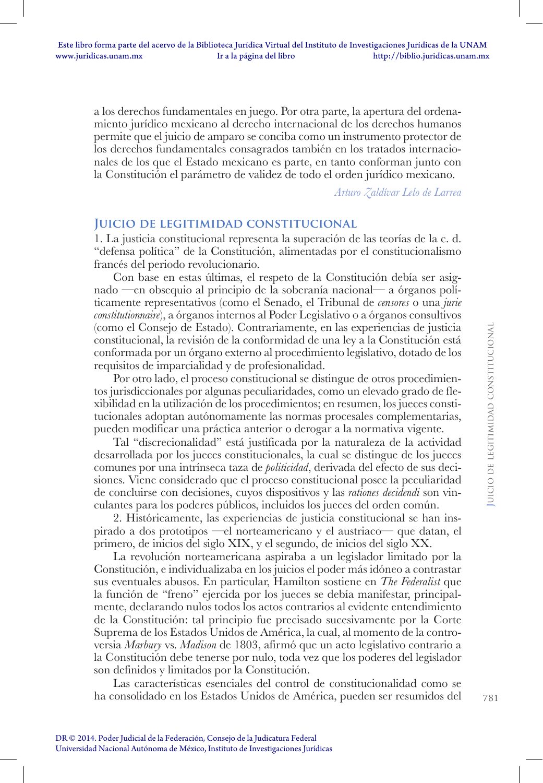a los derechos fundamentales en juego. Por otra parte, la apertura del ordenamiento jurídico mexicano al derecho internacional de los derechos humanos permite que el juicio de amparo se conciba como un instrumento protector de los derechos fundamentales consagrados también en los tratados internacionales de los que el Estado mexicano es parte, en tanto conforman junto con la Constitución el parámetro de validez de todo el orden jurídico mexicano.

*Arturo Zaldívar Lelo de Larrea*

### **Juicio de legitimidad constitucional**

1. La justicia constitucional representa la superación de las teorías de la c. d. "defensa política" de la Constitución, alimentadas por el constitucionalismo francés del periodo revolucionario.

Con base en estas últimas, el respeto de la Constitución debía ser asignado —en obsequio al principio de la soberanía nacional— a órganos políticamente representativos (como el Senado, el Tribunal de *censores* o una *jurie constitutionnaire*), a órganos internos al Poder Legislativo o a órganos consultivos (como el Consejo de Estado). Contrariamente, en las experiencias de justicia constitucional, la revisión de la conformidad de una ley a la Constitución está conformada por un órgano externo al procedimiento legislativo, dotado de los requisitos de imparcialidad y de profesionalidad.

Por otro lado, el proceso constitucional se distingue de otros procedimientos jurisdiccionales por algunas peculiaridades, como un elevado grado de flexibilidad en la utilización de los procedimientos; en resumen, los jueces constitucionales adoptan autónomamente las normas procesales complementarias, pueden modificar una práctica anterior o derogar a la normativa vigente.

Tal "discrecionalidad" está justificada por la naturaleza de la actividad desarrollada por los jueces constitucionales, la cual se distingue de los jueces comunes por una intrínseca taza de *politicidad*, derivada del efecto de sus decisiones. Viene considerado que el proceso constitucional posee la peculiaridad de concluirse con decisiones, cuyos dispositivos y las *rationes decidendi* son vinculantes para los poderes públicos, incluidos los jueces del orden común.

2. Históricamente, las experiencias de justicia constitucional se han inspirado a dos prototipos —el norteamericano y el austriaco— que datan, el primero, de inicios del siglo XIX, y el segundo, de inicios del siglo XX.

La revolución norteamericana aspiraba a un legislador limitado por la Constitución, e individualizaba en los juicios el poder más idóneo a contrastar sus eventuales abusos. En particular, Hamilton sostiene en *The Federalist* que la función de "freno" ejercida por los jueces se debía manifestar, principalmente, declarando nulos todos los actos contrarios al evidente entendimiento de la Constitución: tal principio fue precisado sucesivamente por la Corte Suprema de los Estados Unidos de América, la cual, al momento de la controversia *Marbury* vs. *Madison* de 1803, afirmó que un acto legislativo contrario a la Constitución debe tenerse por nulo, toda vez que los poderes del legislador son definidos y limitados por la Constitución.

Las características esenciales del control de constitucionalidad como se ha consolidado en los Estados Unidos de América, pueden ser resumidos del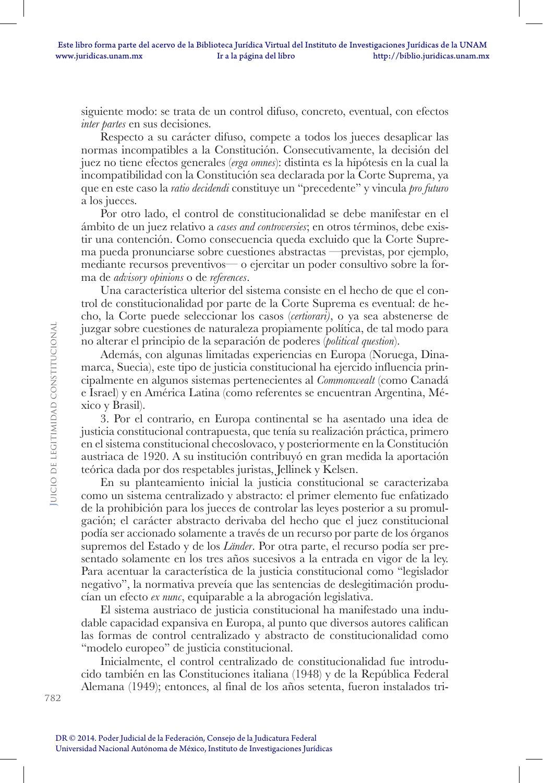siguiente modo: se trata de un control difuso, concreto, eventual, con efectos *inter partes* en sus decisiones.

Respecto a su carácter difuso, compete a todos los jueces desaplicar las normas incompatibles a la Constitución. Consecutivamente, la decisión del juez no tiene efectos generales (*erga omnes*): distinta es la hipótesis en la cual la incompatibilidad con la Constitución sea declarada por la Corte Suprema, ya que en este caso la *ratio decidendi* constituye un "precedente" y vincula *pro futuro*  a los jueces.

Por otro lado, el control de constitucionalidad se debe manifestar en el ámbito de un juez relativo a *cases and controversies*; en otros términos, debe existir una contención. Como consecuencia queda excluido que la Corte Suprema pueda pronunciarse sobre cuestiones abstractas —previstas, por ejemplo, mediante recursos preventivos— o ejercitar un poder consultivo sobre la forma de *advisory opinions* o de *references*.

Una característica ulterior del sistema consiste en el hecho de que el control de constitucionalidad por parte de la Corte Suprema es eventual: de hecho, la Corte puede seleccionar los casos (*certiorari)*, o ya sea abstenerse de juzgar sobre cuestiones de naturaleza propiamente política, de tal modo para no alterar el principio de la separación de poderes (*political question*).

Además, con algunas limitadas experiencias en Europa (Noruega, Dinamarca, Suecia), este tipo de justicia constitucional ha ejercido influencia principalmente en algunos sistemas pertenecientes al *Commonwealt* (como Canadá e Israel) y en América Latina (como referentes se encuentran Argentina, México y Brasil).

3. Por el contrario, en Europa continental se ha asentado una idea de justicia constitucional contrapuesta, que tenía su realización práctica, primero en el sistema constitucional checoslovaco, y posteriormente en la Constitución austriaca de 1920. A su institución contribuyó en gran medida la aportación teórica dada por dos respetables juristas, Jellinek y Kelsen.

En su planteamiento inicial la justicia constitucional se caracterizaba como un sistema centralizado y abstracto: el primer elemento fue enfatizado de la prohibición para los jueces de controlar las leyes posterior a su promulgación; el carácter abstracto derivaba del hecho que el juez constitucional podía ser accionado solamente a través de un recurso por parte de los órganos supremos del Estado y de los *Länder*. Por otra parte, el recurso podía ser presentado solamente en los tres años sucesivos a la entrada en vigor de la ley. Para acentuar la característica de la justicia constitucional como "legislador negativo", la normativa preveía que las sentencias de deslegitimación producían un efecto *ex nunc*, equiparable a la abrogación legislativa.

El sistema austriaco de justicia constitucional ha manifestado una indudable capacidad expansiva en Europa, al punto que diversos autores califican las formas de control centralizado y abstracto de constitucionalidad como "modelo europeo" de justicia constitucional.

Inicialmente, el control centralizado de constitucionalidad fue introducido también en las Constituciones italiana (1948) y de la República Federal Alemana (1949); entonces, al final de los años setenta, fueron instalados tri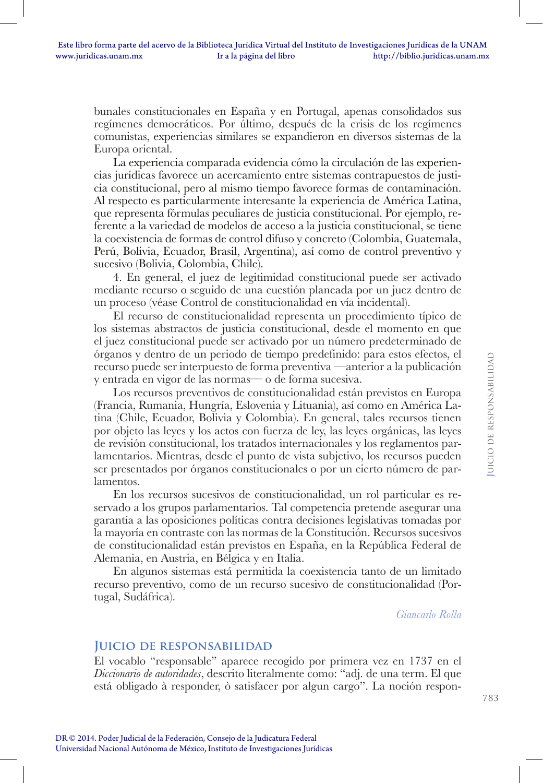bunales constitucionales en España y en Portugal, apenas consolidados sus regímenes democráticos. Por último, después de la crisis de los regímenes comunistas, experiencias similares se expandieron en diversos sistemas de la Europa oriental.

La experiencia comparada evidencia cómo la circulación de las experiencias jurídicas favorece un acercamiento entre sistemas contrapuestos de justicia constitucional, pero al mismo tiempo favorece formas de contaminación. Al respecto es particularmente interesante la experiencia de América Latina, que representa fórmulas peculiares de justicia constitucional. Por ejemplo, referente a la variedad de modelos de acceso a la justicia constitucional, se tiene la coexistencia de formas de control difuso y concreto (Colombia, Guatemala, Perú, Bolivia, Ecuador, Brasil, Argentina), así como de control preventivo y sucesivo (Bolivia, Colombia, Chile).

4. En general, el juez de legitimidad constitucional puede ser activado mediante recurso o seguido de una cuestión planeada por un juez dentro de un proceso (véase Control de constitucionalidad en vía incidental).

El recurso de constitucionalidad representa un procedimiento típico de los sistemas abstractos de justicia constitucional, desde el momento en que el juez constitucional puede ser activado por un número predeterminado de órganos y dentro de un periodo de tiempo predefinido: para estos efectos, el recurso puede ser interpuesto de forma preventiva —anterior a la publicación y entrada en vigor de las normas— o de forma sucesiva.

Los recursos preventivos de constitucionalidad están previstos en Europa (Francia, Rumania, Hungría, Eslovenia y Lituania), así como en América Latina (Chile, Ecuador, Bolivia y Colombia). En general, tales recursos tienen por objeto las leyes y los actos con fuerza de ley, las leyes orgánicas, las leyes de revisión constitucional, los tratados internacionales y los reglamentos parlamentarios. Mientras, desde el punto de vista subjetivo, los recursos pueden ser presentados por órganos constitucionales o por un cierto número de parlamentos.

En los recursos sucesivos de constitucionalidad, un rol particular es reservado a los grupos parlamentarios. Tal competencia pretende asegurar una garantía a las oposiciones políticas contra decisiones legislativas tomadas por la mayoría en contraste con las normas de la Constitución. Recursos sucesivos de constitucionalidad están previstos en España, en la República Federal de Alemania, en Austria, en Bélgica y en Italia.

En algunos sistemas está permitida la coexistencia tanto de un limitado recurso preventivo, como de un recurso sucesivo de constitucionalidad (Portugal, Sudáfrica).

*Giancarlo Rolla*

### **Juicio de responsabilidad**

El vocablo "responsable" aparece recogido por primera vez en 1737 en el *Diccionario de autoridades*, descrito literalmente como: "adj. de una term. El que está obligado à responder, ò satisfacer por algun cargo". La noción respon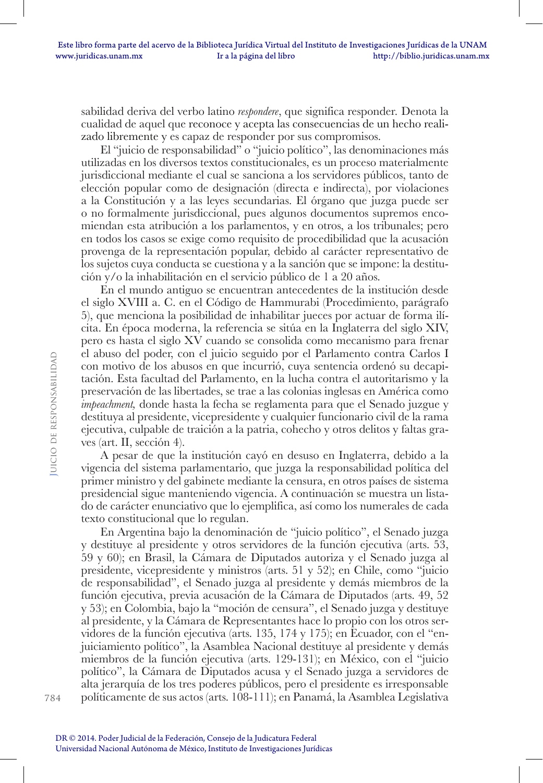sabilidad deriva del verbo latino *respondere*, que significa responder*.* Denota la cualidad de aquel que reconoce y acepta las consecuencias de un hecho realizado libremente y es capaz de responder por sus compromisos.

El "juicio de responsabilidad" o "juicio político", las denominaciones más utilizadas en los diversos textos constitucionales, es un proceso materialmente jurisdiccional mediante el cual se sanciona a los servidores públicos, tanto de elección popular como de designación (directa e indirecta), por violaciones a la Constitución y a las leyes secundarias. El órgano que juzga puede ser o no formalmente jurisdiccional, pues algunos documentos supremos encomiendan esta atribución a los parlamentos, y en otros, a los tribunales; pero en todos los casos se exige como requisito de procedibilidad que la acusación provenga de la representación popular, debido al carácter representativo de los sujetos cuya conducta se cuestiona y a la sanción que se impone: la destitución y/o la inhabilitación en el servicio público de 1 a 20 años.

En el mundo antiguo se encuentran antecedentes de la institución desde el siglo XVIII a. C. en el Código de Hammurabi (Procedimiento, parágrafo 5), que menciona la posibilidad de inhabilitar jueces por actuar de forma ilícita. En época moderna, la referencia se sitúa en la Inglaterra del siglo XIV, pero es hasta el siglo XV cuando se consolida como mecanismo para frenar el abuso del poder, con el juicio seguido por el Parlamento contra Carlos I con motivo de los abusos en que incurrió, cuya sentencia ordenó su decapitación. Esta facultad del Parlamento, en la lucha contra el autoritarismo y la preservación de las libertades, se trae a las colonias inglesas en América como *impeachment,* donde hasta la fecha se reglamenta para que el Senado juzgue y destituya al presidente, vicepresidente y cualquier funcionario civil de la rama ejecutiva, culpable de traición a la patria, cohecho y otros delitos y faltas graves (art. II, sección 4).

A pesar de que la institución cayó en desuso en Inglaterra, debido a la vigencia del sistema parlamentario, que juzga la responsabilidad política del primer ministro y del gabinete mediante la censura, en otros países de sistema presidencial sigue manteniendo vigencia. A continuación se muestra un listado de carácter enunciativo que lo ejemplifica, así como los numerales de cada texto constitucional que lo regulan.

En Argentina bajo la denominación de "juicio político", el Senado juzga y destituye al presidente y otros servidores de la función ejecutiva (arts. 53, 59 y 60); en Brasil, la Cámara de Diputados autoriza y el Senado juzga al presidente, vicepresidente y ministros (arts. 51 y 52); en Chile, como "juicio de responsabilidad", el Senado juzga al presidente y demás miembros de la función ejecutiva, previa acusación de la Cámara de Diputados (arts. 49, 52 y 53); en Colombia, bajo la "moción de censura", el Senado juzga y destituye al presidente, y la Cámara de Representantes hace lo propio con los otros servidores de la función ejecutiva (arts. 135, 174 y 175); en Ecuador, con el "enjuiciamiento político", la Asamblea Nacional destituye al presidente y demás miembros de la función ejecutiva (arts. 129-131); en México, con el "juicio político", la Cámara de Diputados acusa y el Senado juzga a servidores de alta jerarquía de los tres poderes públicos, pero el presidente es irresponsable políticamente de sus actos (arts. 108-111); en Panamá, la Asamblea Legislativa

784

**J**uicio de responsabilidad

UICIO DE RESPONSABILIDAD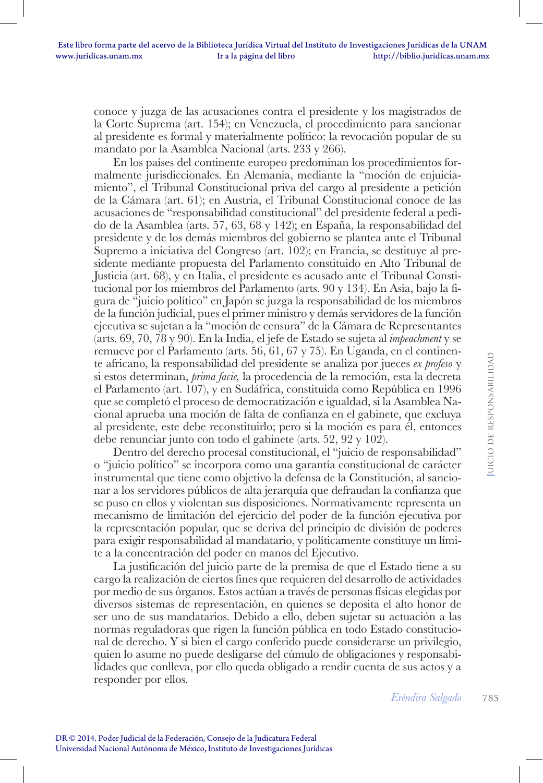conoce y juzga de las acusaciones contra el presidente y los magistrados de la Corte Suprema (art. 154); en Venezuela, el procedimiento para sancionar al presidente es formal y materialmente político: la revocación popular de su mandato por la Asamblea Nacional (arts. 233 y 266).

En los países del continente europeo predominan los procedimientos formalmente jurisdiccionales. En Alemania, mediante la "moción de enjuiciamiento", el Tribunal Constitucional priva del cargo al presidente a petición de la Cámara (art. 61); en Austria, el Tribunal Constitucional conoce de las acusaciones de "responsabilidad constitucional" del presidente federal a pedido de la Asamblea (arts. 57, 63, 68 y 142); en España, la responsabilidad del presidente y de los demás miembros del gobierno se plantea ante el Tribunal Supremo a iniciativa del Congreso (art. 102); en Francia, se destituye al presidente mediante propuesta del Parlamento constituido en Alto Tribunal de Justicia (art. 68), y en Italia, el presidente es acusado ante el Tribunal Constitucional por los miembros del Parlamento (arts. 90 y 134). En Asia, bajo la figura de "juicio político" en Japón se juzga la responsabilidad de los miembros de la función judicial, pues el primer ministro y demás servidores de la función ejecutiva se sujetan a la "moción de censura" de la Cámara de Representantes (arts. 69, 70, 78 y 90). En la India, el jefe de Estado se sujeta al *impeachment* y se remueve por el Parlamento (arts. 56, 61, 67 y 75). En Uganda, en el continente africano, la responsabilidad del presidente se analiza por jueces *ex profeso* y si estos determinan, *prima facie,* la procedencia de la remoción, esta la decreta el Parlamento (art. 107), y en Sudáfrica, constituida como República en 1996 que se completó el proceso de democratización e igualdad, si la Asamblea Nacional aprueba una moción de falta de confianza en el gabinete, que excluya al presidente, este debe reconstituirlo; pero si la moción es para él, entonces debe renunciar junto con todo el gabinete (arts. 52, 92 y 102).

Dentro del derecho procesal constitucional, el "juicio de responsabilidad" o "juicio político" se incorpora como una garantía constitucional de carácter instrumental que tiene como objetivo la defensa de la Constitución, al sancionar a los servidores públicos de alta jerarquía que defraudan la confianza que se puso en ellos y violentan sus disposiciones. Normativamente representa un mecanismo de limitación del ejercicio del poder de la función ejecutiva por la representación popular, que se deriva del principio de división de poderes para exigir responsabilidad al mandatario, y políticamente constituye un límite a la concentración del poder en manos del Ejecutivo.

La justificación del juicio parte de la premisa de que el Estado tiene a su cargo la realización de ciertos fines que requieren del desarrollo de actividades por medio de sus órganos. Estos actúan a través de personas físicas elegidas por diversos sistemas de representación, en quienes se deposita el alto honor de ser uno de sus mandatarios. Debido a ello, deben sujetar su actuación a las normas reguladoras que rigen la función pública en todo Estado constitucional de derecho. Y si bien el cargo conferido puede considerarse un privilegio, quien lo asume no puede desligarse del cúmulo de obligaciones y responsabilidades que conlleva, por ello queda obligado a rendir cuenta de sus actos y a responder por ellos.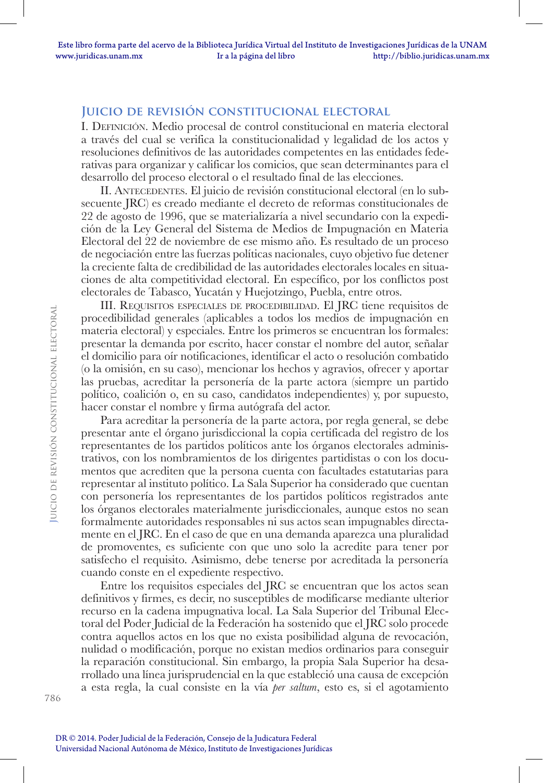# **Juicio de revisión constitucional electoral**

I. Definición. Medio procesal de control constitucional en materia electoral a través del cual se verifica la constitucionalidad y legalidad de los actos y resoluciones definitivos de las autoridades competentes en las entidades federativas para organizar y calificar los comicios, que sean determinantes para el desarrollo del proceso electoral o el resultado final de las elecciones.

II. ANTECEDENTES. El juicio de revisión constitucional electoral (en lo subsecuente JRC) es creado mediante el decreto de reformas constitucionales de 22 de agosto de 1996, que se materializaría a nivel secundario con la expedición de la Ley General del Sistema de Medios de Impugnación en Materia Electoral del 22 de noviembre de ese mismo año. Es resultado de un proceso de negociación entre las fuerzas políticas nacionales, cuyo objetivo fue detener la creciente falta de credibilidad de las autoridades electorales locales en situaciones de alta competitividad electoral. En específico, por los conflictos post electorales de Tabasco, Yucatán y Huejotzingo, Puebla, entre otros.

III. Requisitos especiales de procedibilidad. El JRC tiene requisitos de procedibilidad generales (aplicables a todos los medios de impugnación en materia electoral) y especiales. Entre los primeros se encuentran los formales: presentar la demanda por escrito, hacer constar el nombre del autor, señalar el domicilio para oír notificaciones, identificar el acto o resolución combatido (o la omisión, en su caso), mencionar los hechos y agravios, ofrecer y aportar las pruebas, acreditar la personería de la parte actora (siempre un partido político, coalición o, en su caso, candidatos independientes) y, por supuesto, hacer constar el nombre y firma autógrafa del actor.

Para acreditar la personería de la parte actora, por regla general, se debe presentar ante el órgano jurisdiccional la copia certificada del registro de los representantes de los partidos políticos ante los órganos electorales administrativos, con los nombramientos de los dirigentes partidistas o con los documentos que acrediten que la persona cuenta con facultades estatutarias para representar al instituto político. La Sala Superior ha considerado que cuentan con personería los representantes de los partidos políticos registrados ante los órganos electorales materialmente jurisdiccionales, aunque estos no sean formalmente autoridades responsables ni sus actos sean impugnables directamente en el JRC. En el caso de que en una demanda aparezca una pluralidad de promoventes, es suficiente con que uno solo la acredite para tener por satisfecho el requisito. Asimismo, debe tenerse por acreditada la personería cuando conste en el expediente respectivo.

Entre los requisitos especiales del JRC se encuentran que los actos sean definitivos y firmes, es decir, no susceptibles de modificarse mediante ulterior recurso en la cadena impugnativa local. La Sala Superior del Tribunal Electoral del Poder Judicial de la Federación ha sostenido que el JRC solo procede contra aquellos actos en los que no exista posibilidad alguna de revocación, nulidad o modificación, porque no existan medios ordinarios para conseguir la reparación constitucional. Sin embargo, la propia Sala Superior ha desarrollado una línea jurisprudencial en la que estableció una causa de excepción a esta regla, la cual consiste en la vía *per saltum*, esto es, si el agotamiento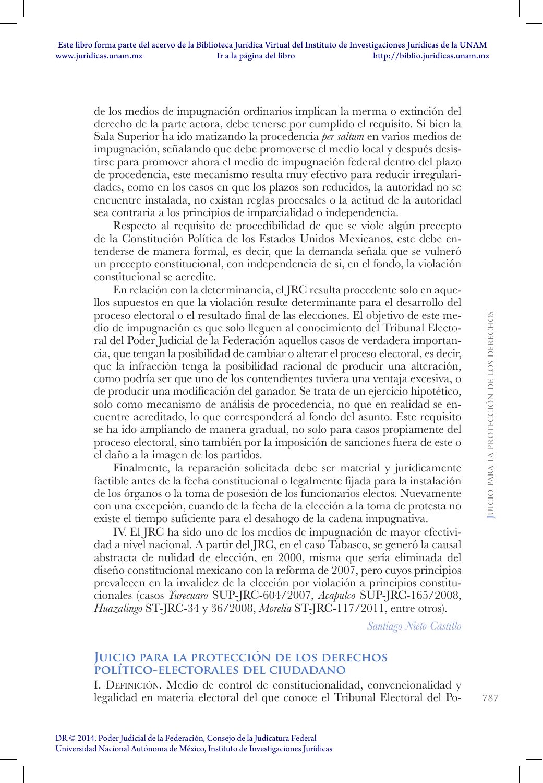de los medios de impugnación ordinarios implican la merma o extinción del derecho de la parte actora, debe tenerse por cumplido el requisito. Si bien la Sala Superior ha ido matizando la procedencia *per saltum* en varios medios de impugnación, señalando que debe promoverse el medio local y después desistirse para promover ahora el medio de impugnación federal dentro del plazo de procedencia, este mecanismo resulta muy efectivo para reducir irregularidades, como en los casos en que los plazos son reducidos, la autoridad no se encuentre instalada, no existan reglas procesales o la actitud de la autoridad sea contraria a los principios de imparcialidad o independencia.

Respecto al requisito de procedibilidad de que se viole algún precepto de la Constitución Política de los Estados Unidos Mexicanos, este debe entenderse de manera formal, es decir, que la demanda señala que se vulneró un precepto constitucional, con independencia de si, en el fondo, la violación constitucional se acredite.

En relación con la determinancia, el JRC resulta procedente solo en aquellos supuestos en que la violación resulte determinante para el desarrollo del proceso electoral o el resultado final de las elecciones. El objetivo de este medio de impugnación es que solo lleguen al conocimiento del Tribunal Electoral del Poder Judicial de la Federación aquellos casos de verdadera importancia, que tengan la posibilidad de cambiar o alterar el proceso electoral, es decir, que la infracción tenga la posibilidad racional de producir una alteración, como podría ser que uno de los contendientes tuviera una ventaja excesiva, o de producir una modificación del ganador. Se trata de un ejercicio hipotético, solo como mecanismo de análisis de procedencia, no que en realidad se encuentre acreditado, lo que corresponderá al fondo del asunto. Este requisito se ha ido ampliando de manera gradual, no solo para casos propiamente del proceso electoral, sino también por la imposición de sanciones fuera de este o el daño a la imagen de los partidos.

Finalmente, la reparación solicitada debe ser material y jurídicamente factible antes de la fecha constitucional o legalmente fijada para la instalación de los órganos o la toma de posesión de los funcionarios electos. Nuevamente con una excepción, cuando de la fecha de la elección a la toma de protesta no existe el tiempo suficiente para el desahogo de la cadena impugnativa.

IV. El JRC ha sido uno de los medios de impugnación de mayor efectividad a nivel nacional. A partir del JRC, en el caso Tabasco, se generó la causal abstracta de nulidad de elección, en 2000, misma que sería eliminada del diseño constitucional mexicano con la reforma de 2007, pero cuyos principios prevalecen en la invalidez de la elección por violación a principios constitucionales (casos *Yurecuaro* SUP-JRC-604/2007, *Acapulco* SUP-JRC-165/2008, *Huazalingo* ST-JRC-34 y 36/2008, *Morelia* ST-JRC-117/2011, entre otros).

*Santiago Nieto Castillo*

### **Juicio para la protección de los derechos político-electorales del ciudadano**

I. Definición. Medio de control de constitucionalidad, convencionalidad y legalidad en materia electoral del que conoce el Tribunal Electoral del Po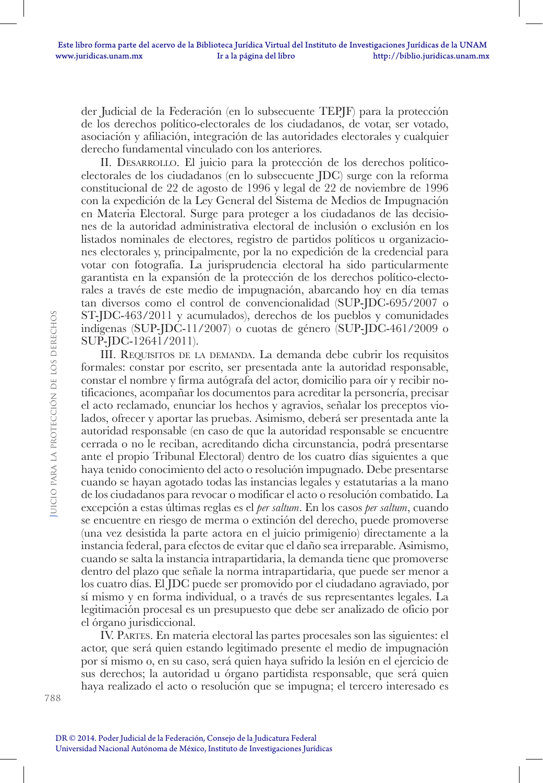der Judicial de la Federación (en lo subsecuente TEPJF) para la protección de los derechos político-electorales de los ciudadanos, de votar, ser votado, asociación y afiliación, integración de las autoridades electorales y cualquier derecho fundamental vinculado con los anteriores.

II. Desarrollo. El juicio para la protección de los derechos políticoelectorales de los ciudadanos (en lo subsecuente JDC) surge con la reforma constitucional de 22 de agosto de 1996 y legal de 22 de noviembre de 1996 con la expedición de la Ley General del Sistema de Medios de Impugnación en Materia Electoral. Surge para proteger a los ciudadanos de las decisiones de la autoridad administrativa electoral de inclusión o exclusión en los listados nominales de electores, registro de partidos políticos u organizaciones electorales y, principalmente, por la no expedición de la credencial para votar con fotografía. La jurisprudencia electoral ha sido particularmente garantista en la expansión de la protección de los derechos político-electorales a través de este medio de impugnación, abarcando hoy en día temas tan diversos como el control de convencionalidad (SUP-JDC-695/2007 o ST-JDC-463/2011 y acumulados), derechos de los pueblos y comunidades indígenas (SUP-JDC-11/2007) o cuotas de género (SUP-JDC-461/2009 o SUP-JDC-12641/2011).

III. Requisitos de la demanda. La demanda debe cubrir los requisitos formales: constar por escrito, ser presentada ante la autoridad responsable, constar el nombre y firma autógrafa del actor, domicilio para oír y recibir notificaciones, acompañar los documentos para acreditar la personería, precisar el acto reclamado, enunciar los hechos y agravios, señalar los preceptos violados, ofrecer y aportar las pruebas. Asimismo, deberá ser presentada ante la autoridad responsable (en caso de que la autoridad responsable se encuentre cerrada o no le reciban, acreditando dicha circunstancia, podrá presentarse ante el propio Tribunal Electoral) dentro de los cuatro días siguientes a que haya tenido conocimiento del acto o resolución impugnado. Debe presentarse cuando se hayan agotado todas las instancias legales y estatutarias a la mano de los ciudadanos para revocar o modificar el acto o resolución combatido. La excepción a estas últimas reglas es el *per saltum*. En los casos *per saltum*, cuando se encuentre en riesgo de merma o extinción del derecho, puede promoverse (una vez desistida la parte actora en el juicio primigenio) directamente a la instancia federal, para efectos de evitar que el daño sea irreparable. Asimismo, cuando se salta la instancia intrapartidaria, la demanda tiene que promoverse dentro del plazo que señale la norma intrapartidaria, que puede ser menor a los cuatro días. El JDC puede ser promovido por el ciudadano agraviado, por sí mismo y en forma individual, o a través de sus representantes legales. La legitimación procesal es un presupuesto que debe ser analizado de oficio por el órgano jurisdiccional.

IV. Partes. En materia electoral las partes procesales son las siguientes: el actor, que será quien estando legitimado presente el medio de impugnación por sí mismo o, en su caso, será quien haya sufrido la lesión en el ejercicio de sus derechos; la autoridad u órgano partidista responsable, que será quien haya realizado el acto o resolución que se impugna; el tercero interesado es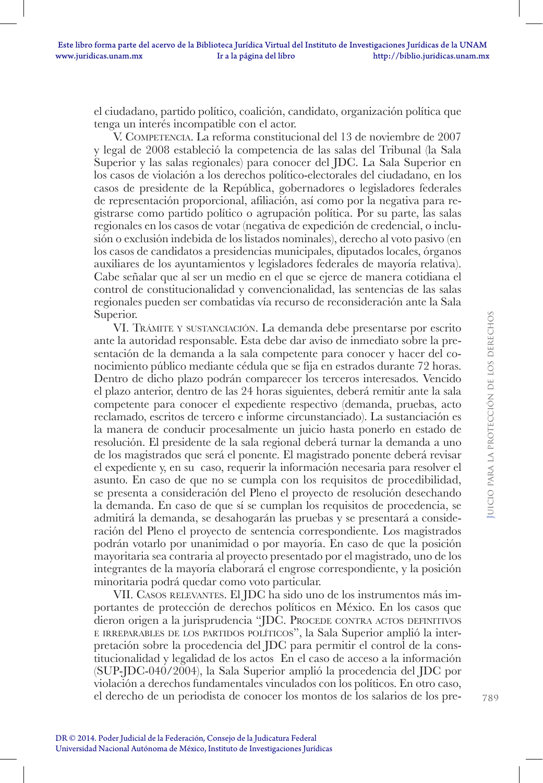el ciudadano, partido político, coalición, candidato, organización política que tenga un interés incompatible con el actor.

V. Competencia. La reforma constitucional del 13 de noviembre de 2007 y legal de 2008 estableció la competencia de las salas del Tribunal (la Sala Superior y las salas regionales) para conocer del JDC. La Sala Superior en los casos de violación a los derechos político-electorales del ciudadano, en los casos de presidente de la República, gobernadores o legisladores federales de representación proporcional, afiliación, así como por la negativa para registrarse como partido político o agrupación política. Por su parte, las salas regionales en los casos de votar (negativa de expedición de credencial, o inclusión o exclusión indebida de los listados nominales), derecho al voto pasivo (en los casos de candidatos a presidencias municipales, diputados locales, órganos auxiliares de los ayuntamientos y legisladores federales de mayoría relativa). Cabe señalar que al ser un medio en el que se ejerce de manera cotidiana el control de constitucionalidad y convencionalidad, las sentencias de las salas regionales pueden ser combatidas vía recurso de reconsideración ante la Sala Superior.

VI. Trámite <sup>y</sup> sustanciación. La demanda debe presentarse por escrito ante la autoridad responsable. Esta debe dar aviso de inmediato sobre la presentación de la demanda a la sala competente para conocer y hacer del conocimiento público mediante cédula que se fija en estrados durante 72 horas. Dentro de dicho plazo podrán comparecer los terceros interesados. Vencido el plazo anterior, dentro de las 24 horas siguientes, deberá remitir ante la sala competente para conocer el expediente respectivo (demanda, pruebas, acto reclamado, escritos de tercero e informe circunstanciado). La sustanciación es la manera de conducir procesalmente un juicio hasta ponerlo en estado de resolución. El presidente de la sala regional deberá turnar la demanda a uno de los magistrados que será el ponente. El magistrado ponente deberá revisar el expediente y, en su caso, requerir la información necesaria para resolver el asunto. En caso de que no se cumpla con los requisitos de procedibilidad, se presenta a consideración del Pleno el proyecto de resolución desechando la demanda. En caso de que sí se cumplan los requisitos de procedencia, se admitirá la demanda, se desahogarán las pruebas y se presentará a consideración del Pleno el proyecto de sentencia correspondiente. Los magistrados podrán votarlo por unanimidad o por mayoría. En caso de que la posición mayoritaria sea contraria al proyecto presentado por el magistrado, uno de los integrantes de la mayoría elaborará el engrose correspondiente, y la posición minoritaria podrá quedar como voto particular.

VII. Casos relevantes. El JDC ha sido uno de los instrumentos más importantes de protección de derechos políticos en México. En los casos que dieron origen a la jurisprudencia "JDC. PROCEDE CONTRA ACTOS DEFINITIVOS <sup>e</sup> irreparables de los partidos políticos", la Sala Superior amplió la interpretación sobre la procedencia del JDC para permitir el control de la constitucionalidad y legalidad de los actos En el caso de acceso a la información (SUP-JDC-040/2004), la Sala Superior amplió la procedencia del JDC por violación a derechos fundamentales vinculados con los políticos. En otro caso, el derecho de un periodista de conocer los montos de los salarios de los pre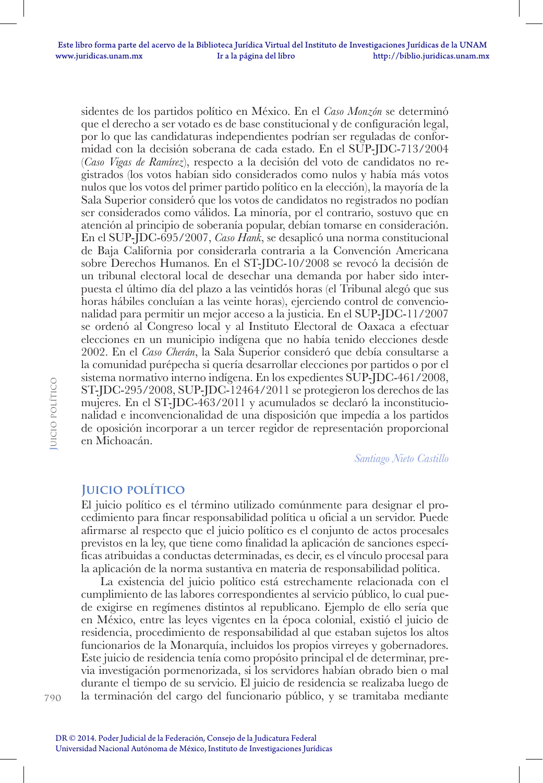sidentes de los partidos político en México. En el *Caso Monzón* se determinó que el derecho a ser votado es de base constitucional y de configuración legal, por lo que las candidaturas independientes podrían ser reguladas de conformidad con la decisión soberana de cada estado. En el SUP-JDC-713/2004 (*Caso Vigas de Ramírez*), respecto a la decisión del voto de candidatos no registrados (los votos habían sido considerados como nulos y había más votos nulos que los votos del primer partido político en la elección), la mayoría de la Sala Superior consideró que los votos de candidatos no registrados no podían ser considerados como válidos. La minoría, por el contrario, sostuvo que en atención al principio de soberanía popular, debían tomarse en consideración. En el SUP-JDC-695/2007, *Caso Hank*, se desaplicó una norma constitucional de Baja California por considerarla contraria a la Convención Americana sobre Derechos Humanos. En el ST-JDC-10/2008 se revocó la decisión de un tribunal electoral local de desechar una demanda por haber sido interpuesta el último día del plazo a las veintidós horas (el Tribunal alegó que sus horas hábiles concluían a las veinte horas), ejerciendo control de convencionalidad para permitir un mejor acceso a la justicia. En el SUP-JDC-11/2007 se ordenó al Congreso local y al Instituto Electoral de Oaxaca a efectuar elecciones en un municipio indígena que no había tenido elecciones desde 2002. En el *Caso Cherán*, la Sala Superior consideró que debía consultarse a la comunidad purépecha si quería desarrollar elecciones por partidos o por el sistema normativo interno indígena. En los expedientes SUP-JDC-461/2008, ST-JDC-295/2008, SUP-JDC-12464/2011 se protegieron los derechos de las mujeres. En el ST-JDC-463/2011 y acumulados se declaró la inconstitucionalidad e inconvencionalidad de una disposición que impedía a los partidos de oposición incorporar a un tercer regidor de representación proporcional en Michoacán.

*Santiago Nieto Castillo*

# **Juicio político**

El juicio político es el término utilizado comúnmente para designar el procedimiento para fincar responsabilidad política u oficial a un servidor. Puede afirmarse al respecto que el juicio político es el conjunto de actos procesales previstos en la ley, que tiene como finalidad la aplicación de sanciones específicas atribuidas a conductas determinadas, es decir, es el vínculo procesal para la aplicación de la norma sustantiva en materia de responsabilidad política.

La existencia del juicio político está estrechamente relacionada con el cumplimiento de las labores correspondientes al servicio público, lo cual puede exigirse en regímenes distintos al republicano. Ejemplo de ello sería que en México, entre las leyes vigentes en la época colonial, existió el juicio de residencia, procedimiento de responsabilidad al que estaban sujetos los altos funcionarios de la Monarquía, incluidos los propios virreyes y gobernadores. Este juicio de residencia tenía como propósito principal el de determinar, previa investigación pormenorizada, si los servidores habían obrado bien o mal durante el tiempo de su servicio. El juicio de residencia se realizaba luego de la terminación del cargo del funcionario público, y se tramitaba mediante

790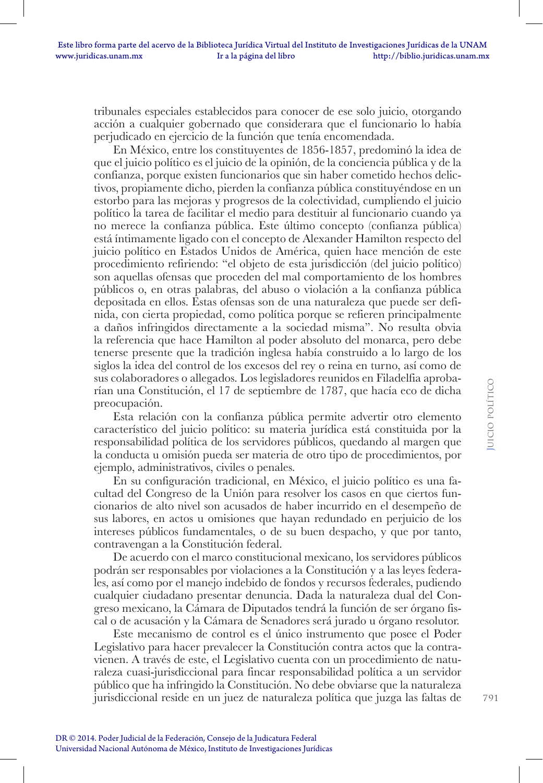tribunales especiales establecidos para conocer de ese solo juicio, otorgando acción a cualquier gobernado que considerara que el funcionario lo había perjudicado en ejercicio de la función que tenía encomendada.

En México, entre los constituyentes de 1856-1857, predominó la idea de que el juicio político es el juicio de la opinión, de la conciencia pública y de la confianza, porque existen funcionarios que sin haber cometido hechos delictivos, propiamente dicho, pierden la confianza pública constituyéndose en un estorbo para las mejoras y progresos de la colectividad, cumpliendo el juicio político la tarea de facilitar el medio para destituir al funcionario cuando ya no merece la confianza pública. Este último concepto (confianza pública) está íntimamente ligado con el concepto de Alexander Hamilton respecto del juicio político en Estados Unidos de América, quien hace mención de este procedimiento refiriendo: "el objeto de esta jurisdicción (del juicio político) son aquellas ofensas que proceden del mal comportamiento de los hombres públicos o, en otras palabras, del abuso o violación a la confianza pública depositada en ellos. Estas ofensas son de una naturaleza que puede ser definida, con cierta propiedad, como política porque se refieren principalmente a daños infringidos directamente a la sociedad misma". No resulta obvia la referencia que hace Hamilton al poder absoluto del monarca, pero debe tenerse presente que la tradición inglesa había construido a lo largo de los siglos la idea del control de los excesos del rey o reina en turno, así como de sus colaboradores o allegados. Los legisladores reunidos en Filadelfia aprobarían una Constitución, el 17 de septiembre de 1787, que hacía eco de dicha preocupación.

Esta relación con la confianza pública permite advertir otro elemento característico del juicio político: su materia jurídica está constituida por la responsabilidad política de los servidores públicos, quedando al margen que la conducta u omisión pueda ser materia de otro tipo de procedimientos, por ejemplo, administrativos, civiles o penales.

En su configuración tradicional, en México, el juicio político es una facultad del Congreso de la Unión para resolver los casos en que ciertos funcionarios de alto nivel son acusados de haber incurrido en el desempeño de sus labores, en actos u omisiones que hayan redundado en perjuicio de los intereses públicos fundamentales, o de su buen despacho, y que por tanto, contravengan a la Constitución federal.

De acuerdo con el marco constitucional mexicano, los servidores públicos podrán ser responsables por violaciones a la Constitución y a las leyes federales, así como por el manejo indebido de fondos y recursos federales, pudiendo cualquier ciudadano presentar denuncia. Dada la naturaleza dual del Congreso mexicano, la Cámara de Diputados tendrá la función de ser órgano fiscal o de acusación y la Cámara de Senadores será jurado u órgano resolutor.

Este mecanismo de control es el único instrumento que posee el Poder Legislativo para hacer prevalecer la Constitución contra actos que la contravienen. A través de este, el Legislativo cuenta con un procedimiento de naturaleza cuasi-jurisdiccional para fincar responsabilidad política a un servidor público que ha infringido la Constitución. No debe obviarse que la naturaleza jurisdiccional reside en un juez de naturaleza política que juzga las faltas de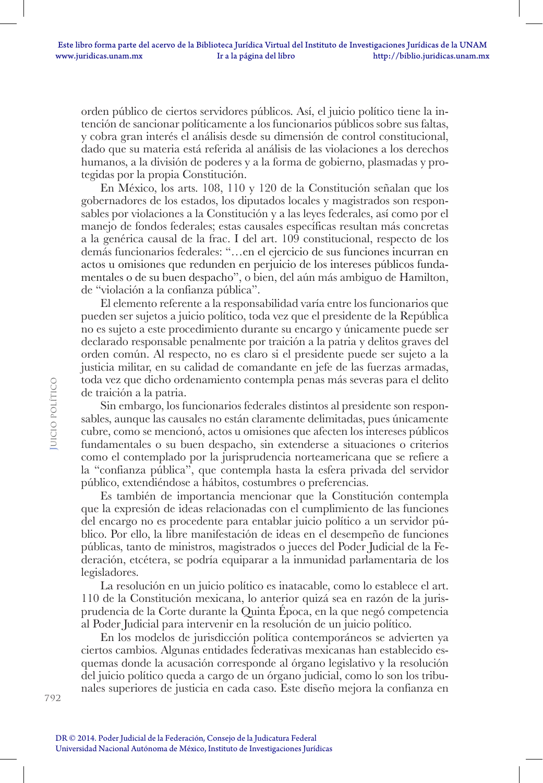orden público de ciertos servidores públicos. Así, el juicio político tiene la intención de sancionar políticamente a los funcionarios públicos sobre sus faltas, y cobra gran interés el análisis desde su dimensión de control constitucional, dado que su materia está referida al análisis de las violaciones a los derechos humanos, a la división de poderes y a la forma de gobierno, plasmadas y protegidas por la propia Constitución.

En México, los arts. 108, 110 y 120 de la Constitución señalan que los gobernadores de los estados, los diputados locales y magistrados son responsables por violaciones a la Constitución y a las leyes federales, así como por el manejo de fondos federales; estas causales específicas resultan más concretas a la genérica causal de la frac. I del art. 109 constitucional, respecto de los demás funcionarios federales: "…en el ejercicio de sus funciones incurran en actos u omisiones que redunden en perjuicio de los intereses públicos fundamentales o de su buen despacho", o bien, del aún más ambiguo de Hamilton, de "violación a la confianza pública".

El elemento referente a la responsabilidad varía entre los funcionarios que pueden ser sujetos a juicio político, toda vez que el presidente de la República no es sujeto a este procedimiento durante su encargo y únicamente puede ser declarado responsable penalmente por traición a la patria y delitos graves del orden común. Al respecto, no es claro si el presidente puede ser sujeto a la justicia militar, en su calidad de comandante en jefe de las fuerzas armadas, toda vez que dicho ordenamiento contempla penas más severas para el delito de traición a la patria.

Sin embargo, los funcionarios federales distintos al presidente son responsables, aunque las causales no están claramente delimitadas, pues únicamente cubre, como se mencionó, actos u omisiones que afecten los intereses públicos fundamentales o su buen despacho, sin extenderse a situaciones o criterios como el contemplado por la jurisprudencia norteamericana que se refiere a la "confianza pública", que contempla hasta la esfera privada del servidor público, extendiéndose a hábitos, costumbres o preferencias.

Es también de importancia mencionar que la Constitución contempla que la expresión de ideas relacionadas con el cumplimiento de las funciones del encargo no es procedente para entablar juicio político a un servidor público. Por ello, la libre manifestación de ideas en el desempeño de funciones públicas, tanto de ministros, magistrados o jueces del Poder Judicial de la Federación, etcétera, se podría equiparar a la inmunidad parlamentaria de los legisladores.

La resolución en un juicio político es inatacable, como lo establece el art. 110 de la Constitución mexicana, lo anterior quizá sea en razón de la jurisprudencia de la Corte durante la Quinta Época, en la que negó competencia al Poder Judicial para intervenir en la resolución de un juicio político.

En los modelos de jurisdicción política contemporáneos se advierten ya ciertos cambios. Algunas entidades federativas mexicanas han establecido esquemas donde la acusación corresponde al órgano legislativo y la resolución del juicio político queda a cargo de un órgano judicial, como lo son los tribunales superiores de justicia en cada caso. Este diseño mejora la confianza en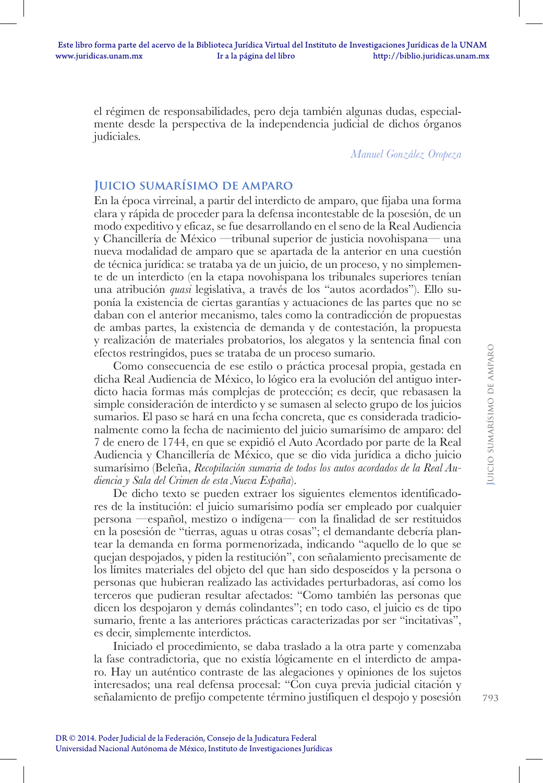el régimen de responsabilidades, pero deja también algunas dudas, especialmente desde la perspectiva de la independencia judicial de dichos órganos judiciales.

*Manuel González Oropeza*

# **Juicio sumarísimo de amparo**

En la época virreinal, a partir del interdicto de amparo, que fijaba una forma clara y rápida de proceder para la defensa incontestable de la posesión, de un modo expeditivo y eficaz, se fue desarrollando en el seno de la Real Audiencia y Chancillería de México —tribunal superior de justicia novohispana— una nueva modalidad de amparo que se apartada de la anterior en una cuestión de técnica jurídica: se trataba ya de un juicio, de un proceso, y no simplemente de un interdicto (en la etapa novohispana los tribunales superiores tenían una atribución *quasi* legislativa, a través de los "autos acordados"). Ello suponía la existencia de ciertas garantías y actuaciones de las partes que no se daban con el anterior mecanismo, tales como la contradicción de propuestas de ambas partes, la existencia de demanda y de contestación, la propuesta y realización de materiales probatorios, los alegatos y la sentencia final con efectos restringidos, pues se trataba de un proceso sumario.

Como consecuencia de ese estilo o práctica procesal propia, gestada en dicha Real Audiencia de México, lo lógico era la evolución del antiguo interdicto hacia formas más complejas de protección; es decir, que rebasasen la simple consideración de interdicto y se sumasen al selecto grupo de los juicios sumarios. El paso se hará en una fecha concreta, que es considerada tradicionalmente como la fecha de nacimiento del juicio sumarísimo de amparo: del 7 de enero de 1744, en que se expidió el Auto Acordado por parte de la Real Audiencia y Chancillería de México, que se dio vida jurídica a dicho juicio sumarísimo (Beleña, *Recopilación sumaria de todos los autos acordados de la Real Audiencia y Sala del Crimen de esta Nueva España*).

De dicho texto se pueden extraer los siguientes elementos identificadores de la institución: el juicio sumarísimo podía ser empleado por cualquier persona —español, mestizo o indígena— con la finalidad de ser restituidos en la posesión de "tierras, aguas u otras cosas"; el demandante debería plantear la demanda en forma pormenorizada, indicando "aquello de lo que se quejan despojados, y piden la restitución", con señalamiento precisamente de los límites materiales del objeto del que han sido desposeídos y la persona o personas que hubieran realizado las actividades perturbadoras, así como los terceros que pudieran resultar afectados: "Como también las personas que dicen los despojaron y demás colindantes"; en todo caso, el juicio es de tipo sumario, frente a las anteriores prácticas caracterizadas por ser "incitativas", es decir, simplemente interdictos.

Iniciado el procedimiento, se daba traslado a la otra parte y comenzaba la fase contradictoria, que no existía lógicamente en el interdicto de amparo. Hay un auténtico contraste de las alegaciones y opiniones de los sujetos interesados; una real defensa procesal: "Con cuya previa judicial citación y señalamiento de prefijo competente término justifiquen el despojo y posesión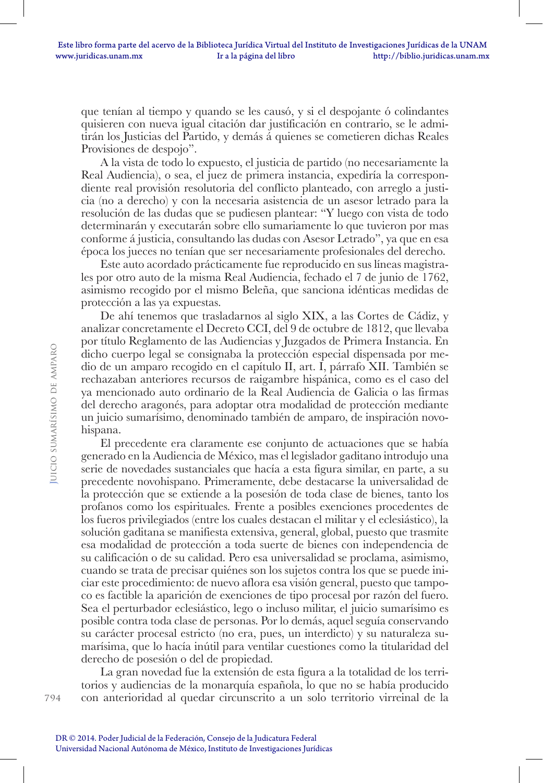que tenían al tiempo y quando se les causó, y si el despojante ó colindantes quisieren con nueva igual citación dar justificación en contrario, se le admitirán los Justicias del Partido, y demás á quienes se cometieren dichas Reales Provisiones de despojo".

A la vista de todo lo expuesto, el justicia de partido (no necesariamente la Real Audiencia), o sea, el juez de primera instancia, expediría la correspondiente real provisión resolutoria del conflicto planteado, con arreglo a justicia (no a derecho) y con la necesaria asistencia de un asesor letrado para la resolución de las dudas que se pudiesen plantear: "Y luego con vista de todo determinarán y executarán sobre ello sumariamente lo que tuvieron por mas conforme á justicia, consultando las dudas con Asesor Letrado", ya que en esa época los jueces no tenían que ser necesariamente profesionales del derecho.

Este auto acordado prácticamente fue reproducido en sus líneas magistrales por otro auto de la misma Real Audiencia, fechado el 7 de junio de 1762, asimismo recogido por el mismo Beleña, que sanciona idénticas medidas de protección a las ya expuestas.

De ahí tenemos que trasladarnos al siglo XIX, a las Cortes de Cádiz, y analizar concretamente el Decreto CCI, del 9 de octubre de 1812, que llevaba por título Reglamento de las Audiencias y Juzgados de Primera Instancia. En dicho cuerpo legal se consignaba la protección especial dispensada por medio de un amparo recogido en el capítulo II, art. I, párrafo XII. También se rechazaban anteriores recursos de raigambre hispánica, como es el caso del ya mencionado auto ordinario de la Real Audiencia de Galicia o las firmas del derecho aragonés, para adoptar otra modalidad de protección mediante un juicio sumarísimo, denominado también de amparo, de inspiración novohispana.

El precedente era claramente ese conjunto de actuaciones que se había generado en la Audiencia de México, mas el legislador gaditano introdujo una serie de novedades sustanciales que hacía a esta figura similar, en parte, a su precedente novohispano. Primeramente, debe destacarse la universalidad de la protección que se extiende a la posesión de toda clase de bienes, tanto los profanos como los espirituales. Frente a posibles exenciones procedentes de los fueros privilegiados (entre los cuales destacan el militar y el eclesiástico), la solución gaditana se manifiesta extensiva, general, global, puesto que trasmite esa modalidad de protección a toda suerte de bienes con independencia de su calificación o de su calidad. Pero esa universalidad se proclama, asimismo, cuando se trata de precisar quiénes son los sujetos contra los que se puede iniciar este procedimiento: de nuevo aflora esa visión general, puesto que tampoco es factible la aparición de exenciones de tipo procesal por razón del fuero. Sea el perturbador eclesiástico, lego o incluso militar, el juicio sumarísimo es posible contra toda clase de personas. Por lo demás, aquel seguía conservando su carácter procesal estricto (no era, pues, un interdicto) y su naturaleza sumarísima, que lo hacía inútil para ventilar cuestiones como la titularidad del derecho de posesión o del de propiedad.

La gran novedad fue la extensión de esta figura a la totalidad de los territorios y audiencias de la monarquía española, lo que no se había producido con anterioridad al quedar circunscrito a un solo territorio virreinal de la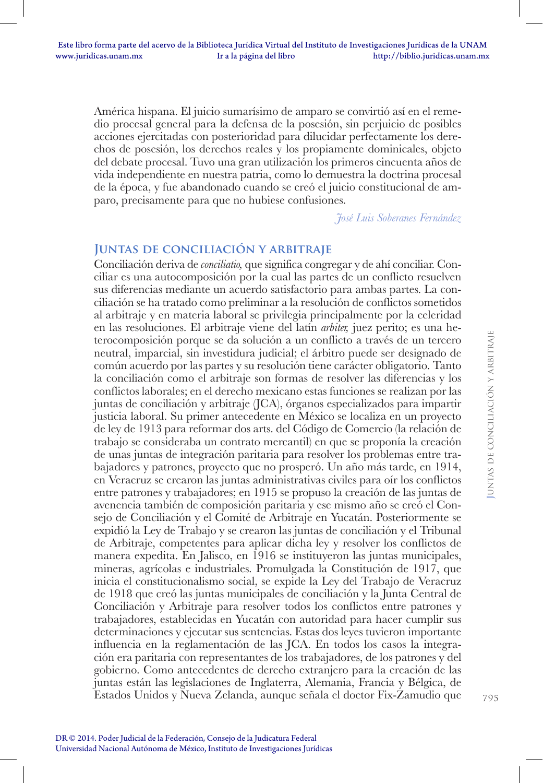América hispana. El juicio sumarísimo de amparo se convirtió así en el remedio procesal general para la defensa de la posesión, sin perjuicio de posibles acciones ejercitadas con posterioridad para dilucidar perfectamente los derechos de posesión, los derechos reales y los propiamente dominicales, objeto del debate procesal. Tuvo una gran utilización los primeros cincuenta años de vida independiente en nuestra patria, como lo demuestra la doctrina procesal de la época, y fue abandonado cuando se creó el juicio constitucional de amparo, precisamente para que no hubiese confusiones.

*José Luis Soberanes Fernández*

# **Juntas de conciliación y arbitraje**

Conciliación deriva de *conciliatio,* que significa congregar y de ahí conciliar. Conciliar es una autocomposición por la cual las partes de un conflicto resuelven sus diferencias mediante un acuerdo satisfactorio para ambas partes. La conciliación se ha tratado como preliminar a la resolución de conflictos sometidos al arbitraje y en materia laboral se privilegia principalmente por la celeridad en las resoluciones. El arbitraje viene del latín *arbiter,* juez perito; es una heterocomposición porque se da solución a un conflicto a través de un tercero neutral, imparcial, sin investidura judicial; el árbitro puede ser designado de común acuerdo por las partes y su resolución tiene carácter obligatorio. Tanto la conciliación como el arbitraje son formas de resolver las diferencias y los conflictos laborales; en el derecho mexicano estas funciones se realizan por las juntas de conciliación y arbitraje (JCA), órganos especializados para impartir justicia laboral. Su primer antecedente en México se localiza en un proyecto de ley de 1913 para reformar dos arts. del Código de Comercio (la relación de trabajo se consideraba un contrato mercantil) en que se proponía la creación de unas juntas de integración paritaria para resolver los problemas entre trabajadores y patrones, proyecto que no prosperó. Un año más tarde, en 1914, en Veracruz se crearon las juntas administrativas civiles para oír los conflictos entre patrones y trabajadores; en 1915 se propuso la creación de las juntas de avenencia también de composición paritaria y ese mismo año se creó el Consejo de Conciliación y el Comité de Arbitraje en Yucatán. Posteriormente se expidió la Ley de Trabajo y se crearon las juntas de conciliación y el Tribunal de Arbitraje, competentes para aplicar dicha ley y resolver los conflictos de manera expedita. En Jalisco, en 1916 se instituyeron las juntas municipales, mineras, agrícolas e industriales. Promulgada la Constitución de 1917, que inicia el constitucionalismo social, se expide la Ley del Trabajo de Veracruz de 1918 que creó las juntas municipales de conciliación y la Junta Central de Conciliación y Arbitraje para resolver todos los conflictos entre patrones y trabajadores, establecidas en Yucatán con autoridad para hacer cumplir sus determinaciones y ejecutar sus sentencias. Estas dos leyes tuvieron importante influencia en la reglamentación de las JCA. En todos los casos la integración era paritaria con representantes de los trabajadores, de los patrones y del gobierno. Como antecedentes de derecho extranjero para la creación de las juntas están las legislaciones de Inglaterra, Alemania, Francia y Bélgica, de Estados Unidos y Nueva Zelanda, aunque señala el doctor Fix-Zamudio que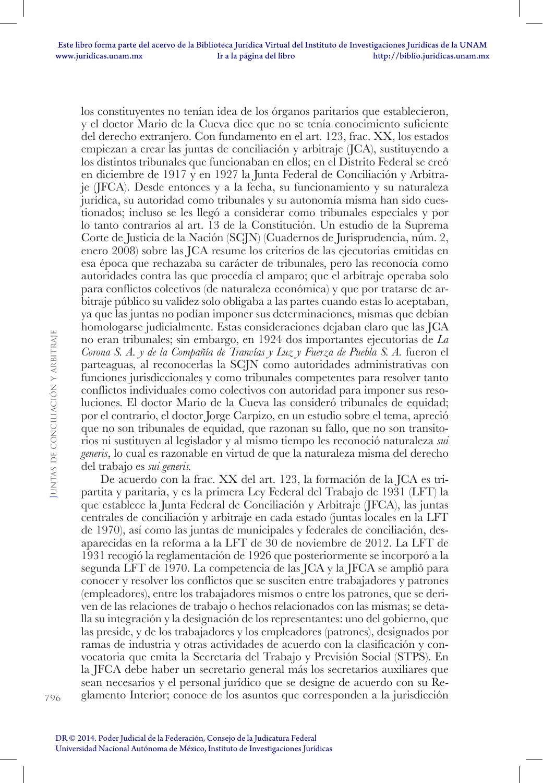los constituyentes no tenían idea de los órganos paritarios que establecieron, y el doctor Mario de la Cueva dice que no se tenía conocimiento suficiente del derecho extranjero. Con fundamento en el art. 123, frac. XX, los estados empiezan a crear las juntas de conciliación y arbitraje (JCA), sustituyendo a los distintos tribunales que funcionaban en ellos; en el Distrito Federal se creó en diciembre de 1917 y en 1927 la Junta Federal de Conciliación y Arbitraje (JFCA). Desde entonces y a la fecha, su funcionamiento y su naturaleza jurídica, su autoridad como tribunales y su autonomía misma han sido cuestionados; incluso se les llegó a considerar como tribunales especiales y por lo tanto contrarios al art. 13 de la Constitución. Un estudio de la Suprema Corte de Justicia de la Nación (SCJN) (Cuadernos de Jurisprudencia, núm. 2, enero 2008) sobre las JCA resume los criterios de las ejecutorias emitidas en esa época que rechazaba su carácter de tribunales, pero las reconocía como autoridades contra las que procedía el amparo; que el arbitraje operaba solo para conflictos colectivos (de naturaleza económica) y que por tratarse de arbitraje público su validez solo obligaba a las partes cuando estas lo aceptaban, ya que las juntas no podían imponer sus determinaciones, mismas que debían homologarse judicialmente. Estas consideraciones dejaban claro que las JCA no eran tribunales; sin embargo, en 1924 dos importantes ejecutorias de *La Corona S. A. y de la Compañía de Tranvías y Luz y Fuerza de Puebla S. A.* fueron el parteaguas, al reconocerlas la SCJN como autoridades administrativas con funciones jurisdiccionales y como tribunales competentes para resolver tanto conflictos individuales como colectivos con autoridad para imponer sus resoluciones. El doctor Mario de la Cueva las consideró tribunales de equidad; por el contrario, el doctor Jorge Carpizo, en un estudio sobre el tema, apreció que no son tribunales de equidad, que razonan su fallo, que no son transitorios ni sustituyen al legislador y al mismo tiempo les reconoció naturaleza *sui generis*, lo cual es razonable en virtud de que la naturaleza misma del derecho del trabajo es *sui generis.*

De acuerdo con la frac. XX del art. 123, la formación de la JCA es tripartita y paritaria, y es la primera Ley Federal del Trabajo de 1931 (LFT) la que establece la Junta Federal de Conciliación y Arbitraje (JFCA), las juntas centrales de conciliación y arbitraje en cada estado (juntas locales en la LFT de 1970), así como las juntas de municipales y federales de conciliación, desaparecidas en la reforma a la LFT de 30 de noviembre de 2012. La LFT de 1931 recogió la reglamentación de 1926 que posteriormente se incorporó a la segunda LFT de 1970. La competencia de las JCA y la JFCA se amplió para conocer y resolver los conflictos que se susciten entre trabajadores y patrones (empleadores), entre los trabajadores mismos o entre los patrones, que se deriven de las relaciones de trabajo o hechos relacionados con las mismas; se detalla su integración y la designación de los representantes: uno del gobierno, que las preside, y de los trabajadores y los empleadores (patrones), designados por ramas de industria y otras actividades de acuerdo con la clasificación y convocatoria que emita la Secretaría del Trabajo y Previsión Social (STPS). En la JFCA debe haber un secretario general más los secretarios auxiliares que sean necesarios y el personal jurídico que se designe de acuerdo con su Reglamento Interior; conoce de los asuntos que corresponden a la jurisdicción

796

**J**untas de conciliación y arbitraje

**UNTAS DE CONCILIACIÓN Y ARBITRAJE**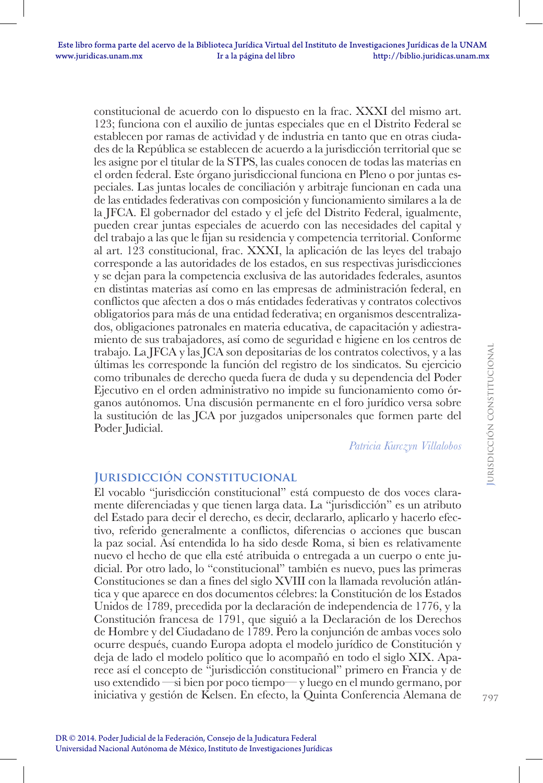constitucional de acuerdo con lo dispuesto en la frac. XXXI del mismo art. 123; funciona con el auxilio de juntas especiales que en el Distrito Federal se establecen por ramas de actividad y de industria en tanto que en otras ciudades de la República se establecen de acuerdo a la jurisdicción territorial que se les asigne por el titular de la STPS, las cuales conocen de todas las materias en el orden federal. Este órgano jurisdiccional funciona en Pleno o por juntas especiales. Las juntas locales de conciliación y arbitraje funcionan en cada una de las entidades federativas con composición y funcionamiento similares a la de la JFCA. El gobernador del estado y el jefe del Distrito Federal, igualmente, pueden crear juntas especiales de acuerdo con las necesidades del capital y del trabajo a las que le fijan su residencia y competencia territorial. Conforme al art. 123 constitucional, frac. XXXI, la aplicación de las leyes del trabajo corresponde a las autoridades de los estados, en sus respectivas jurisdicciones y se dejan para la competencia exclusiva de las autoridades federales, asuntos en distintas materias así como en las empresas de administración federal, en conflictos que afecten a dos o más entidades federativas y contratos colectivos obligatorios para más de una entidad federativa; en organismos descentralizados, obligaciones patronales en materia educativa, de capacitación y adiestramiento de sus trabajadores, así como de seguridad e higiene en los centros de trabajo. La JFCA y las JCA son depositarias de los contratos colectivos, y a las últimas les corresponde la función del registro de los sindicatos. Su ejercicio como tribunales de derecho queda fuera de duda y su dependencia del Poder Ejecutivo en el orden administrativo no impide su funcionamiento como órganos autónomos. Una discusión permanente en el foro jurídico versa sobre la sustitución de las JCA por juzgados unipersonales que formen parte del Poder Judicial.

*Patricia Kurczyn Villalobos*

# **Jurisdicción constitucional**

El vocablo "jurisdicción constitucional" está compuesto de dos voces claramente diferenciadas y que tienen larga data. La "jurisdicción" es un atributo del Estado para decir el derecho, es decir, declararlo, aplicarlo y hacerlo efectivo, referido generalmente a conflictos, diferencias o acciones que buscan la paz social. Así entendida lo ha sido desde Roma, si bien es relativamente nuevo el hecho de que ella esté atribuida o entregada a un cuerpo o ente judicial. Por otro lado, lo "constitucional" también es nuevo, pues las primeras Constituciones se dan a fines del siglo XVIII con la llamada revolución atlántica y que aparece en dos documentos célebres: la Constitución de los Estados Unidos de 1789, precedida por la declaración de independencia de 1776, y la Constitución francesa de 1791, que siguió a la Declaración de los Derechos de Hombre y del Ciudadano de 1789. Pero la conjunción de ambas voces solo ocurre después, cuando Europa adopta el modelo jurídico de Constitución y deja de lado el modelo político que lo acompañó en todo el siglo XIX. Aparece así el concepto de "jurisdicción constitucional" primero en Francia y de uso extendido —si bien por poco tiempo— y luego en el mundo germano, por iniciativa y gestión de Kelsen. En efecto, la Quinta Conferencia Alemana de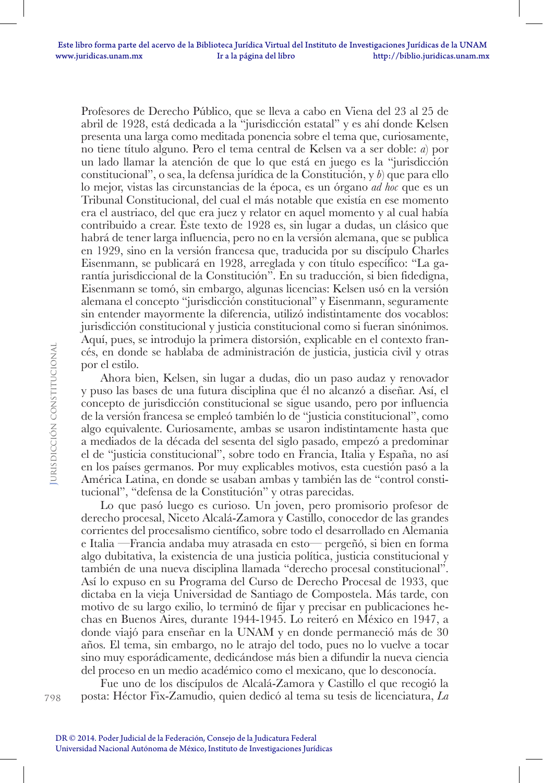Profesores de Derecho Público, que se lleva a cabo en Viena del 23 al 25 de abril de 1928, está dedicada a la "jurisdicción estatal" y es ahí donde Kelsen presenta una larga como meditada ponencia sobre el tema que, curiosamente, no tiene título alguno. Pero el tema central de Kelsen va a ser doble: *a*) por un lado llamar la atención de que lo que está en juego es la "jurisdicción constitucional", o sea, la defensa jurídica de la Constitución, y *b*) que para ello lo mejor, vistas las circunstancias de la época, es un órgano *ad hoc* que es un Tribunal Constitucional, del cual el más notable que existía en ese momento era el austriaco, del que era juez y relator en aquel momento y al cual había contribuido a crear. Este texto de 1928 es, sin lugar a dudas, un clásico que habrá de tener larga influencia, pero no en la versión alemana, que se publica en 1929, sino en la versión francesa que, traducida por su discípulo Charles Eisenmann, se publicará en 1928, arreglada y con título específico: "La garantía jurisdiccional de la Constitución". En su traducción, si bien fidedigna, Eisenmann se tomó, sin embargo, algunas licencias: Kelsen usó en la versión alemana el concepto "jurisdicción constitucional" y Eisenmann, seguramente sin entender mayormente la diferencia, utilizó indistintamente dos vocablos: jurisdicción constitucional y justicia constitucional como si fueran sinónimos. Aquí, pues, se introdujo la primera distorsión, explicable en el contexto francés, en donde se hablaba de administración de justicia, justicia civil y otras por el estilo.

Ahora bien, Kelsen, sin lugar a dudas, dio un paso audaz y renovador y puso las bases de una futura disciplina que él no alcanzó a diseñar. Así, el concepto de jurisdicción constitucional se sigue usando, pero por influencia de la versión francesa se empleó también lo de "justicia constitucional", como algo equivalente. Curiosamente, ambas se usaron indistintamente hasta que a mediados de la década del sesenta del siglo pasado, empezó a predominar el de "justicia constitucional", sobre todo en Francia, Italia y España, no así en los países germanos. Por muy explicables motivos, esta cuestión pasó a la América Latina, en donde se usaban ambas y también las de "control constitucional", "defensa de la Constitución" y otras parecidas.

Lo que pasó luego es curioso. Un joven, pero promisorio profesor de derecho procesal, Niceto Alcalá-Zamora y Castillo, conocedor de las grandes corrientes del procesalismo científico, sobre todo el desarrollado en Alemania e Italia —Francia andaba muy atrasada en esto— pergeñó, si bien en forma algo dubitativa, la existencia de una justicia política, justicia constitucional y también de una nueva disciplina llamada "derecho procesal constitucional". Así lo expuso en su Programa del Curso de Derecho Procesal de 1933, que dictaba en la vieja Universidad de Santiago de Compostela. Más tarde, con motivo de su largo exilio, lo terminó de fijar y precisar en publicaciones hechas en Buenos Aires, durante 1944-1945. Lo reiteró en México en 1947, a donde viajó para enseñar en la UNAM y en donde permaneció más de 30 años. El tema, sin embargo, no le atrajo del todo, pues no lo vuelve a tocar sino muy esporádicamente, dedicándose más bien a difundir la nueva ciencia del proceso en un medio académico como el mexicano, que lo desconocía.

Fue uno de los discípulos de Alcalá-Zamora y Castillo el que recogió la posta: Héctor Fix-Zamudio, quien dedicó al tema su tesis de licenciatura, *La*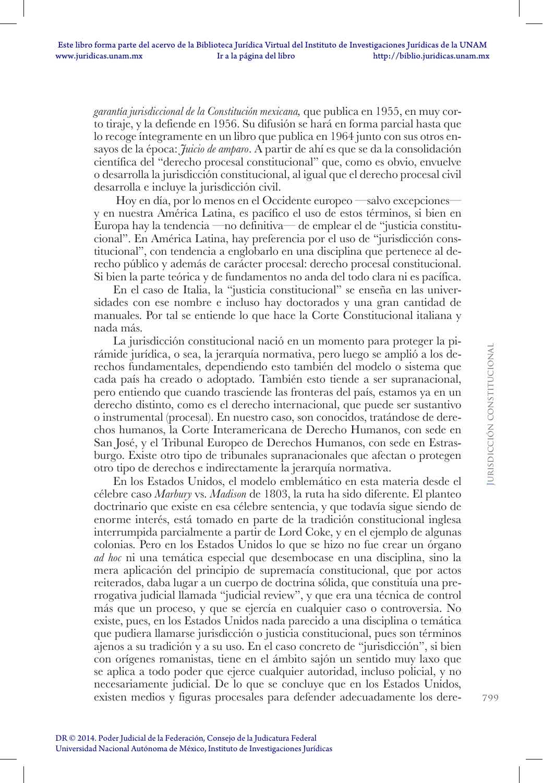*garantía jurisdiccional de la Constitución mexicana,* que publica en 1955, en muy corto tiraje, y la defiende en 1956. Su difusión se hará en forma parcial hasta que lo recoge íntegramente en un libro que publica en 1964 junto con sus otros ensayos de la época: *Juicio de amparo*. A partir de ahí es que se da la consolidación científica del "derecho procesal constitucional" que, como es obvio, envuelve o desarrolla la jurisdicción constitucional, al igual que el derecho procesal civil desarrolla e incluye la jurisdicción civil.

 Hoy en día, por lo menos en el Occidente europeo —salvo excepciones y en nuestra América Latina, es pacífico el uso de estos términos, si bien en Europa hay la tendencia —no definitiva— de emplear el de "justicia constitucional". En América Latina, hay preferencia por el uso de "jurisdicción constitucional", con tendencia a englobarlo en una disciplina que pertenece al derecho público y además de carácter procesal: derecho procesal constitucional. Si bien la parte teórica y de fundamentos no anda del todo clara ni es pacífica.

En el caso de Italia, la "justicia constitucional" se enseña en las universidades con ese nombre e incluso hay doctorados y una gran cantidad de manuales. Por tal se entiende lo que hace la Corte Constitucional italiana y nada más.

La jurisdicción constitucional nació en un momento para proteger la pirámide jurídica, o sea, la jerarquía normativa, pero luego se amplió a los derechos fundamentales, dependiendo esto también del modelo o sistema que cada país ha creado o adoptado. También esto tiende a ser supranacional, pero entiendo que cuando trasciende las fronteras del país, estamos ya en un derecho distinto, como es el derecho internacional, que puede ser sustantivo o instrumental (procesal). En nuestro caso, son conocidos, tratándose de derechos humanos, la Corte Interamericana de Derecho Humanos, con sede en San José, y el Tribunal Europeo de Derechos Humanos, con sede en Estrasburgo. Existe otro tipo de tribunales supranacionales que afectan o protegen otro tipo de derechos e indirectamente la jerarquía normativa.

En los Estados Unidos, el modelo emblemático en esta materia desde el célebre caso *Marbury* vs. *Madison* de 1803, la ruta ha sido diferente. El planteo doctrinario que existe en esa célebre sentencia, y que todavía sigue siendo de enorme interés, está tomado en parte de la tradición constitucional inglesa interrumpida parcialmente a partir de Lord Coke, y en el ejemplo de algunas colonias. Pero en los Estados Unidos lo que se hizo no fue crear un órgano *ad hoc* ni una temática especial que desembocase en una disciplina, sino la mera aplicación del principio de supremacía constitucional, que por actos reiterados, daba lugar a un cuerpo de doctrina sólida, que constituía una prerrogativa judicial llamada "judicial review", y que era una técnica de control más que un proceso, y que se ejercía en cualquier caso o controversia. No existe, pues, en los Estados Unidos nada parecido a una disciplina o temática que pudiera llamarse jurisdicción o justicia constitucional, pues son términos ajenos a su tradición y a su uso. En el caso concreto de "jurisdicción", si bien con orígenes romanistas, tiene en el ámbito sajón un sentido muy laxo que se aplica a todo poder que ejerce cualquier autoridad, incluso policial, y no necesariamente judicial. De lo que se concluye que en los Estados Unidos, existen medios y figuras procesales para defender adecuadamente los dere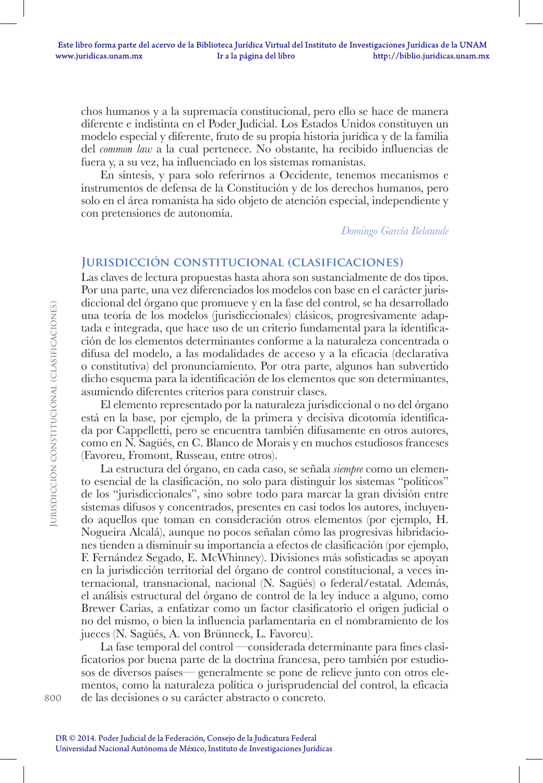chos humanos y a la supremacía constitucional, pero ello se hace de manera diferente e indistinta en el Poder Judicial. Los Estados Unidos constituyen un modelo especial y diferente, fruto de su propia historia jurídica y de la familia del *common law* a la cual pertenece. No obstante, ha recibido influencias de fuera y, a su vez, ha influenciado en los sistemas romanistas.

En síntesis, y para solo referirnos a Occidente, tenemos mecanismos e instrumentos de defensa de la Constitución y de los derechos humanos, pero solo en el área romanista ha sido objeto de atención especial, independiente y con pretensiones de autonomía.

*Domingo García Belaunde*

### **Jurisdicción constitucional (clasificaciones)**

Las claves de lectura propuestas hasta ahora son sustancialmente de dos tipos. Por una parte, una vez diferenciados los modelos con base en el carácter jurisdiccional del órgano que promueve y en la fase del control, se ha desarrollado una teoría de los modelos (jurisdiccionales) clásicos, progresivamente adaptada e integrada, que hace uso de un criterio fundamental para la identificación de los elementos determinantes conforme a la naturaleza concentrada o difusa del modelo, a las modalidades de acceso y a la eficacia (declarativa o constitutiva) del pronunciamiento. Por otra parte, algunos han subvertido dicho esquema para la identificación de los elementos que son determinantes, asumiendo diferentes criterios para construir clases.

El elemento representado por la naturaleza jurisdiccional o no del órgano está en la base, por ejemplo, de la primera y decisiva dicotomía identificada por Cappelletti, pero se encuentra también difusamente en otros autores, como en N. Sagüés, en C. Blanco de Morais y en muchos estudiosos franceses (Favoreu, Fromont, Russeau, entre otros).

La estructura del órgano, en cada caso, se señala *siempre* como un elemento esencial de la clasificación, no solo para distinguir los sistemas "políticos" de los "jurisdiccionales", sino sobre todo para marcar la gran división entre sistemas difusos y concentrados, presentes en casi todos los autores, incluyendo aquellos que toman en consideración otros elementos (por ejemplo, H. Nogueira Alcalá), aunque no pocos señalan cómo las progresivas hibridaciones tienden a disminuir su importancia a efectos de clasificación (por ejemplo, F. Fernández Segado, E. McWhinney). Divisiones más sofisticadas se apoyan en la jurisdicción territorial del órgano de control constitucional, a veces internacional, transnacional, nacional (N. Sagüés) o federal/estatal. Además, el análisis estructural del órgano de control de la ley induce a alguno, como Brewer Carias, a enfatizar como un factor clasificatorio el origen judicial o no del mismo, o bien la influencia parlamentaria en el nombramiento de los jueces (N. Sagüés, A. von Brünneck, L. Favoreu).

La fase temporal del control —considerada determinante para fines clasificatorios por buena parte de la doctrina francesa, pero también por estudiosos de diversos países— generalmente se pone de relieve junto con otros elementos, como la naturaleza política o jurisprudencial del control, la eficacia de las decisiones o su carácter abstracto o concreto.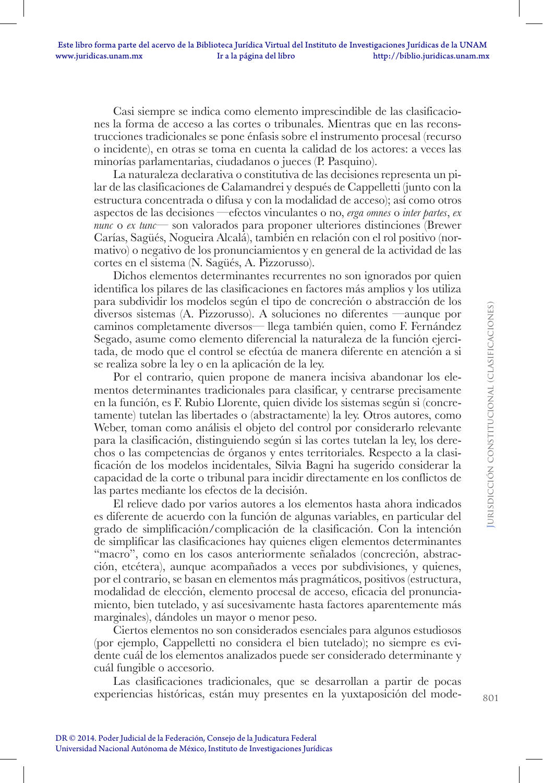Casi siempre se indica como elemento imprescindible de las clasificaciones la forma de acceso a las cortes o tribunales. Mientras que en las reconstrucciones tradicionales se pone énfasis sobre el instrumento procesal (recurso o incidente), en otras se toma en cuenta la calidad de los actores: a veces las minorías parlamentarias, ciudadanos o jueces (P. Pasquino).

La naturaleza declarativa o constitutiva de las decisiones representa un pilar de las clasificaciones de Calamandrei y después de Cappelletti (junto con la estructura concentrada o difusa y con la modalidad de acceso); así como otros aspectos de las decisiones —efectos vinculantes o no, *erga omnes* o *inter partes*, *ex nunc* o *ex tunc*— son valorados para proponer ulteriores distinciones (Brewer Carías, Sagüés, Nogueira Alcalá), también en relación con el rol positivo (normativo) o negativo de los pronunciamientos y en general de la actividad de las cortes en el sistema (N. Sagüés, A. Pizzorusso).

Dichos elementos determinantes recurrentes no son ignorados por quien identifica los pilares de las clasificaciones en factores más amplios y los utiliza para subdividir los modelos según el tipo de concreción o abstracción de los diversos sistemas (A. Pizzorusso). A soluciones no diferentes —aunque por caminos completamente diversos— llega también quien, como F. Fernández Segado, asume como elemento diferencial la naturaleza de la función ejercitada, de modo que el control se efectúa de manera diferente en atención a si se realiza sobre la ley o en la aplicación de la ley.

Por el contrario, quien propone de manera incisiva abandonar los elementos determinantes tradicionales para clasificar, y centrarse precisamente en la función, es F. Rubio Llorente, quien divide los sistemas según si (concretamente) tutelan las libertades o (abstractamente) la ley. Otros autores, como Weber, toman como análisis el objeto del control por considerarlo relevante para la clasificación, distinguiendo según si las cortes tutelan la ley, los derechos o las competencias de órganos y entes territoriales. Respecto a la clasificación de los modelos incidentales, Silvia Bagni ha sugerido considerar la capacidad de la corte o tribunal para incidir directamente en los conflictos de las partes mediante los efectos de la decisión.

El relieve dado por varios autores a los elementos hasta ahora indicados es diferente de acuerdo con la función de algunas variables, en particular del grado de simplificación/complicación de la clasificación. Con la intención de simplificar las clasificaciones hay quienes eligen elementos determinantes "macro", como en los casos anteriormente señalados (concreción, abstracción, etcétera), aunque acompañados a veces por subdivisiones, y quienes, por el contrario, se basan en elementos más pragmáticos, positivos (estructura, modalidad de elección, elemento procesal de acceso, eficacia del pronunciamiento, bien tutelado, y así sucesivamente hasta factores aparentemente más marginales), dándoles un mayor o menor peso.

Ciertos elementos no son considerados esenciales para algunos estudiosos (por ejemplo, Cappelletti no considera el bien tutelado); no siempre es evidente cuál de los elementos analizados puede ser considerado determinante y cuál fungible o accesorio.

Las clasificaciones tradicionales, que se desarrollan a partir de pocas experiencias históricas, están muy presentes en la yuxtaposición del mode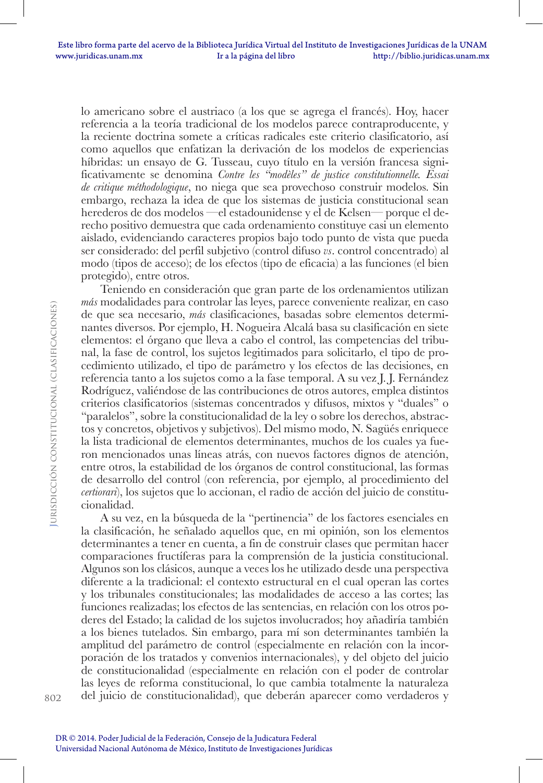lo americano sobre el austriaco (a los que se agrega el francés). Hoy, hacer referencia a la teoría tradicional de los modelos parece contraproducente, y la reciente doctrina somete a críticas radicales este criterio clasificatorio, así como aquellos que enfatizan la derivación de los modelos de experiencias híbridas: un ensayo de G. Tusseau, cuyo título en la versión francesa significativamente se denomina *Contre les "modèles" de justice constitutionnelle. Essai de critique méthodologique*, no niega que sea provechoso construir modelos. Sin embargo, rechaza la idea de que los sistemas de justicia constitucional sean herederos de dos modelos —el estadounidense y el de Kelsen— porque el derecho positivo demuestra que cada ordenamiento constituye casi un elemento aislado, evidenciando caracteres propios bajo todo punto de vista que pueda ser considerado: del perfil subjetivo (control difuso *vs*. control concentrado) al modo (tipos de acceso); de los efectos (tipo de eficacia) a las funciones (el bien protegido), entre otros.

Teniendo en consideración que gran parte de los ordenamientos utilizan *más* modalidades para controlar las leyes, parece conveniente realizar, en caso de que sea necesario, *más* clasificaciones, basadas sobre elementos determinantes diversos. Por ejemplo, H. Nogueira Alcalá basa su clasificación en siete elementos: el órgano que lleva a cabo el control, las competencias del tribunal, la fase de control, los sujetos legitimados para solicitarlo, el tipo de procedimiento utilizado, el tipo de parámetro y los efectos de las decisiones, en referencia tanto a los sujetos como a la fase temporal. A su vez J. J. Fernández Rodríguez, valiéndose de las contribuciones de otros autores, emplea distintos criterios clasificatorios (sistemas concentrados y difusos, mixtos y "duales" o "paralelos", sobre la constitucionalidad de la ley o sobre los derechos, abstractos y concretos, objetivos y subjetivos). Del mismo modo, N. Sagüés enriquece la lista tradicional de elementos determinantes, muchos de los cuales ya fueron mencionados unas líneas atrás, con nuevos factores dignos de atención, entre otros, la estabilidad de los órganos de control constitucional, las formas de desarrollo del control (con referencia, por ejemplo, al procedimiento del *certiorari*), los sujetos que lo accionan, el radio de acción del juicio de constitucionalidad.

A su vez, en la búsqueda de la "pertinencia" de los factores esenciales en la clasificación, he señalado aquellos que, en mi opinión, son los elementos determinantes a tener en cuenta, a fin de construir clases que permitan hacer comparaciones fructíferas para la comprensión de la justicia constitucional. Algunos son los clásicos, aunque a veces los he utilizado desde una perspectiva diferente a la tradicional: el contexto estructural en el cual operan las cortes y los tribunales constitucionales; las modalidades de acceso a las cortes; las funciones realizadas; los efectos de las sentencias, en relación con los otros poderes del Estado; la calidad de los sujetos involucrados; hoy añadiría también a los bienes tutelados. Sin embargo, para mí son determinantes también la amplitud del parámetro de control (especialmente en relación con la incorporación de los tratados y convenios internacionales), y del objeto del juicio de constitucionalidad (especialmente en relación con el poder de controlar las leyes de reforma constitucional, lo que cambia totalmente la naturaleza del juicio de constitucionalidad), que deberán aparecer como verdaderos y

802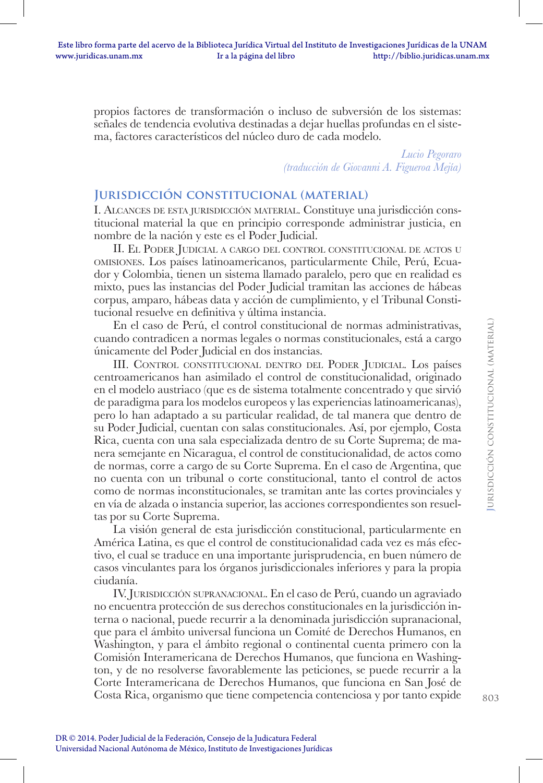propios factores de transformación o incluso de subversión de los sistemas: señales de tendencia evolutiva destinadas a dejar huellas profundas en el sistema, factores característicos del núcleo duro de cada modelo.

> *Lucio Pegoraro (traducción de Giovanni A. Figueroa Mejía)*

### **Jurisdicción constitucional (material)**

I. Alcances de esta jurisdicción material. Constituye una jurisdicción constitucional material la que en principio corresponde administrar justicia, en nombre de la nación y este es el Poder Judicial.

II. El Poder Judicial <sup>a</sup> cargo del control constitucional de actos <sup>u</sup> omisiones. Los países latinoamericanos, particularmente Chile, Perú, Ecuador y Colombia, tienen un sistema llamado paralelo, pero que en realidad es mixto, pues las instancias del Poder Judicial tramitan las acciones de hábeas corpus, amparo, hábeas data y acción de cumplimiento, y el Tribunal Constitucional resuelve en definitiva y última instancia.

En el caso de Perú, el control constitucional de normas administrativas, cuando contradicen a normas legales o normas constitucionales, está a cargo únicamente del Poder Judicial en dos instancias.

III. Control constitucional dentro del Poder Judicial. Los países centroamericanos han asimilado el control de constitucionalidad, originado en el modelo austriaco (que es de sistema totalmente concentrado y que sirvió de paradigma para los modelos europeos y las experiencias latinoamericanas), pero lo han adaptado a su particular realidad, de tal manera que dentro de su Poder Judicial, cuentan con salas constitucionales. Así, por ejemplo, Costa Rica, cuenta con una sala especializada dentro de su Corte Suprema; de manera semejante en Nicaragua, el control de constitucionalidad, de actos como de normas, corre a cargo de su Corte Suprema. En el caso de Argentina, que no cuenta con un tribunal o corte constitucional, tanto el control de actos como de normas inconstitucionales, se tramitan ante las cortes provinciales y en vía de alzada o instancia superior, las acciones correspondientes son resueltas por su Corte Suprema.

La visión general de esta jurisdicción constitucional, particularmente en América Latina, es que el control de constitucionalidad cada vez es más efectivo, el cual se traduce en una importante jurisprudencia, en buen número de casos vinculantes para los órganos jurisdiccionales inferiores y para la propia ciudanía.

IV. Jurisdicción supranacional. En el caso de Perú, cuando un agraviado no encuentra protección de sus derechos constitucionales en la jurisdicción interna o nacional, puede recurrir a la denominada jurisdicción supranacional, que para el ámbito universal funciona un Comité de Derechos Humanos, en Washington, y para el ámbito regional o continental cuenta primero con la Comisión Interamericana de Derechos Humanos, que funciona en Washington, y de no resolverse favorablemente las peticiones, se puede recurrir a la Corte Interamericana de Derechos Humanos, que funciona en San José de Costa Rica, organismo que tiene competencia contenciosa y por tanto expide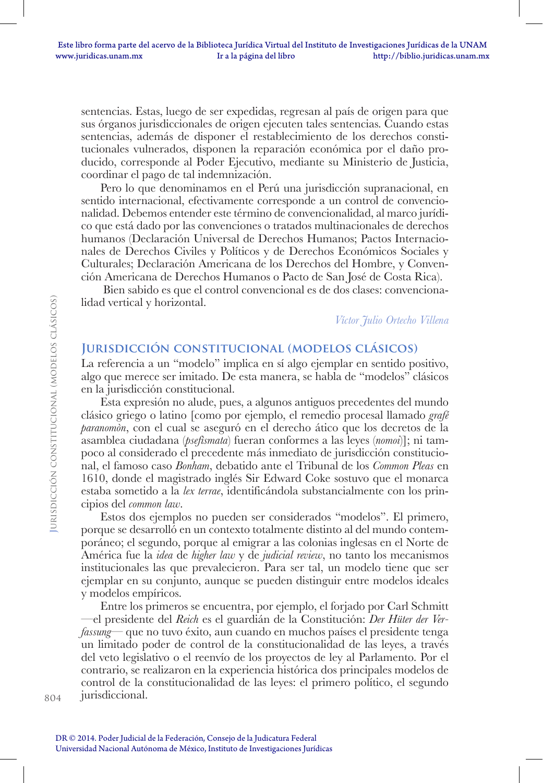sentencias. Estas, luego de ser expedidas, regresan al país de origen para que sus órganos jurisdiccionales de origen ejecuten tales sentencias. Cuando estas sentencias, además de disponer el restablecimiento de los derechos constitucionales vulnerados, disponen la reparación económica por el daño producido, corresponde al Poder Ejecutivo, mediante su Ministerio de Justicia, coordinar el pago de tal indemnización.

Pero lo que denominamos en el Perú una jurisdicción supranacional, en sentido internacional, efectivamente corresponde a un control de convencionalidad. Debemos entender este término de convencionalidad, al marco jurídico que está dado por las convenciones o tratados multinacionales de derechos humanos (Declaración Universal de Derechos Humanos; Pactos Internacionales de Derechos Civiles y Políticos y de Derechos Económicos Sociales y Culturales; Declaración Americana de los Derechos del Hombre, y Convención Americana de Derechos Humanos o Pacto de San José de Costa Rica).

 Bien sabido es que el control convencional es de dos clases: convencionalidad vertical y horizontal.

*Víctor Julio Ortecho Villena*

### **Jurisdicción constitucional (modelos clásicos)**

La referencia a un "modelo" implica en sí algo ejemplar en sentido positivo, algo que merece ser imitado. De esta manera, se habla de "modelos" clásicos en la jurisdicción constitucional.

Esta expresión no alude, pues, a algunos antiguos precedentes del mundo clásico griego o latino [como por ejemplo, el remedio procesal llamado *grafé paranomòn*, con el cual se aseguró en el derecho ático que los decretos de la asamblea ciudadana (*psefìsmata*) fueran conformes a las leyes (*nomoi*)]; ni tampoco al considerado el precedente más inmediato de jurisdicción constitucional, el famoso caso *Bonham*, debatido ante el Tribunal de los *Common Pleas* en 1610, donde el magistrado inglés Sir Edward Coke sostuvo que el monarca estaba sometido a la *lex terrae*, identificándola substancialmente con los principios del *common law*.

Estos dos ejemplos no pueden ser considerados "modelos". El primero, porque se desarrolló en un contexto totalmente distinto al del mundo contemporáneo; el segundo, porque al emigrar a las colonias inglesas en el Norte de América fue la *idea* de *higher law* y de *judicial review*, no tanto los mecanismos institucionales las que prevalecieron. Para ser tal, un modelo tiene que ser ejemplar en su conjunto, aunque se pueden distinguir entre modelos ideales y modelos empíricos.

Entre los primeros se encuentra, por ejemplo, el forjado por Carl Schmitt —el presidente del *Reich* es el guardián de la Constitución: *Der Hüter der Verfassung*— que no tuvo éxito, aun cuando en muchos países el presidente tenga un limitado poder de control de la constitucionalidad de las leyes, a través del veto legislativo o el reenvío de los proyectos de ley al Parlamento. Por el contrario, se realizaron en la experiencia histórica dos principales modelos de control de la constitucionalidad de las leyes: el primero político, el segundo jurisdiccional.

804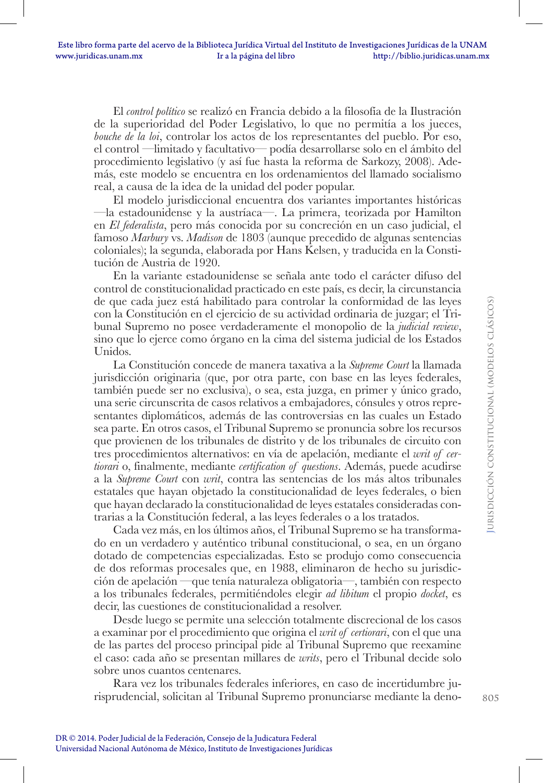El *control político* se realizó en Francia debido a la filosofía de la Ilustración de la superioridad del Poder Legislativo, lo que no permitía a los jueces, *bouche de la loi*, controlar los actos de los representantes del pueblo. Por eso, el control —limitado y facultativo— podía desarrollarse solo en el ámbito del procedimiento legislativo (y así fue hasta la reforma de Sarkozy, 2008). Además, este modelo se encuentra en los ordenamientos del llamado socialismo real, a causa de la idea de la unidad del poder popular.

El modelo jurisdiccional encuentra dos variantes importantes históricas —la estadounidense y la austríaca—. La primera, teorizada por Hamilton en *El federalista*, pero más conocida por su concreción en un caso judicial, el famoso *Marbury* vs. *Madison* de 1803 (aunque precedido de algunas sentencias coloniales); la segunda, elaborada por Hans Kelsen, y traducida en la Constitución de Austria de 1920.

En la variante estadounidense se señala ante todo el carácter difuso del control de constitucionalidad practicado en este país, es decir, la circunstancia de que cada juez está habilitado para controlar la conformidad de las leyes con la Constitución en el ejercicio de su actividad ordinaria de juzgar; el Tribunal Supremo no posee verdaderamente el monopolio de la *judicial review*, sino que lo ejerce como órgano en la cima del sistema judicial de los Estados Unidos.

La Constitución concede de manera taxativa a la *Supreme Court* la llamada jurisdicción originaria (que, por otra parte, con base en las leyes federales, también puede ser no exclusiva), o sea, esta juzga, en primer y único grado, una serie circunscrita de casos relativos a embajadores, cónsules y otros representantes diplomáticos, además de las controversias en las cuales un Estado sea parte. En otros casos, el Tribunal Supremo se pronuncia sobre los recursos que provienen de los tribunales de distrito y de los tribunales de circuito con tres procedimientos alternativos: en vía de apelación, mediante el *writ of certiorari* o, finalmente, mediante *certification of questions*. Además, puede acudirse a la *Supreme Court* con *writ*, contra las sentencias de los más altos tribunales estatales que hayan objetado la constitucionalidad de leyes federales, o bien que hayan declarado la constitucionalidad de leyes estatales consideradas contrarias a la Constitución federal, a las leyes federales o a los tratados.

Cada vez más, en los últimos años, el Tribunal Supremo se ha transformado en un verdadero y auténtico tribunal constitucional, o sea, en un órgano dotado de competencias especializadas. Esto se produjo como consecuencia de dos reformas procesales que, en 1988, eliminaron de hecho su jurisdicción de apelación —que tenía naturaleza obligatoria—, también con respecto a los tribunales federales, permitiéndoles elegir *ad libitum* el propio *docket*, es decir, las cuestiones de constitucionalidad a resolver.

Desde luego se permite una selección totalmente discrecional de los casos a examinar por el procedimiento que origina el *writ of certiorari*, con el que una de las partes del proceso principal pide al Tribunal Supremo que reexamine el caso: cada año se presentan millares de *writs*, pero el Tribunal decide solo sobre unos cuantos centenares.

Rara vez los tribunales federales inferiores, en caso de incertidumbre jurisprudencial, solicitan al Tribunal Supremo pronunciarse mediante la deno-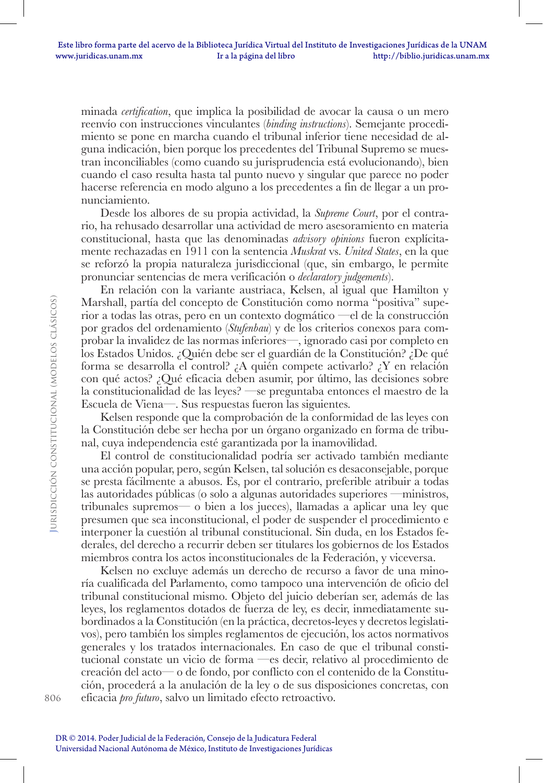minada *certification*, que implica la posibilidad de avocar la causa o un mero reenvío con instrucciones vinculantes (*binding instructions*). Semejante procedimiento se pone en marcha cuando el tribunal inferior tiene necesidad de alguna indicación, bien porque los precedentes del Tribunal Supremo se muestran inconciliables (como cuando su jurisprudencia está evolucionando), bien cuando el caso resulta hasta tal punto nuevo y singular que parece no poder hacerse referencia en modo alguno a los precedentes a fin de llegar a un pronunciamiento.

Desde los albores de su propia actividad, la *Supreme Court*, por el contrario, ha rehusado desarrollar una actividad de mero asesoramiento en materia constitucional, hasta que las denominadas *advisory opinions* fueron explícitamente rechazadas en 1911 con la sentencia *Muskrat* vs. *United States*, en la que se reforzó la propia naturaleza jurisdiccional (que, sin embargo, le permite pronunciar sentencias de mera verificación o *declaratory judgements*).

En relación con la variante austriaca, Kelsen, al igual que Hamilton y Marshall, partía del concepto de Constitución como norma "positiva" superior a todas las otras, pero en un contexto dogmático —el de la construcción por grados del ordenamiento (*Stufenbau*) y de los criterios conexos para comprobar la invalidez de las normas inferiores—, ignorado casi por completo en los Estados Unidos. ¿Quién debe ser el guardián de la Constitución? ¿De qué forma se desarrolla el control? ¿A quién compete activarlo? ¿Y en relación con qué actos? ¿Qué eficacia deben asumir, por último, las decisiones sobre la constitucionalidad de las leyes? —se preguntaba entonces el maestro de la Escuela de Viena—. Sus respuestas fueron las siguientes.

Kelsen responde que la comprobación de la conformidad de las leyes con la Constitución debe ser hecha por un órgano organizado en forma de tribunal, cuya independencia esté garantizada por la inamovilidad.

El control de constitucionalidad podría ser activado también mediante una acción popular, pero, según Kelsen, tal solución es desaconsejable, porque se presta fácilmente a abusos. Es, por el contrario, preferible atribuir a todas las autoridades públicas (o solo a algunas autoridades superiores —ministros, tribunales supremos— o bien a los jueces), llamadas a aplicar una ley que presumen que sea inconstitucional, el poder de suspender el procedimiento e interponer la cuestión al tribunal constitucional. Sin duda, en los Estados federales, del derecho a recurrir deben ser titulares los gobiernos de los Estados miembros contra los actos inconstitucionales de la Federación, y viceversa.

Kelsen no excluye además un derecho de recurso a favor de una minoría cualificada del Parlamento, como tampoco una intervención de oficio del tribunal constitucional mismo. Objeto del juicio deberían ser, además de las leyes, los reglamentos dotados de fuerza de ley, es decir, inmediatamente subordinados a la Constitución (en la práctica, decretos-leyes y decretos legislativos), pero también los simples reglamentos de ejecución, los actos normativos generales y los tratados internacionales. En caso de que el tribunal constitucional constate un vicio de forma —es decir, relativo al procedimiento de creación del acto— o de fondo, por conflicto con el contenido de la Constitución, procederá a la anulación de la ley o de sus disposiciones concretas, con eficacia *pro futuro*, salvo un limitado efecto retroactivo.

806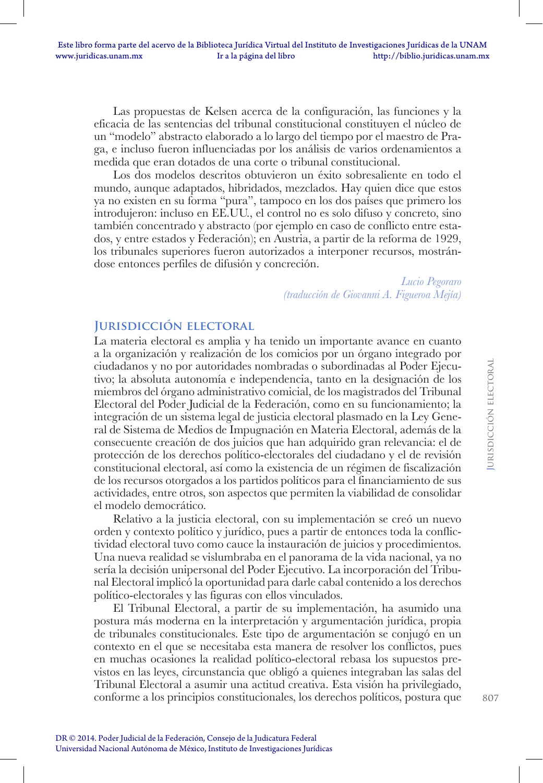Las propuestas de Kelsen acerca de la configuración, las funciones y la eficacia de las sentencias del tribunal constitucional constituyen el núcleo de un "modelo" abstracto elaborado a lo largo del tiempo por el maestro de Praga, e incluso fueron influenciadas por los análisis de varios ordenamientos a medida que eran dotados de una corte o tribunal constitucional.

Los dos modelos descritos obtuvieron un éxito sobresaliente en todo el mundo, aunque adaptados, hibridados, mezclados. Hay quien dice que estos ya no existen en su forma "pura", tampoco en los dos países que primero los introdujeron: incluso en EE.UU., el control no es solo difuso y concreto, sino también concentrado y abstracto (por ejemplo en caso de conflicto entre estados, y entre estados y Federación); en Austria, a partir de la reforma de 1929, los tribunales superiores fueron autorizados a interponer recursos, mostrándose entonces perfiles de difusión y concreción.

> *Lucio Pegoraro (traducción de Giovanni A. Figueroa Mejía)*

## **Jurisdicción electoral**

La materia electoral es amplia y ha tenido un importante avance en cuanto a la organización y realización de los comicios por un órgano integrado por ciudadanos y no por autoridades nombradas o subordinadas al Poder Ejecutivo; la absoluta autonomía e independencia, tanto en la designación de los miembros del órgano administrativo comicial, de los magistrados del Tribunal Electoral del Poder Judicial de la Federación, como en su funcionamiento; la integración de un sistema legal de justicia electoral plasmado en la Ley General de Sistema de Medios de Impugnación en Materia Electoral, además de la consecuente creación de dos juicios que han adquirido gran relevancia: el de protección de los derechos político-electorales del ciudadano y el de revisión constitucional electoral, así como la existencia de un régimen de fiscalización de los recursos otorgados a los partidos políticos para el financiamiento de sus actividades, entre otros, son aspectos que permiten la viabilidad de consolidar el modelo democrático.

Relativo a la justicia electoral, con su implementación se creó un nuevo orden y contexto político y jurídico, pues a partir de entonces toda la conflictividad electoral tuvo como cauce la instauración de juicios y procedimientos. Una nueva realidad se vislumbraba en el panorama de la vida nacional, ya no sería la decisión unipersonal del Poder Ejecutivo. La incorporación del Tribunal Electoral implicó la oportunidad para darle cabal contenido a los derechos político-electorales y las figuras con ellos vinculados.

El Tribunal Electoral, a partir de su implementación, ha asumido una postura más moderna en la interpretación y argumentación jurídica, propia de tribunales constitucionales. Este tipo de argumentación se conjugó en un contexto en el que se necesitaba esta manera de resolver los conflictos, pues en muchas ocasiones la realidad político-electoral rebasa los supuestos previstos en las leyes, circunstancia que obligó a quienes integraban las salas del Tribunal Electoral a asumir una actitud creativa. Esta visión ha privilegiado, conforme a los principios constitucionales, los derechos políticos, postura que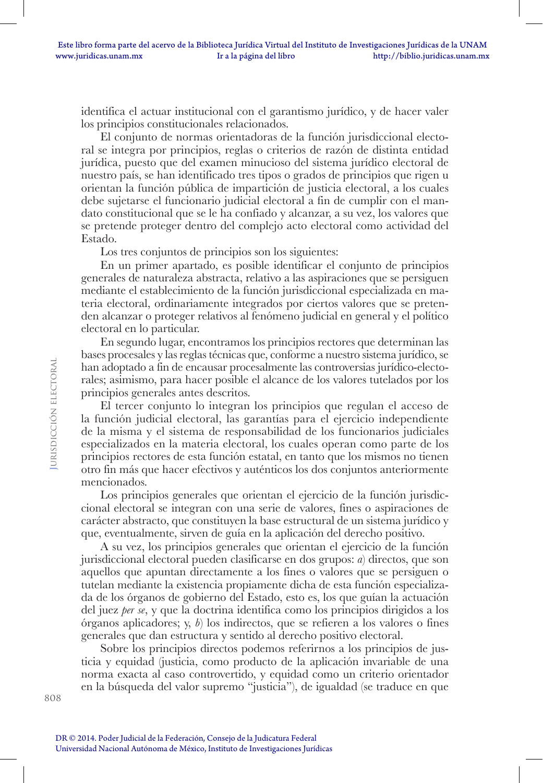identifica el actuar institucional con el garantismo jurídico, y de hacer valer los principios constitucionales relacionados.

El conjunto de normas orientadoras de la función jurisdiccional electoral se integra por principios, reglas o criterios de razón de distinta entidad jurídica, puesto que del examen minucioso del sistema jurídico electoral de nuestro país, se han identificado tres tipos o grados de principios que rigen u orientan la función pública de impartición de justicia electoral, a los cuales debe sujetarse el funcionario judicial electoral a fin de cumplir con el mandato constitucional que se le ha confiado y alcanzar, a su vez, los valores que se pretende proteger dentro del complejo acto electoral como actividad del Estado.

Los tres conjuntos de principios son los siguientes:

En un primer apartado, es posible identificar el conjunto de principios generales de naturaleza abstracta, relativo a las aspiraciones que se persiguen mediante el establecimiento de la función jurisdiccional especializada en materia electoral, ordinariamente integrados por ciertos valores que se pretenden alcanzar o proteger relativos al fenómeno judicial en general y el político electoral en lo particular.

En segundo lugar, encontramos los principios rectores que determinan las bases procesales y las reglas técnicas que, conforme a nuestro sistema jurídico, se han adoptado a fin de encausar procesalmente las controversias jurídico-electorales; asimismo, para hacer posible el alcance de los valores tutelados por los principios generales antes descritos.

El tercer conjunto lo integran los principios que regulan el acceso de la función judicial electoral, las garantías para el ejercicio independiente de la misma y el sistema de responsabilidad de los funcionarios judiciales especializados en la materia electoral, los cuales operan como parte de los principios rectores de esta función estatal, en tanto que los mismos no tienen otro fin más que hacer efectivos y auténticos los dos conjuntos anteriormente mencionados.

Los principios generales que orientan el ejercicio de la función jurisdiccional electoral se integran con una serie de valores, fines o aspiraciones de carácter abstracto, que constituyen la base estructural de un sistema jurídico y que, eventualmente, sirven de guía en la aplicación del derecho positivo.

A su vez, los principios generales que orientan el ejercicio de la función jurisdiccional electoral pueden clasificarse en dos grupos: *a*) directos, que son aquellos que apuntan directamente a los fines o valores que se persiguen o tutelan mediante la existencia propiamente dicha de esta función especializada de los órganos de gobierno del Estado, esto es, los que guían la actuación del juez *per se*, y que la doctrina identifica como los principios dirigidos a los órganos aplicadores; y, *b*) los indirectos, que se refieren a los valores o fines generales que dan estructura y sentido al derecho positivo electoral.

Sobre los principios directos podemos referirnos a los principios de justicia y equidad (justicia, como producto de la aplicación invariable de una norma exacta al caso controvertido, y equidad como un criterio orientador en la búsqueda del valor supremo "justicia"), de igualdad (se traduce en que

DR © 2014. Poder Judicial de la Federación, Consejo de la Judicatura Federal Universidad Nacional Autónoma de México, Instituto de Investigaciones Jurídicas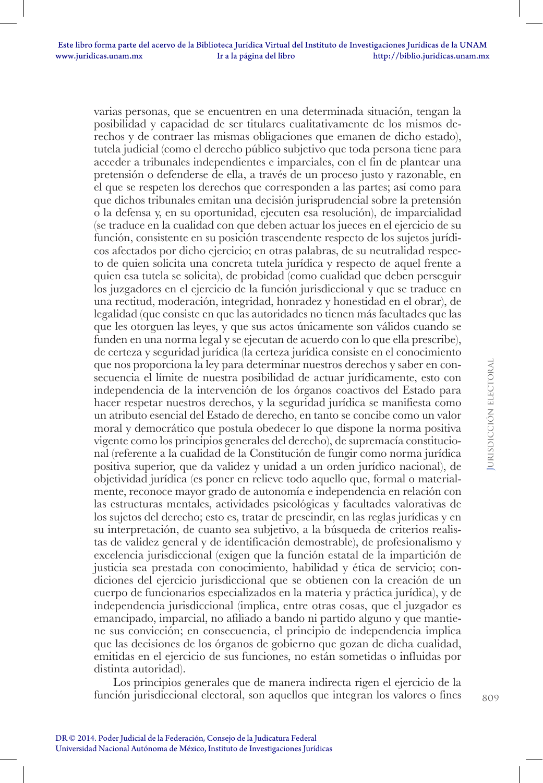varias personas, que se encuentren en una determinada situación, tengan la posibilidad y capacidad de ser titulares cualitativamente de los mismos derechos y de contraer las mismas obligaciones que emanen de dicho estado), tutela judicial (como el derecho público subjetivo que toda persona tiene para acceder a tribunales independientes e imparciales, con el fin de plantear una pretensión o defenderse de ella, a través de un proceso justo y razonable, en el que se respeten los derechos que corresponden a las partes; así como para que dichos tribunales emitan una decisión jurisprudencial sobre la pretensión o la defensa y, en su oportunidad, ejecuten esa resolución), de imparcialidad (se traduce en la cualidad con que deben actuar los jueces en el ejercicio de su función, consistente en su posición trascendente respecto de los sujetos jurídicos afectados por dicho ejercicio; en otras palabras, de su neutralidad respecto de quien solicita una concreta tutela jurídica y respecto de aquel frente a quien esa tutela se solicita), de probidad (como cualidad que deben perseguir los juzgadores en el ejercicio de la función jurisdiccional y que se traduce en una rectitud, moderación, integridad, honradez y honestidad en el obrar), de legalidad (que consiste en que las autoridades no tienen más facultades que las que les otorguen las leyes, y que sus actos únicamente son válidos cuando se funden en una norma legal y se ejecutan de acuerdo con lo que ella prescribe), de certeza y seguridad jurídica (la certeza jurídica consiste en el conocimiento que nos proporciona la ley para determinar nuestros derechos y saber en consecuencia el límite de nuestra posibilidad de actuar jurídicamente, esto con independencia de la intervención de los órganos coactivos del Estado para hacer respetar nuestros derechos, y la seguridad jurídica se manifiesta como un atributo esencial del Estado de derecho, en tanto se concibe como un valor moral y democrático que postula obedecer lo que dispone la norma positiva vigente como los principios generales del derecho), de supremacía constitucional (referente a la cualidad de la Constitución de fungir como norma jurídica positiva superior, que da validez y unidad a un orden jurídico nacional), de objetividad jurídica (es poner en relieve todo aquello que, formal o materialmente, reconoce mayor grado de autonomía e independencia en relación con las estructuras mentales, actividades psicológicas y facultades valorativas de los sujetos del derecho; esto es, tratar de prescindir, en las reglas jurídicas y en su interpretación, de cuanto sea subjetivo, a la búsqueda de criterios realistas de validez general y de identificación demostrable), de profesionalismo y excelencia jurisdiccional (exigen que la función estatal de la impartición de justicia sea prestada con conocimiento, habilidad y ética de servicio; condiciones del ejercicio jurisdiccional que se obtienen con la creación de un cuerpo de funcionarios especializados en la materia y práctica jurídica), y de independencia jurisdiccional (implica, entre otras cosas, que el juzgador es emancipado, imparcial, no afiliado a bando ni partido alguno y que mantiene sus convicción; en consecuencia, el principio de independencia implica que las decisiones de los órganos de gobierno que gozan de dicha cualidad, emitidas en el ejercicio de sus funciones, no están sometidas o influidas por distinta autoridad).

Los principios generales que de manera indirecta rigen el ejercicio de la función jurisdiccional electoral, son aquellos que integran los valores o fines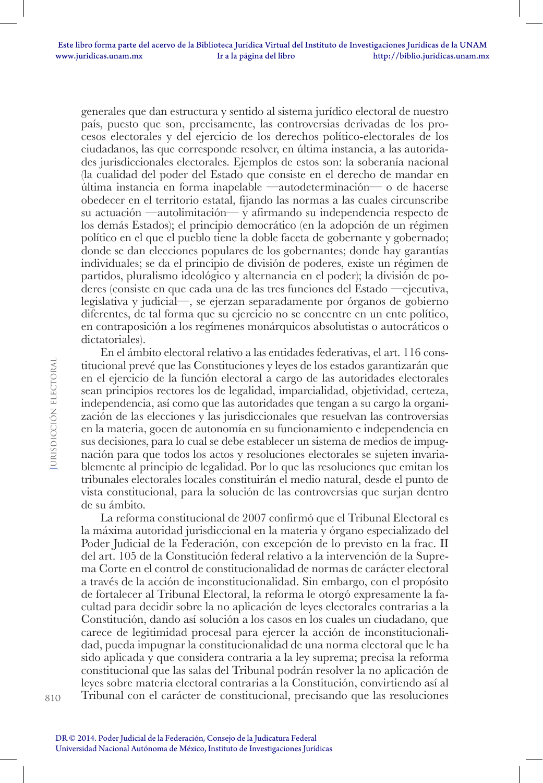generales que dan estructura y sentido al sistema jurídico electoral de nuestro país, puesto que son, precisamente, las controversias derivadas de los procesos electorales y del ejercicio de los derechos político-electorales de los ciudadanos, las que corresponde resolver, en última instancia, a las autoridades jurisdiccionales electorales. Ejemplos de estos son: la soberanía nacional (la cualidad del poder del Estado que consiste en el derecho de mandar en última instancia en forma inapelable —autodeterminación— o de hacerse obedecer en el territorio estatal, fijando las normas a las cuales circunscribe su actuación —autolimitación— y afirmando su independencia respecto de los demás Estados); el principio democrático (en la adopción de un régimen político en el que el pueblo tiene la doble faceta de gobernante y gobernado; donde se dan elecciones populares de los gobernantes; donde hay garantías individuales; se da el principio de división de poderes, existe un régimen de partidos, pluralismo ideológico y alternancia en el poder); la división de poderes (consiste en que cada una de las tres funciones del Estado —ejecutiva, legislativa y judicial—, se ejerzan separadamente por órganos de gobierno diferentes, de tal forma que su ejercicio no se concentre en un ente político, en contraposición a los regímenes monárquicos absolutistas o autocráticos o dictatoriales).

En el ámbito electoral relativo a las entidades federativas, el art. 116 constitucional prevé que las Constituciones y leyes de los estados garantizarán que en el ejercicio de la función electoral a cargo de las autoridades electorales sean principios rectores los de legalidad, imparcialidad, objetividad, certeza, independencia, así como que las autoridades que tengan a su cargo la organización de las elecciones y las jurisdiccionales que resuelvan las controversias en la materia, gocen de autonomía en su funcionamiento e independencia en sus decisiones, para lo cual se debe establecer un sistema de medios de impugnación para que todos los actos y resoluciones electorales se sujeten invariablemente al principio de legalidad. Por lo que las resoluciones que emitan los tribunales electorales locales constituirán el medio natural, desde el punto de vista constitucional, para la solución de las controversias que surjan dentro de su ámbito.

La reforma constitucional de 2007 confirmó que el Tribunal Electoral es la máxima autoridad jurisdiccional en la materia y órgano especializado del Poder Judicial de la Federación, con excepción de lo previsto en la frac. II del art. 105 de la Constitución federal relativo a la intervención de la Suprema Corte en el control de constitucionalidad de normas de carácter electoral a través de la acción de inconstitucionalidad. Sin embargo, con el propósito de fortalecer al Tribunal Electoral, la reforma le otorgó expresamente la facultad para decidir sobre la no aplicación de leyes electorales contrarias a la Constitución, dando así solución a los casos en los cuales un ciudadano, que carece de legitimidad procesal para ejercer la acción de inconstitucionalidad, pueda impugnar la constitucionalidad de una norma electoral que le ha sido aplicada y que considera contraria a la ley suprema; precisa la reforma constitucional que las salas del Tribunal podrán resolver la no aplicación de leyes sobre materia electoral contrarias a la Constitución, convirtiendo así al Tribunal con el carácter de constitucional, precisando que las resoluciones

**J**urisdicción electoral

**JURISDICCIÓN ELECTORAL**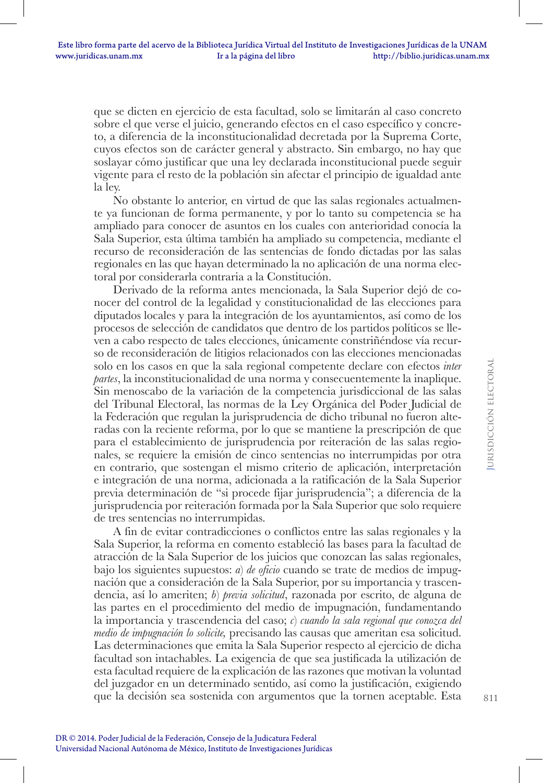que se dicten en ejercicio de esta facultad, solo se limitarán al caso concreto sobre el que verse el juicio, generando efectos en el caso específico y concreto, a diferencia de la inconstitucionalidad decretada por la Suprema Corte, cuyos efectos son de carácter general y abstracto. Sin embargo, no hay que soslayar cómo justificar que una ley declarada inconstitucional puede seguir vigente para el resto de la población sin afectar el principio de igualdad ante la ley.

No obstante lo anterior, en virtud de que las salas regionales actualmente ya funcionan de forma permanente, y por lo tanto su competencia se ha ampliado para conocer de asuntos en los cuales con anterioridad conocía la Sala Superior, esta última también ha ampliado su competencia, mediante el recurso de reconsideración de las sentencias de fondo dictadas por las salas regionales en las que hayan determinado la no aplicación de una norma electoral por considerarla contraria a la Constitución.

Derivado de la reforma antes mencionada, la Sala Superior dejó de conocer del control de la legalidad y constitucionalidad de las elecciones para diputados locales y para la integración de los ayuntamientos, así como de los procesos de selección de candidatos que dentro de los partidos políticos se lleven a cabo respecto de tales elecciones, únicamente constriñéndose vía recurso de reconsideración de litigios relacionados con las elecciones mencionadas solo en los casos en que la sala regional competente declare con efectos *inter partes*, la inconstitucionalidad de una norma y consecuentemente la inaplique. Sin menoscabo de la variación de la competencia jurisdiccional de las salas del Tribunal Electoral, las normas de la Ley Orgánica del Poder Judicial de la Federación que regulan la jurisprudencia de dicho tribunal no fueron alteradas con la reciente reforma, por lo que se mantiene la prescripción de que para el establecimiento de jurisprudencia por reiteración de las salas regionales, se requiere la emisión de cinco sentencias no interrumpidas por otra en contrario, que sostengan el mismo criterio de aplicación, interpretación e integración de una norma, adicionada a la ratificación de la Sala Superior previa determinación de "si procede fijar jurisprudencia"; a diferencia de la jurisprudencia por reiteración formada por la Sala Superior que solo requiere de tres sentencias no interrumpidas.

A fin de evitar contradicciones o conflictos entre las salas regionales y la Sala Superior, la reforma en comento estableció las bases para la facultad de atracción de la Sala Superior de los juicios que conozcan las salas regionales, bajo los siguientes supuestos: *a*) *de oficio* cuando se trate de medios de impugnación que a consideración de la Sala Superior, por su importancia y trascendencia, así lo ameriten; *b*) *previa solicitud*, razonada por escrito, de alguna de las partes en el procedimiento del medio de impugnación, fundamentando la importancia y trascendencia del caso; *c*) *cuando la sala regional que conozca del medio de impugnación lo solicite,* precisando las causas que ameritan esa solicitud. Las determinaciones que emita la Sala Superior respecto al ejercicio de dicha facultad son intachables. La exigencia de que sea justificada la utilización de esta facultad requiere de la explicación de las razones que motivan la voluntad del juzgador en un determinado sentido, así como la justificación, exigiendo que la decisión sea sostenida con argumentos que la tornen aceptable. Esta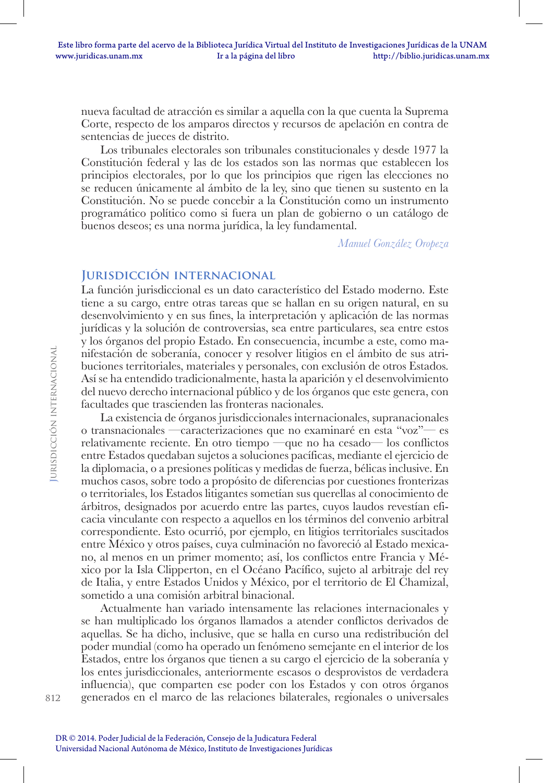nueva facultad de atracción es similar a aquella con la que cuenta la Suprema Corte, respecto de los amparos directos y recursos de apelación en contra de sentencias de jueces de distrito.

Los tribunales electorales son tribunales constitucionales y desde 1977 la Constitución federal y las de los estados son las normas que establecen los principios electorales, por lo que los principios que rigen las elecciones no se reducen únicamente al ámbito de la ley, sino que tienen su sustento en la Constitución. No se puede concebir a la Constitución como un instrumento programático político como si fuera un plan de gobierno o un catálogo de buenos deseos; es una norma jurídica, la ley fundamental.

*Manuel González Oropeza*

## **Jurisdicción internacional**

La función jurisdiccional es un dato característico del Estado moderno. Este tiene a su cargo, entre otras tareas que se hallan en su origen natural, en su desenvolvimiento y en sus fines, la interpretación y aplicación de las normas jurídicas y la solución de controversias, sea entre particulares, sea entre estos y los órganos del propio Estado. En consecuencia, incumbe a este, como manifestación de soberanía, conocer y resolver litigios en el ámbito de sus atribuciones territoriales, materiales y personales, con exclusión de otros Estados. Así se ha entendido tradicionalmente, hasta la aparición y el desenvolvimiento del nuevo derecho internacional público y de los órganos que este genera, con facultades que trascienden las fronteras nacionales.

La existencia de órganos jurisdiccionales internacionales, supranacionales o transnacionales —caracterizaciones que no examinaré en esta "voz"— es relativamente reciente. En otro tiempo —que no ha cesado— los conflictos entre Estados quedaban sujetos a soluciones pacíficas, mediante el ejercicio de la diplomacia, o a presiones políticas y medidas de fuerza, bélicas inclusive. En muchos casos, sobre todo a propósito de diferencias por cuestiones fronterizas o territoriales, los Estados litigantes sometían sus querellas al conocimiento de árbitros, designados por acuerdo entre las partes, cuyos laudos revestían eficacia vinculante con respecto a aquellos en los términos del convenio arbitral correspondiente. Esto ocurrió, por ejemplo, en litigios territoriales suscitados entre México y otros países, cuya culminación no favoreció al Estado mexicano, al menos en un primer momento; así, los conflictos entre Francia y México por la Isla Clipperton, en el Océano Pacífico, sujeto al arbitraje del rey de Italia, y entre Estados Unidos y México, por el territorio de El Chamizal, sometido a una comisión arbitral binacional.

Actualmente han variado intensamente las relaciones internacionales y se han multiplicado los órganos llamados a atender conflictos derivados de aquellas. Se ha dicho, inclusive, que se halla en curso una redistribución del poder mundial (como ha operado un fenómeno semejante en el interior de los Estados, entre los órganos que tienen a su cargo el ejercicio de la soberanía y los entes jurisdiccionales, anteriormente escasos o desprovistos de verdadera influencia), que comparten ese poder con los Estados y con otros órganos generados en el marco de las relaciones bilaterales, regionales o universales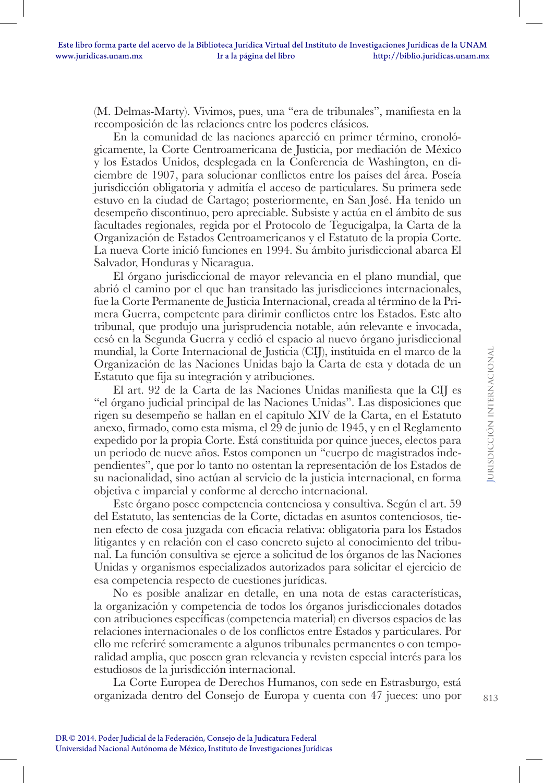(M. Delmas-Marty). Vivimos, pues, una "era de tribunales", manifiesta en la recomposición de las relaciones entre los poderes clásicos.

En la comunidad de las naciones apareció en primer término, cronológicamente, la Corte Centroamericana de Justicia, por mediación de México y los Estados Unidos, desplegada en la Conferencia de Washington, en diciembre de 1907, para solucionar conflictos entre los países del área. Poseía jurisdicción obligatoria y admitía el acceso de particulares. Su primera sede estuvo en la ciudad de Cartago; posteriormente, en San José. Ha tenido un desempeño discontinuo, pero apreciable. Subsiste y actúa en el ámbito de sus facultades regionales, regida por el Protocolo de Tegucigalpa, la Carta de la Organización de Estados Centroamericanos y el Estatuto de la propia Corte. La nueva Corte inició funciones en 1994. Su ámbito jurisdiccional abarca El Salvador, Honduras y Nicaragua.

El órgano jurisdiccional de mayor relevancia en el plano mundial, que abrió el camino por el que han transitado las jurisdicciones internacionales, fue la Corte Permanente de Justicia Internacional, creada al término de la Primera Guerra, competente para dirimir conflictos entre los Estados. Este alto tribunal, que produjo una jurisprudencia notable, aún relevante e invocada, cesó en la Segunda Guerra y cedió el espacio al nuevo órgano jurisdiccional mundial, la Corte Internacional de Justicia (CIJ), instituida en el marco de la Organización de las Naciones Unidas bajo la Carta de esta y dotada de un Estatuto que fija su integración y atribuciones.

El art. 92 de la Carta de las Naciones Unidas manifiesta que la CIJ es "el órgano judicial principal de las Naciones Unidas". Las disposiciones que rigen su desempeño se hallan en el capítulo XIV de la Carta, en el Estatuto anexo, firmado, como esta misma, el 29 de junio de 1945, y en el Reglamento expedido por la propia Corte. Está constituida por quince jueces, electos para un periodo de nueve años. Estos componen un "cuerpo de magistrados independientes", que por lo tanto no ostentan la representación de los Estados de su nacionalidad, sino actúan al servicio de la justicia internacional, en forma objetiva e imparcial y conforme al derecho internacional.

Este órgano posee competencia contenciosa y consultiva. Según el art. 59 del Estatuto, las sentencias de la Corte, dictadas en asuntos contenciosos, tienen efecto de cosa juzgada con eficacia relativa: obligatoria para los Estados litigantes y en relación con el caso concreto sujeto al conocimiento del tribunal. La función consultiva se ejerce a solicitud de los órganos de las Naciones Unidas y organismos especializados autorizados para solicitar el ejercicio de esa competencia respecto de cuestiones jurídicas.

No es posible analizar en detalle, en una nota de estas características, la organización y competencia de todos los órganos jurisdiccionales dotados con atribuciones específicas (competencia material) en diversos espacios de las relaciones internacionales o de los conflictos entre Estados y particulares. Por ello me referiré someramente a algunos tribunales permanentes o con temporalidad amplia, que poseen gran relevancia y revisten especial interés para los estudiosos de la jurisdicción internacional.

La Corte Europea de Derechos Humanos, con sede en Estrasburgo, está organizada dentro del Consejo de Europa y cuenta con 47 jueces: uno por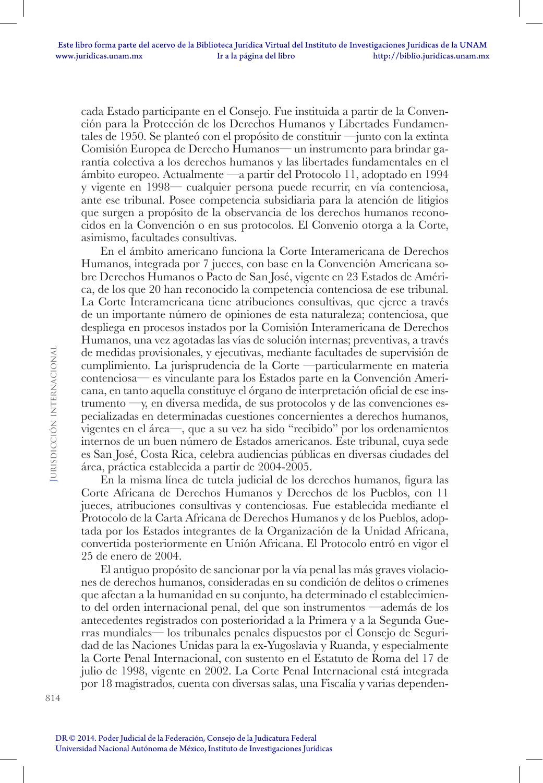cada Estado participante en el Consejo. Fue instituida a partir de la Convención para la Protección de los Derechos Humanos y Libertades Fundamentales de 1950. Se planteó con el propósito de constituir —junto con la extinta Comisión Europea de Derecho Humanos— un instrumento para brindar garantía colectiva a los derechos humanos y las libertades fundamentales en el ámbito europeo. Actualmente —a partir del Protocolo 11, adoptado en 1994 y vigente en 1998— cualquier persona puede recurrir, en vía contenciosa, ante ese tribunal. Posee competencia subsidiaria para la atención de litigios que surgen a propósito de la observancia de los derechos humanos reconocidos en la Convención o en sus protocolos. El Convenio otorga a la Corte, asimismo, facultades consultivas.

En el ámbito americano funciona la Corte Interamericana de Derechos Humanos, integrada por 7 jueces, con base en la Convención Americana sobre Derechos Humanos o Pacto de San José, vigente en 23 Estados de América, de los que 20 han reconocido la competencia contenciosa de ese tribunal. La Corte Interamericana tiene atribuciones consultivas, que ejerce a través de un importante número de opiniones de esta naturaleza; contenciosa, que despliega en procesos instados por la Comisión Interamericana de Derechos Humanos, una vez agotadas las vías de solución internas; preventivas, a través de medidas provisionales, y ejecutivas, mediante facultades de supervisión de cumplimiento. La jurisprudencia de la Corte —particularmente en materia contenciosa— es vinculante para los Estados parte en la Convención Americana, en tanto aquella constituye el órgano de interpretación oficial de ese instrumento —y, en diversa medida, de sus protocolos y de las convenciones especializadas en determinadas cuestiones concernientes a derechos humanos, vigentes en el área—, que a su vez ha sido "recibido" por los ordenamientos internos de un buen número de Estados americanos. Este tribunal, cuya sede es San José, Costa Rica, celebra audiencias públicas en diversas ciudades del área, práctica establecida a partir de 2004-2005.

En la misma línea de tutela judicial de los derechos humanos, figura las Corte Africana de Derechos Humanos y Derechos de los Pueblos, con 11 jueces, atribuciones consultivas y contenciosas. Fue establecida mediante el Protocolo de la Carta Africana de Derechos Humanos y de los Pueblos, adoptada por los Estados integrantes de la Organización de la Unidad Africana, convertida posteriormente en Unión Africana. El Protocolo entró en vigor el 25 de enero de 2004.

El antiguo propósito de sancionar por la vía penal las más graves violaciones de derechos humanos, consideradas en su condición de delitos o crímenes que afectan a la humanidad en su conjunto, ha determinado el establecimiento del orden internacional penal, del que son instrumentos —además de los antecedentes registrados con posterioridad a la Primera y a la Segunda Guerras mundiales— los tribunales penales dispuestos por el Consejo de Seguridad de las Naciones Unidas para la ex-Yugoslavia y Ruanda, y especialmente la Corte Penal Internacional, con sustento en el Estatuto de Roma del 17 de julio de 1998, vigente en 2002. La Corte Penal Internacional está integrada por 18 magistrados, cuenta con diversas salas, una Fiscalía y varias dependen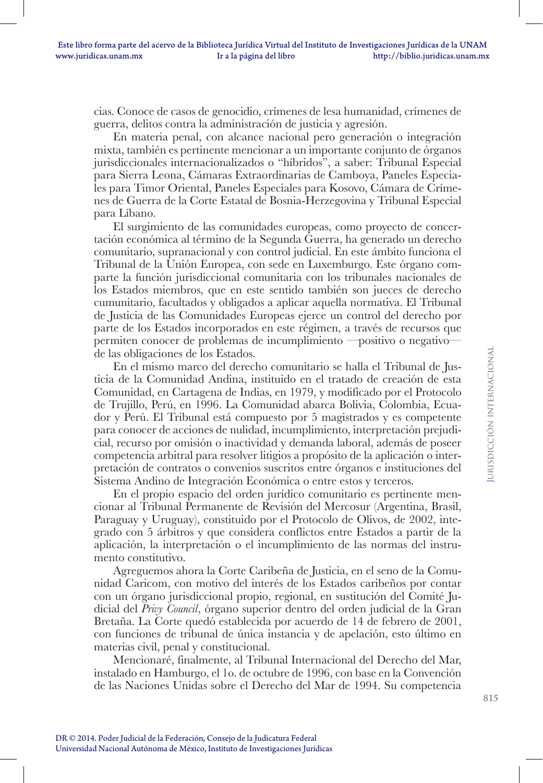cias. Conoce de casos de genocidio, crímenes de lesa humanidad, crímenes de guerra, delitos contra la administración de justicia y agresión.

En materia penal, con alcance nacional pero generación o integración mixta, también es pertinente mencionar a un importante conjunto de órganos jurisdiccionales internacionalizados o "híbridos", a saber: Tribunal Especial para Sierra Leona, Cámaras Extraordinarias de Camboya, Paneles Especiales para Timor Oriental, Paneles Especiales para Kosovo, Cámara de Crímenes de Guerra de la Corte Estatal de Bosnia-Herzegovina y Tribunal Especial para Líbano.

El surgimiento de las comunidades europeas, como proyecto de concertación económica al término de la Segunda Guerra, ha generado un derecho comunitario, supranacional y con control judicial. En este ámbito funciona el Tribunal de la Unión Europea, con sede en Luxemburgo. Este órgano comparte la función jurisdiccional comunitaria con los tribunales nacionales de los Estados miembros, que en este sentido también son jueces de derecho cumunitario, facultados y obligados a aplicar aquella normativa. El Tribunal de Justicia de las Comunidades Europeas ejerce un control del derecho por parte de los Estados incorporados en este régimen, a través de recursos que permiten conocer de problemas de incumplimiento —positivo o negativo de las obligaciones de los Estados.

En el mismo marco del derecho comunitario se halla el Tribunal de Justicia de la Comunidad Andina, instituido en el tratado de creación de esta Comunidad, en Cartagena de Indias, en 1979, y modificado por el Protocolo de Trujillo, Perú, en 1996. La Comunidad abarca Bolivia, Colombia, Ecuador y Perú. El Tribunal está compuesto por 5 magistrados y es competente para conocer de acciones de nulidad, incumplimiento, interpretación prejudicial, recurso por omisión o inactividad y demanda laboral, además de poseer competencia arbitral para resolver litigios a propósito de la aplicación o interpretación de contratos o convenios suscritos entre órganos e instituciones del Sistema Andino de Integración Económica o entre estos y terceros.

En el propio espacio del orden jurídico comunitario es pertinente mencionar al Tribunal Permanente de Revisión del Mercosur (Argentina, Brasil, Paraguay y Uruguay), constituido por el Protocolo de Olivos, de 2002, integrado con 5 árbitros y que considera conflictos entre Estados a partir de la aplicación, la interpretación o el incumplimiento de las normas del instrumento constitutivo.

Agreguemos ahora la Corte Caribeña de Justicia, en el seno de la Comunidad Caricom, con motivo del interés de los Estados caribeños por contar con un órgano jurisdiccional propio, regional, en sustitución del Comité Judicial del *Privy Council*, órgano superior dentro del orden judicial de la Gran Bretaña. La Corte quedó establecida por acuerdo de 14 de febrero de 2001, con funciones de tribunal de única instancia y de apelación, esto último en materias civil, penal y constitucional.

Mencionaré, finalmente, al Tribunal Internacional del Derecho del Mar, instalado en Hamburgo, el 1o. de octubre de 1996, con base en la Convención de las Naciones Unidas sobre el Derecho del Mar de 1994. Su competencia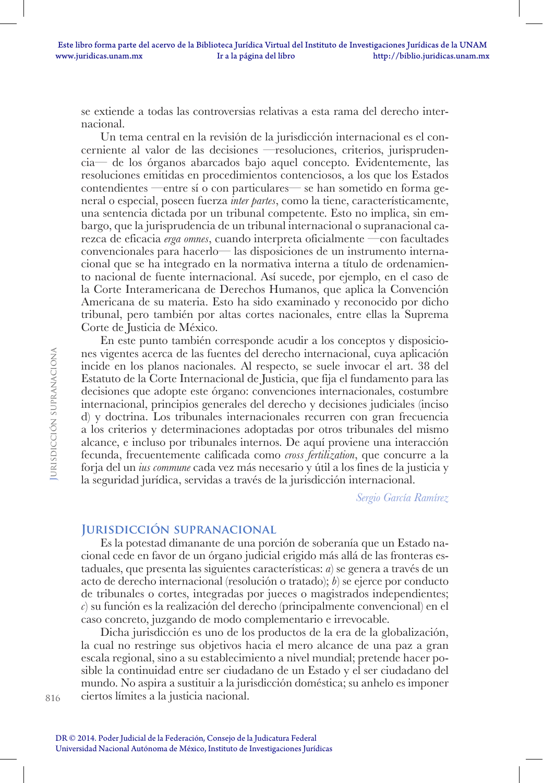se extiende a todas las controversias relativas a esta rama del derecho internacional.

Un tema central en la revisión de la jurisdicción internacional es el concerniente al valor de las decisiones —resoluciones, criterios, jurisprudencia— de los órganos abarcados bajo aquel concepto. Evidentemente, las resoluciones emitidas en procedimientos contenciosos, a los que los Estados contendientes —entre sí o con particulares— se han sometido en forma general o especial, poseen fuerza *inter partes*, como la tiene, característicamente, una sentencia dictada por un tribunal competente. Esto no implica, sin embargo, que la jurisprudencia de un tribunal internacional o supranacional carezca de eficacia *erga omnes*, cuando interpreta oficialmente —con facultades convencionales para hacerlo— las disposiciones de un instrumento internacional que se ha integrado en la normativa interna a título de ordenamiento nacional de fuente internacional. Así sucede, por ejemplo, en el caso de la Corte Interamericana de Derechos Humanos, que aplica la Convención Americana de su materia. Esto ha sido examinado y reconocido por dicho tribunal, pero también por altas cortes nacionales, entre ellas la Suprema Corte de Justicia de México.

En este punto también corresponde acudir a los conceptos y disposiciones vigentes acerca de las fuentes del derecho internacional, cuya aplicación incide en los planos nacionales. Al respecto, se suele invocar el art. 38 del Estatuto de la Corte Internacional de Justicia, que fija el fundamento para las decisiones que adopte este órgano: convenciones internacionales, costumbre internacional, principios generales del derecho y decisiones judiciales (inciso d) y doctrina. Los tribunales internacionales recurren con gran frecuencia a los criterios y determinaciones adoptadas por otros tribunales del mismo alcance, e incluso por tribunales internos. De aquí proviene una interacción fecunda, frecuentemente calificada como *cross fertilization*, que concurre a la forja del un *ius commune* cada vez más necesario y útil a los fines de la justicia y la seguridad jurídica, servidas a través de la jurisdicción internacional.

*Sergio García Ramírez*

#### **Jurisdicción supranacional**

Es la potestad dimanante de una porción de soberanía que un Estado nacional cede en favor de un órgano judicial erigido más allá de las fronteras estaduales, que presenta las siguientes características: *a*) se genera a través de un acto de derecho internacional (resolución o tratado); *b*) se ejerce por conducto de tribunales o cortes, integradas por jueces o magistrados independientes; *c*) su función es la realización del derecho (principalmente convencional) en el caso concreto, juzgando de modo complementario e irrevocable.

Dicha jurisdicción es uno de los productos de la era de la globalización, la cual no restringe sus objetivos hacia el mero alcance de una paz a gran escala regional, sino a su establecimiento a nivel mundial; pretende hacer posible la continuidad entre ser ciudadano de un Estado y el ser ciudadano del mundo. No aspira a sustituir a la jurisdicción doméstica; su anhelo es imponer ciertos límites a la justicia nacional.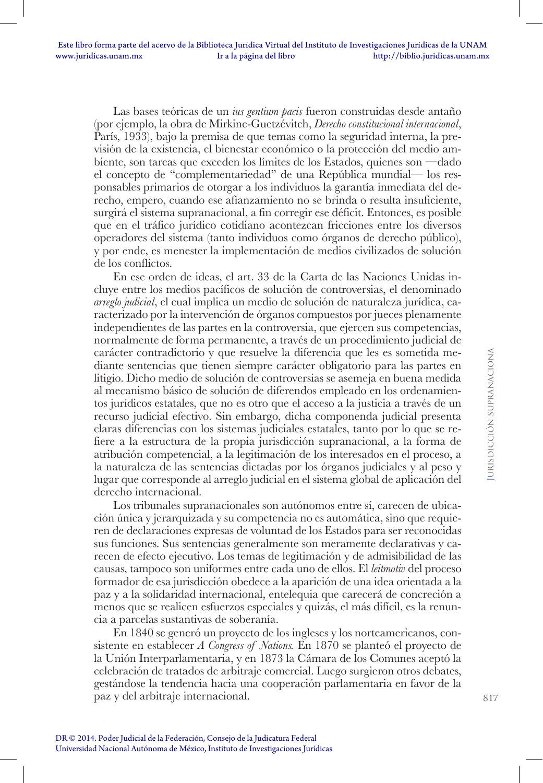Las bases teóricas de un *ius gentium pacis* fueron construidas desde antaño (por ejemplo, la obra de Mirkine-Guetzévitch, *Derecho constitucional internacional*, París, 1933), bajo la premisa de que temas como la seguridad interna, la previsión de la existencia, el bienestar económico o la protección del medio ambiente, son tareas que exceden los límites de los Estados, quienes son —dado el concepto de "complementariedad" de una República mundial— los responsables primarios de otorgar a los individuos la garantía inmediata del derecho, empero, cuando ese afianzamiento no se brinda o resulta insuficiente, surgirá el sistema supranacional, a fin corregir ese déficit. Entonces, es posible que en el tráfico jurídico cotidiano acontezcan fricciones entre los diversos operadores del sistema (tanto individuos como órganos de derecho público), y por ende, es menester la implementación de medios civilizados de solución de los conflictos.

En ese orden de ideas, el art. 33 de la Carta de las Naciones Unidas incluye entre los medios pacíficos de solución de controversias, el denominado *arreglo judicial*, el cual implica un medio de solución de naturaleza jurídica, caracterizado por la intervención de órganos compuestos por jueces plenamente independientes de las partes en la controversia, que ejercen sus competencias, normalmente de forma permanente, a través de un procedimiento judicial de carácter contradictorio y que resuelve la diferencia que les es sometida mediante sentencias que tienen siempre carácter obligatorio para las partes en litigio. Dicho medio de solución de controversias se asemeja en buena medida al mecanismo básico de solución de diferendos empleado en los ordenamientos jurídicos estatales, que no es otro que el acceso a la justicia a través de un recurso judicial efectivo. Sin embargo, dicha componenda judicial presenta claras diferencias con los sistemas judiciales estatales, tanto por lo que se refiere a la estructura de la propia jurisdicción supranacional, a la forma de atribución competencial, a la legitimación de los interesados en el proceso, a la naturaleza de las sentencias dictadas por los órganos judiciales y al peso y lugar que corresponde al arreglo judicial en el sistema global de aplicación del derecho internacional.

Los tribunales supranacionales son autónomos entre sí, carecen de ubicación única y jerarquizada y su competencia no es automática, sino que requieren de declaraciones expresas de voluntad de los Estados para ser reconocidas sus funciones. Sus sentencias generalmente son meramente declarativas y carecen de efecto ejecutivo. Los temas de legitimación y de admisibilidad de las causas, tampoco son uniformes entre cada uno de ellos. El *leitmotiv* del proceso formador de esa jurisdicción obedece a la aparición de una idea orientada a la paz y a la solidaridad internacional, entelequia que carecerá de concreción a menos que se realicen esfuerzos especiales y quizás, el más difícil, es la renuncia a parcelas sustantivas de soberanía.

En 1840 se generó un proyecto de los ingleses y los norteamericanos, consistente en establecer *A Congress of Nations.* En 1870 se planteó el proyecto de la Unión Interparlamentaria, y en 1873 la Cámara de los Comunes aceptó la celebración de tratados de arbitraje comercial. Luego surgieron otros debates, gestándose la tendencia hacia una cooperación parlamentaria en favor de la paz y del arbitraje internacional.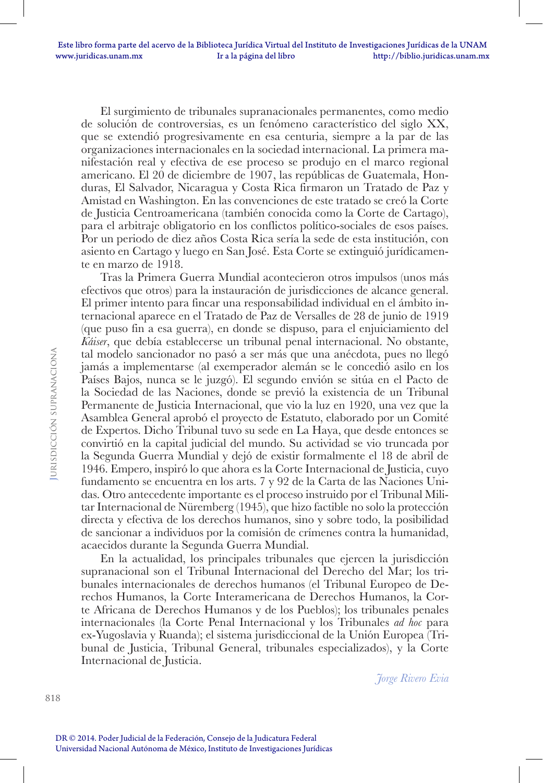El surgimiento de tribunales supranacionales permanentes, como medio de solución de controversias, es un fenómeno característico del siglo XX, que se extendió progresivamente en esa centuria, siempre a la par de las organizaciones internacionales en la sociedad internacional. La primera manifestación real y efectiva de ese proceso se produjo en el marco regional americano. El 20 de diciembre de 1907, las repúblicas de Guatemala, Honduras, El Salvador, Nicaragua y Costa Rica firmaron un Tratado de Paz y Amistad en Washington. En las convenciones de este tratado se creó la Corte de Justicia Centroamericana (también conocida como la Corte de Cartago), para el arbitraje obligatorio en los conflictos político-sociales de esos países. Por un periodo de diez años Costa Rica sería la sede de esta institución, con asiento en Cartago y luego en San José. Esta Corte se extinguió jurídicamente en marzo de 1918.

Tras la Primera Guerra Mundial acontecieron otros impulsos (unos más efectivos que otros) para la instauración de jurisdicciones de alcance general. El primer intento para fincar una responsabilidad individual en el ámbito internacional aparece en el Tratado de Paz de Versalles de 28 de junio de 1919 (que puso fin a esa guerra), en donde se dispuso, para el enjuiciamiento del *Káiser*, que debía establecerse un tribunal penal internacional. No obstante, tal modelo sancionador no pasó a ser más que una anécdota, pues no llegó jamás a implementarse (al exemperador alemán se le concedió asilo en los Países Bajos, nunca se le juzgó). El segundo envión se sitúa en el Pacto de la Sociedad de las Naciones, donde se previó la existencia de un Tribunal Permanente de Justicia Internacional, que vio la luz en 1920, una vez que la Asamblea General aprobó el proyecto de Estatuto, elaborado por un Comité de Expertos. Dicho Tribunal tuvo su sede en La Haya, que desde entonces se convirtió en la capital judicial del mundo. Su actividad se vio truncada por la Segunda Guerra Mundial y dejó de existir formalmente el 18 de abril de 1946. Empero, inspiró lo que ahora es la Corte Internacional de Justicia, cuyo fundamento se encuentra en los arts. 7 y 92 de la Carta de las Naciones Unidas. Otro antecedente importante es el proceso instruido por el Tribunal Militar Internacional de Nüremberg (1945), que hizo factible no solo la protección directa y efectiva de los derechos humanos, sino y sobre todo, la posibilidad de sancionar a individuos por la comisión de crímenes contra la humanidad, acaecidos durante la Segunda Guerra Mundial.

En la actualidad, los principales tribunales que ejercen la jurisdicción supranacional son el Tribunal Internacional del Derecho del Mar; los tribunales internacionales de derechos humanos (el Tribunal Europeo de Derechos Humanos, la Corte Interamericana de Derechos Humanos, la Corte Africana de Derechos Humanos y de los Pueblos); los tribunales penales internacionales (la Corte Penal Internacional y los Tribunales *ad hoc* para ex-Yugoslavia y Ruanda); el sistema jurisdiccional de la Unión Europea (Tribunal de Justicia, Tribunal General, tribunales especializados), y la Corte Internacional de Justicia.

*Jorge Rivero Evia*

818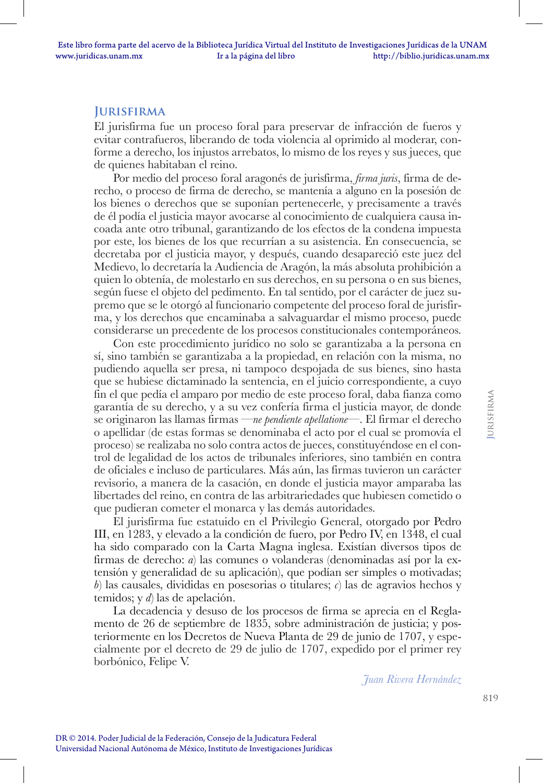## **Jurisfirma**

El jurisfirma fue un proceso foral para preservar de infracción de fueros y evitar contrafueros, liberando de toda violencia al oprimido al moderar, conforme a derecho, los injustos arrebatos, lo mismo de los reyes y sus jueces, que de quienes habitaban el reino.

Por medio del proceso foral aragonés de jurisfirma, *firma juris*, firma de derecho, o proceso de firma de derecho, se mantenía a alguno en la posesión de los bienes o derechos que se suponían pertenecerle, y precisamente a través de él podía el justicia mayor avocarse al conocimiento de cualquiera causa incoada ante otro tribunal, garantizando de los efectos de la condena impuesta por este, los bienes de los que recurrían a su asistencia. En consecuencia, se decretaba por el justicia mayor, y después, cuando desapareció este juez del Medievo, lo decretaría la Audiencia de Aragón, la más absoluta prohibición a quien lo obtenía, de molestarlo en sus derechos, en su persona o en sus bienes, según fuese el objeto del pedimento. En tal sentido, por el carácter de juez supremo que se le otorgó al funcionario competente del proceso foral de jurisfirma, y los derechos que encaminaba a salvaguardar el mismo proceso, puede considerarse un precedente de los procesos constitucionales contemporáneos.

Con este procedimiento jurídico no solo se garantizaba a la persona en sí, sino también se garantizaba a la propiedad, en relación con la misma, no pudiendo aquella ser presa, ni tampoco despojada de sus bienes, sino hasta que se hubiese dictaminado la sentencia, en el juicio correspondiente, a cuyo fin el que pedía el amparo por medio de este proceso foral, daba fianza como garantía de su derecho, y a su vez confería firma el justicia mayor, de donde se originaron las llamas firmas —*ne pendiente apellatione*—. El firmar el derecho o apellidar (de estas formas se denominaba el acto por el cual se promovía el proceso) se realizaba no solo contra actos de jueces, constituyéndose en el control de legalidad de los actos de tribunales inferiores, sino también en contra de oficiales e incluso de particulares. Más aún, las firmas tuvieron un carácter revisorio, a manera de la casación, en donde el justicia mayor amparaba las libertades del reino, en contra de las arbitrariedades que hubiesen cometido o que pudieran cometer el monarca y las demás autoridades.

El jurisfirma fue estatuido en el Privilegio General, otorgado por Pedro III, en 1283, y elevado a la condición de fuero, por Pedro IV, en 1348, el cual ha sido comparado con la Carta Magna inglesa. Existían diversos tipos de firmas de derecho: *a*) las comunes o volanderas (denominadas así por la extensión y generalidad de su aplicación), que podían ser simples o motivadas; *b*) las causales, divididas en posesorias o titulares; *c*) las de agravios hechos y temidos; y *d*) las de apelación.

La decadencia y desuso de los procesos de firma se aprecia en el Reglamento de 26 de septiembre de 1835, sobre administración de justicia; y posteriormente en los Decretos de Nueva Planta de 29 de junio de 1707, y especialmente por el decreto de 29 de julio de 1707, expedido por el primer rey borbónico, Felipe V.

*Juan Rivera Hernández*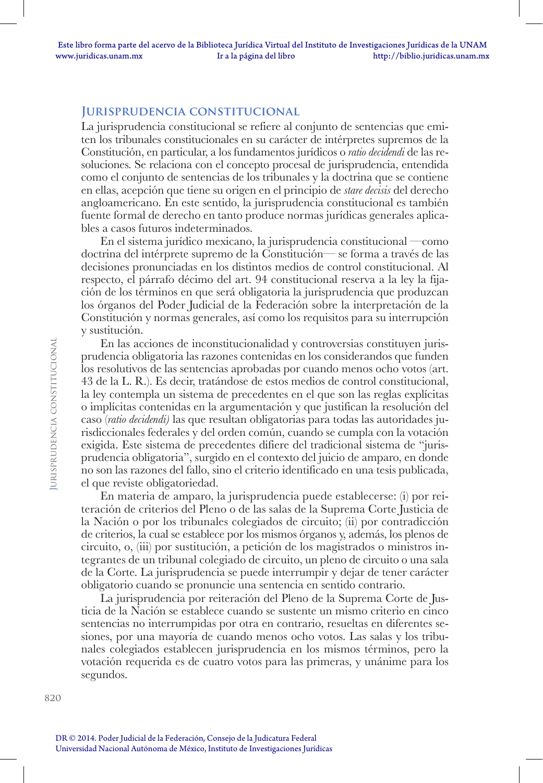#### **Jurisprudencia constitucional**

La jurisprudencia constitucional se refiere al conjunto de sentencias que emiten los tribunales constitucionales en su carácter de intérpretes supremos de la Constitución, en particular, a los fundamentos jurídicos o *ratio decidendi* de las resoluciones. Se relaciona con el concepto procesal de jurisprudencia, entendida como el conjunto de sentencias de los tribunales y la doctrina que se contiene en ellas, acepción que tiene su origen en el principio de *stare decisis* del derecho angloamericano. En este sentido, la jurisprudencia constitucional es también fuente formal de derecho en tanto produce normas jurídicas generales aplicables a casos futuros indeterminados.

En el sistema jurídico mexicano, la jurisprudencia constitucional —como doctrina del intérprete supremo de la Constitución— se forma a través de las decisiones pronunciadas en los distintos medios de control constitucional. Al respecto, el párrafo décimo del art. 94 constitucional reserva a la ley la fijación de los términos en que será obligatoria la jurisprudencia que produzcan los órganos del Poder Judicial de la Federación sobre la interpretación de la Constitución y normas generales, así como los requisitos para su interrupción y sustitución.

En las acciones de inconstitucionalidad y controversias constituyen jurisprudencia obligatoria las razones contenidas en los considerandos que funden los resolutivos de las sentencias aprobadas por cuando menos ocho votos (art. 43 de la L. R.). Es decir, tratándose de estos medios de control constitucional, la ley contempla un sistema de precedentes en el que son las reglas explícitas o implícitas contenidas en la argumentación y que justifican la resolución del caso (*ratio decidendi)* las que resultan obligatorias para todas las autoridades jurisdiccionales federales y del orden común, cuando se cumpla con la votación exigida. Este sistema de precedentes difiere del tradicional sistema de "jurisprudencia obligatoria", surgido en el contexto del juicio de amparo, en donde no son las razones del fallo, sino el criterio identificado en una tesis publicada, el que reviste obligatoriedad.

En materia de amparo, la jurisprudencia puede establecerse: (i) por reiteración de criterios del Pleno o de las salas de la Suprema Corte Justicia de la Nación o por los tribunales colegiados de circuito; (ii) por contradicción de criterios, la cual se establece por los mismos órganos y, además, los plenos de circuito, o, (iii) por sustitución, a petición de los magistrados o ministros integrantes de un tribunal colegiado de circuito, un pleno de circuito o una sala de la Corte. La jurisprudencia se puede interrumpir y dejar de tener carácter obligatorio cuando se pronuncie una sentencia en sentido contrario.

La jurisprudencia por reiteración del Pleno de la Suprema Corte de Justicia de la Nación se establece cuando se sustente un mismo criterio en cinco sentencias no interrumpidas por otra en contrario, resueltas en diferentes sesiones, por una mayoría de cuando menos ocho votos. Las salas y los tribunales colegiados establecen jurisprudencia en los mismos términos, pero la votación requerida es de cuatro votos para las primeras, y unánime para los segundos.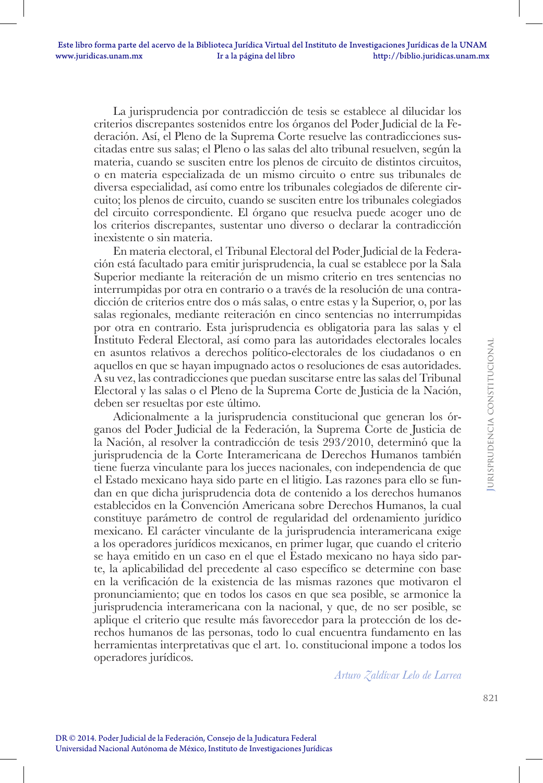La jurisprudencia por contradicción de tesis se establece al dilucidar los criterios discrepantes sostenidos entre los órganos del Poder Judicial de la Federación. Así, el Pleno de la Suprema Corte resuelve las contradicciones suscitadas entre sus salas; el Pleno o las salas del alto tribunal resuelven, según la materia, cuando se susciten entre los plenos de circuito de distintos circuitos, o en materia especializada de un mismo circuito o entre sus tribunales de diversa especialidad, así como entre los tribunales colegiados de diferente circuito; los plenos de circuito, cuando se susciten entre los tribunales colegiados del circuito correspondiente. El órgano que resuelva puede acoger uno de los criterios discrepantes, sustentar uno diverso o declarar la contradicción inexistente o sin materia.

En materia electoral, el Tribunal Electoral del Poder Judicial de la Federación está facultado para emitir jurisprudencia, la cual se establece por la Sala Superior mediante la reiteración de un mismo criterio en tres sentencias no interrumpidas por otra en contrario o a través de la resolución de una contradicción de criterios entre dos o más salas, o entre estas y la Superior, o, por las salas regionales, mediante reiteración en cinco sentencias no interrumpidas por otra en contrario. Esta jurisprudencia es obligatoria para las salas y el Instituto Federal Electoral, así como para las autoridades electorales locales en asuntos relativos a derechos político-electorales de los ciudadanos o en aquellos en que se hayan impugnado actos o resoluciones de esas autoridades. A su vez, las contradicciones que puedan suscitarse entre las salas del Tribunal Electoral y las salas o el Pleno de la Suprema Corte de Justicia de la Nación, deben ser resueltas por este último.

Adicionalmente a la jurisprudencia constitucional que generan los órganos del Poder Judicial de la Federación, la Suprema Corte de Justicia de la Nación, al resolver la contradicción de tesis 293/2010, determinó que la jurisprudencia de la Corte Interamericana de Derechos Humanos también tiene fuerza vinculante para los jueces nacionales, con independencia de que el Estado mexicano haya sido parte en el litigio. Las razones para ello se fundan en que dicha jurisprudencia dota de contenido a los derechos humanos establecidos en la Convención Americana sobre Derechos Humanos, la cual constituye parámetro de control de regularidad del ordenamiento jurídico mexicano. El carácter vinculante de la jurisprudencia interamericana exige a los operadores jurídicos mexicanos, en primer lugar, que cuando el criterio se haya emitido en un caso en el que el Estado mexicano no haya sido parte, la aplicabilidad del precedente al caso específico se determine con base en la verificación de la existencia de las mismas razones que motivaron el pronunciamiento; que en todos los casos en que sea posible, se armonice la jurisprudencia interamericana con la nacional, y que, de no ser posible, se aplique el criterio que resulte más favorecedor para la protección de los derechos humanos de las personas, todo lo cual encuentra fundamento en las herramientas interpretativas que el art. 1o. constitucional impone a todos los operadores jurídicos.

*Arturo Zaldívar Lelo de Larrea*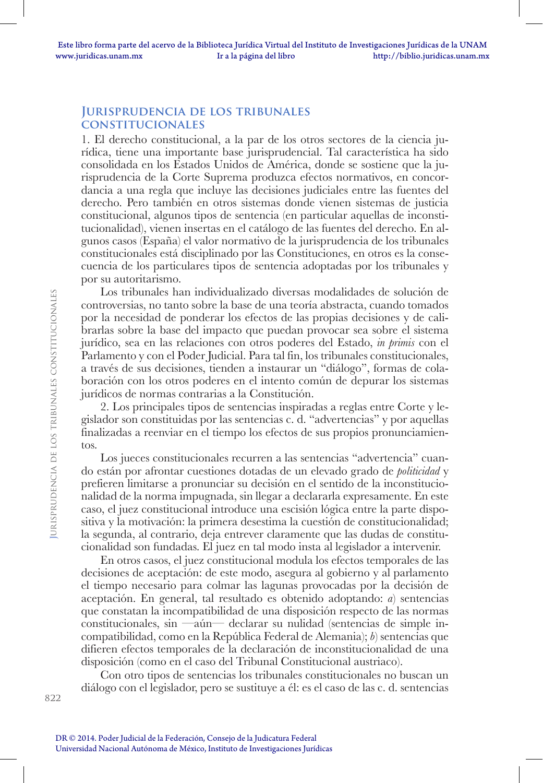#### **Jurisprudencia de los tribunales constitucionales**

1. El derecho constitucional, a la par de los otros sectores de la ciencia jurídica, tiene una importante base jurisprudencial. Tal característica ha sido consolidada en los Estados Unidos de América, donde se sostiene que la jurisprudencia de la Corte Suprema produzca efectos normativos, en concordancia a una regla que incluye las decisiones judiciales entre las fuentes del derecho. Pero también en otros sistemas donde vienen sistemas de justicia constitucional, algunos tipos de sentencia (en particular aquellas de inconstitucionalidad), vienen insertas en el catálogo de las fuentes del derecho. En algunos casos (España) el valor normativo de la jurisprudencia de los tribunales constitucionales está disciplinado por las Constituciones, en otros es la consecuencia de los particulares tipos de sentencia adoptadas por los tribunales y por su autoritarismo.

Los tribunales han individualizado diversas modalidades de solución de controversias, no tanto sobre la base de una teoría abstracta, cuando tomados por la necesidad de ponderar los efectos de las propias decisiones y de calibrarlas sobre la base del impacto que puedan provocar sea sobre el sistema jurídico, sea en las relaciones con otros poderes del Estado, *in primis* con el Parlamento y con el Poder Judicial. Para tal fin, los tribunales constitucionales, a través de sus decisiones, tienden a instaurar un "diálogo", formas de colaboración con los otros poderes en el intento común de depurar los sistemas jurídicos de normas contrarias a la Constitución.

2. Los principales tipos de sentencias inspiradas a reglas entre Corte y legislador son constituidas por las sentencias c. d. "advertencias" y por aquellas finalizadas a reenviar en el tiempo los efectos de sus propios pronunciamientos.

Los jueces constitucionales recurren a las sentencias "advertencia" cuando están por afrontar cuestiones dotadas de un elevado grado de *politicidad* y prefieren limitarse a pronunciar su decisión en el sentido de la inconstitucionalidad de la norma impugnada, sin llegar a declararla expresamente. En este caso, el juez constitucional introduce una escisión lógica entre la parte dispositiva y la motivación: la primera desestima la cuestión de constitucionalidad; la segunda, al contrario, deja entrever claramente que las dudas de constitucionalidad son fundadas. El juez en tal modo insta al legislador a intervenir.

En otros casos, el juez constitucional modula los efectos temporales de las decisiones de aceptación: de este modo, asegura al gobierno y al parlamento el tiempo necesario para colmar las lagunas provocadas por la decisión de aceptación. En general, tal resultado es obtenido adoptando: *a*) sentencias que constatan la incompatibilidad de una disposición respecto de las normas constitucionales, sin —aún— declarar su nulidad (sentencias de simple incompatibilidad, como en la República Federal de Alemania); *b*) sentencias que difieren efectos temporales de la declaración de inconstitucionalidad de una disposición (como en el caso del Tribunal Constitucional austriaco).

Con otro tipos de sentencias los tribunales constitucionales no buscan un diálogo con el legislador, pero se sustituye a él: es el caso de las c. d. sentencias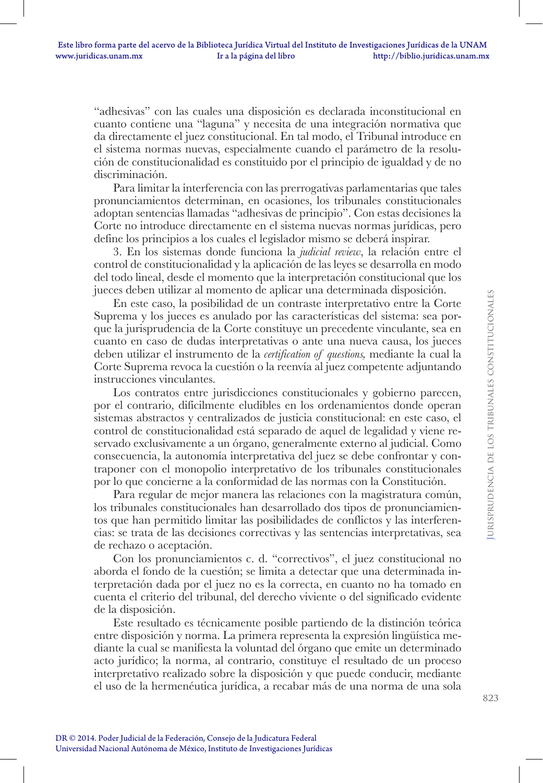"adhesivas" con las cuales una disposición es declarada inconstitucional en cuanto contiene una "laguna" y necesita de una integración normativa que da directamente el juez constitucional. En tal modo, el Tribunal introduce en el sistema normas nuevas, especialmente cuando el parámetro de la resolución de constitucionalidad es constituido por el principio de igualdad y de no discriminación.

Para limitar la interferencia con las prerrogativas parlamentarias que tales pronunciamientos determinan, en ocasiones, los tribunales constitucionales adoptan sentencias llamadas "adhesivas de principio". Con estas decisiones la Corte no introduce directamente en el sistema nuevas normas jurídicas, pero define los principios a los cuales el legislador mismo se deberá inspirar.

3. En los sistemas donde funciona la *judicial review*, la relación entre el control de constitucionalidad y la aplicación de las leyes se desarrolla en modo del todo lineal, desde el momento que la interpretación constitucional que los jueces deben utilizar al momento de aplicar una determinada disposición.

En este caso, la posibilidad de un contraste interpretativo entre la Corte Suprema y los jueces es anulado por las características del sistema: sea porque la jurisprudencia de la Corte constituye un precedente vinculante, sea en cuanto en caso de dudas interpretativas o ante una nueva causa, los jueces deben utilizar el instrumento de la *certification of questions,* mediante la cual la Corte Suprema revoca la cuestión o la reenvía al juez competente adjuntando instrucciones vinculantes.

Los contratos entre jurisdicciones constitucionales y gobierno parecen, por el contrario, difícilmente eludibles en los ordenamientos donde operan sistemas abstractos y centralizados de justicia constitucional: en este caso, el control de constitucionalidad está separado de aquel de legalidad y viene reservado exclusivamente a un órgano, generalmente externo al judicial. Como consecuencia, la autonomía interpretativa del juez se debe confrontar y contraponer con el monopolio interpretativo de los tribunales constitucionales por lo que concierne a la conformidad de las normas con la Constitución.

Para regular de mejor manera las relaciones con la magistratura común, los tribunales constitucionales han desarrollado dos tipos de pronunciamientos que han permitido limitar las posibilidades de conflictos y las interferencias: se trata de las decisiones correctivas y las sentencias interpretativas, sea de rechazo o aceptación.

Con los pronunciamientos c. d. "correctivos", el juez constitucional no aborda el fondo de la cuestión; se limita a detectar que una determinada interpretación dada por el juez no es la correcta, en cuanto no ha tomado en cuenta el criterio del tribunal, del derecho viviente o del significado evidente de la disposición.

Este resultado es técnicamente posible partiendo de la distinción teórica entre disposición y norma. La primera representa la expresión lingüística mediante la cual se manifiesta la voluntad del órgano que emite un determinado acto jurídico; la norma, al contrario, constituye el resultado de un proceso interpretativo realizado sobre la disposición y que puede conducir, mediante el uso de la hermenéutica jurídica, a recabar más de una norma de una sola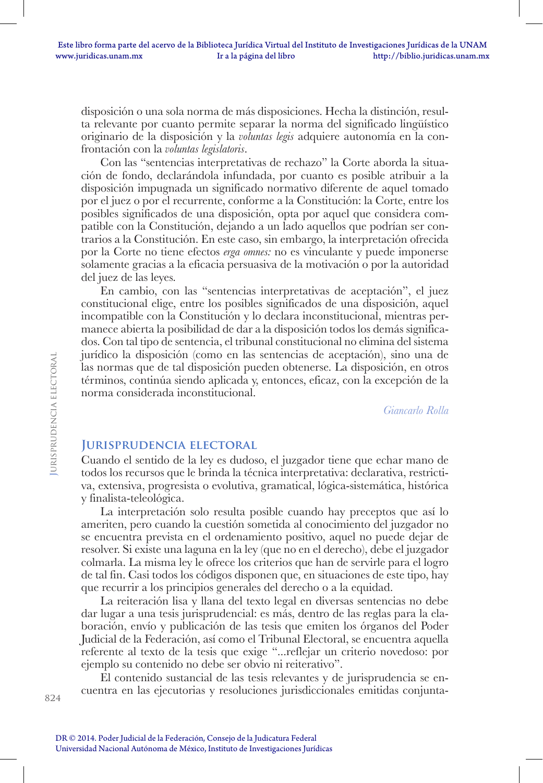disposición o una sola norma de más disposiciones. Hecha la distinción, resulta relevante por cuanto permite separar la norma del significado lingüístico originario de la disposición y la *voluntas legis* adquiere autonomía en la confrontación con la *voluntas legislatoris*.

Con las "sentencias interpretativas de rechazo" la Corte aborda la situación de fondo, declarándola infundada, por cuanto es posible atribuir a la disposición impugnada un significado normativo diferente de aquel tomado por el juez o por el recurrente, conforme a la Constitución: la Corte, entre los posibles significados de una disposición, opta por aquel que considera compatible con la Constitución, dejando a un lado aquellos que podrían ser contrarios a la Constitución. En este caso, sin embargo, la interpretación ofrecida por la Corte no tiene efectos *erga omnes:* no es vinculante y puede imponerse solamente gracias a la eficacia persuasiva de la motivación o por la autoridad del juez de las leyes.

En cambio, con las "sentencias interpretativas de aceptación", el juez constitucional elige, entre los posibles significados de una disposición, aquel incompatible con la Constitución y lo declara inconstitucional, mientras permanece abierta la posibilidad de dar a la disposición todos los demás significados. Con tal tipo de sentencia, el tribunal constitucional no elimina del sistema jurídico la disposición (como en las sentencias de aceptación), sino una de las normas que de tal disposición pueden obtenerse. La disposición, en otros términos, continúa siendo aplicada y, entonces, eficaz, con la excepción de la norma considerada inconstitucional.

*Giancarlo Rolla*

#### **Jurisprudencia electoral**

Cuando el sentido de la ley es dudoso, el juzgador tiene que echar mano de todos los recursos que le brinda la técnica interpretativa: declarativa, restrictiva, extensiva, progresista o evolutiva, gramatical, lógica-sistemática, histórica y finalista-teleológica.

La interpretación solo resulta posible cuando hay preceptos que así lo ameriten, pero cuando la cuestión sometida al conocimiento del juzgador no se encuentra prevista en el ordenamiento positivo, aquel no puede dejar de resolver. Si existe una laguna en la ley (que no en el derecho), debe el juzgador colmarla. La misma ley le ofrece los criterios que han de servirle para el logro de tal fin. Casi todos los códigos disponen que, en situaciones de este tipo, hay que recurrir a los principios generales del derecho o a la equidad.

La reiteración lisa y llana del texto legal en diversas sentencias no debe dar lugar a una tesis jurisprudencial: es más, dentro de las reglas para la elaboración, envío y publicación de las tesis que emiten los órganos del Poder Judicial de la Federación, así como el Tribunal Electoral, se encuentra aquella referente al texto de la tesis que exige "...reflejar un criterio novedoso: por ejemplo su contenido no debe ser obvio ni reiterativo".

El contenido sustancial de las tesis relevantes y de jurisprudencia se encuentra en las ejecutorias y resoluciones jurisdiccionales emitidas conjunta-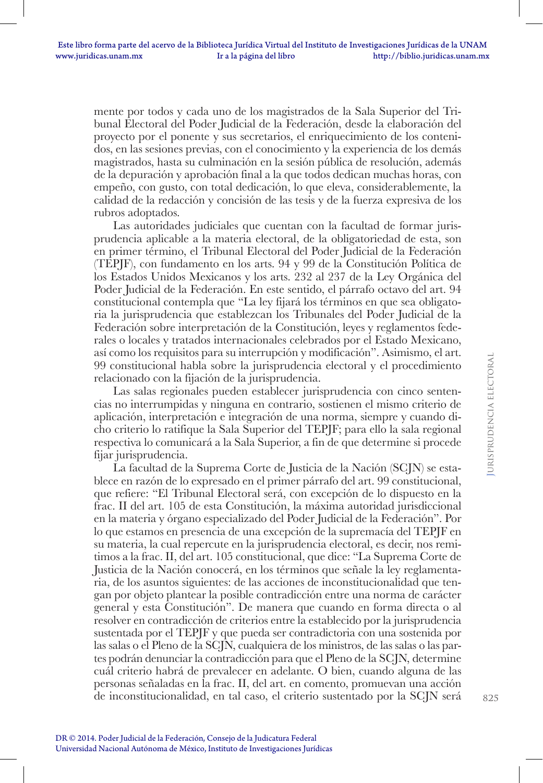mente por todos y cada uno de los magistrados de la Sala Superior del Tribunal Electoral del Poder Judicial de la Federación, desde la elaboración del proyecto por el ponente y sus secretarios, el enriquecimiento de los contenidos, en las sesiones previas, con el conocimiento y la experiencia de los demás magistrados, hasta su culminación en la sesión pública de resolución, además de la depuración y aprobación final a la que todos dedican muchas horas, con empeño, con gusto, con total dedicación, lo que eleva, considerablemente, la calidad de la redacción y concisión de las tesis y de la fuerza expresiva de los rubros adoptados.

Las autoridades judiciales que cuentan con la facultad de formar jurisprudencia aplicable a la materia electoral, de la obligatoriedad de esta, son en primer término, el Tribunal Electoral del Poder Judicial de la Federación (TEPJF), con fundamento en los arts. 94 y 99 de la Constitución Política de los Estados Unidos Mexicanos y los arts. 232 al 237 de la Ley Orgánica del Poder Judicial de la Federación. En este sentido, el párrafo octavo del art. 94 constitucional contempla que "La ley fijará los términos en que sea obligatoria la jurisprudencia que establezcan los Tribunales del Poder Judicial de la Federación sobre interpretación de la Constitución, leyes y reglamentos federales o locales y tratados internacionales celebrados por el Estado Mexicano, así como los requisitos para su interrupción y modificación". Asimismo, el art. 99 constitucional habla sobre la jurisprudencia electoral y el procedimiento relacionado con la fijación de la jurisprudencia.

Las salas regionales pueden establecer jurisprudencia con cinco sentencias no interrumpidas y ninguna en contrario, sostienen el mismo criterio de aplicación, interpretación e integración de una norma, siempre y cuando dicho criterio lo ratifique la Sala Superior del TEPJF; para ello la sala regional respectiva lo comunicará a la Sala Superior, a fin de que determine si procede fijar jurisprudencia.

La facultad de la Suprema Corte de Justicia de la Nación (SCJN) se establece en razón de lo expresado en el primer párrafo del art. 99 constitucional, que refiere: "El Tribunal Electoral será, con excepción de lo dispuesto en la frac. II del art. 105 de esta Constitución, la máxima autoridad jurisdiccional en la materia y órgano especializado del Poder Judicial de la Federación". Por lo que estamos en presencia de una excepción de la supremacía del TEPJF en su materia, la cual repercute en la jurisprudencia electoral, es decir, nos remitimos a la frac. II, del art. 105 constitucional, que dice: "La Suprema Corte de Justicia de la Nación conocerá, en los términos que señale la ley reglamentaria, de los asuntos siguientes: de las acciones de inconstitucionalidad que tengan por objeto plantear la posible contradicción entre una norma de carácter general y esta Constitución". De manera que cuando en forma directa o al resolver en contradicción de criterios entre la establecido por la jurisprudencia sustentada por el TEPJF y que pueda ser contradictoria con una sostenida por las salas o el Pleno de la SCJN, cualquiera de los ministros, de las salas o las partes podrán denunciar la contradicción para que el Pleno de la SCJN, determine cuál criterio habrá de prevalecer en adelante. O bien, cuando alguna de las personas señaladas en la frac. II, del art. en comento, promuevan una acción de inconstitucionalidad, en tal caso, el criterio sustentado por la SCJN será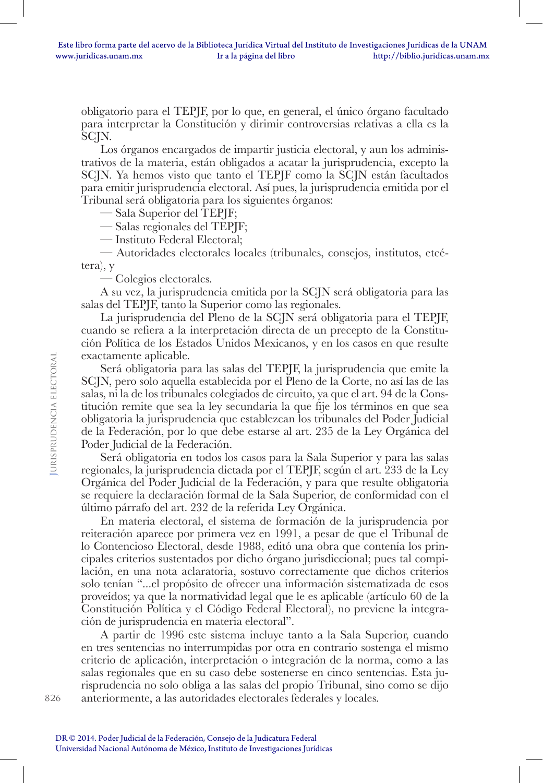obligatorio para el TEPJF, por lo que, en general, el único órgano facultado para interpretar la Constitución y dirimir controversias relativas a ella es la SCJN.

Los órganos encargados de impartir justicia electoral, y aun los administrativos de la materia, están obligados a acatar la jurisprudencia, excepto la SCJN. Ya hemos visto que tanto el TEPJF como la SCJN están facultados para emitir jurisprudencia electoral. Así pues, la jurisprudencia emitida por el Tribunal será obligatoria para los siguientes órganos:

— Sala Superior del TEPJF;

— Salas regionales del TEPJF;

— Instituto Federal Electoral;

— Autoridades electorales locales (tribunales, consejos, institutos, etcétera), y

— Colegios electorales.

A su vez, la jurisprudencia emitida por la SCJN será obligatoria para las salas del TEPJF, tanto la Superior como las regionales.

La jurisprudencia del Pleno de la SCJN será obligatoria para el TEPJF, cuando se refiera a la interpretación directa de un precepto de la Constitución Política de los Estados Unidos Mexicanos, y en los casos en que resulte exactamente aplicable.

Será obligatoria para las salas del TEPJF, la jurisprudencia que emite la SCJN, pero solo aquella establecida por el Pleno de la Corte, no así las de las salas, ni la de los tribunales colegiados de circuito, ya que el art. 94 de la Constitución remite que sea la ley secundaria la que fije los términos en que sea obligatoria la jurisprudencia que establezcan los tribunales del Poder Judicial de la Federación, por lo que debe estarse al art. 235 de la Ley Orgánica del Poder Judicial de la Federación.

Será obligatoria en todos los casos para la Sala Superior y para las salas regionales, la jurisprudencia dictada por el TEPJF, según el art. 233 de la Ley Orgánica del Poder Judicial de la Federación, y para que resulte obligatoria se requiere la declaración formal de la Sala Superior, de conformidad con el último párrafo del art. 232 de la referida Ley Orgánica.

En materia electoral, el sistema de formación de la jurisprudencia por reiteración aparece por primera vez en 1991, a pesar de que el Tribunal de lo Contencioso Electoral, desde 1988, editó una obra que contenía los principales criterios sustentados por dicho órgano jurisdiccional; pues tal compilación, en una nota aclaratoria, sostuvo correctamente que dichos criterios solo tenían "...el propósito de ofrecer una información sistematizada de esos proveídos; ya que la normatividad legal que le es aplicable (artículo 60 de la Constitución Política y el Código Federal Electoral), no previene la integración de jurisprudencia en materia electoral".

A partir de 1996 este sistema incluye tanto a la Sala Superior, cuando en tres sentencias no interrumpidas por otra en contrario sostenga el mismo criterio de aplicación, interpretación o integración de la norma, como a las salas regionales que en su caso debe sostenerse en cinco sentencias. Esta jurisprudencia no solo obliga a las salas del propio Tribunal, sino como se dijo anteriormente, a las autoridades electorales federales y locales.

**J**urisprudencia electoral

**URISPRUDENCIA ELECTORAL**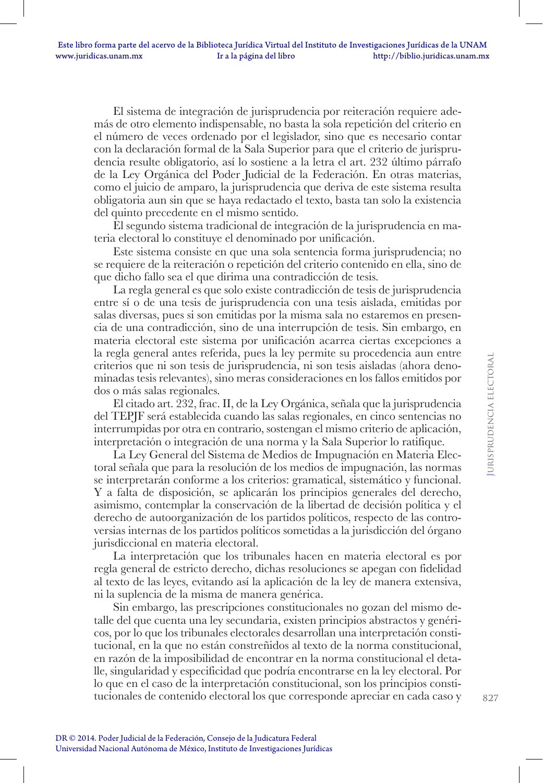El sistema de integración de jurisprudencia por reiteración requiere además de otro elemento indispensable, no basta la sola repetición del criterio en el número de veces ordenado por el legislador, sino que es necesario contar con la declaración formal de la Sala Superior para que el criterio de jurisprudencia resulte obligatorio, así lo sostiene a la letra el art. 232 último párrafo de la Ley Orgánica del Poder Judicial de la Federación. En otras materias, como el juicio de amparo, la jurisprudencia que deriva de este sistema resulta obligatoria aun sin que se haya redactado el texto, basta tan solo la existencia del quinto precedente en el mismo sentido.

El segundo sistema tradicional de integración de la jurisprudencia en materia electoral lo constituye el denominado por unificación.

Este sistema consiste en que una sola sentencia forma jurisprudencia; no se requiere de la reiteración o repetición del criterio contenido en ella, sino de que dicho fallo sea el que dirima una contradicción de tesis.

La regla general es que solo existe contradicción de tesis de jurisprudencia entre sí o de una tesis de jurisprudencia con una tesis aislada, emitidas por salas diversas, pues si son emitidas por la misma sala no estaremos en presencia de una contradicción, sino de una interrupción de tesis. Sin embargo, en materia electoral este sistema por unificación acarrea ciertas excepciones a la regla general antes referida, pues la ley permite su procedencia aun entre criterios que ni son tesis de jurisprudencia, ni son tesis aisladas (ahora denominadas tesis relevantes), sino meras consideraciones en los fallos emitidos por dos o más salas regionales.

El citado art. 232, frac. II, de la Ley Orgánica, señala que la jurisprudencia del TEPJF será establecida cuando las salas regionales, en cinco sentencias no interrumpidas por otra en contrario, sostengan el mismo criterio de aplicación, interpretación o integración de una norma y la Sala Superior lo ratifique.

La Ley General del Sistema de Medios de Impugnación en Materia Electoral señala que para la resolución de los medios de impugnación, las normas se interpretarán conforme a los criterios: gramatical, sistemático y funcional. Y a falta de disposición, se aplicarán los principios generales del derecho, asimismo, contemplar la conservación de la libertad de decisión política y el derecho de autoorganización de los partidos políticos, respecto de las controversias internas de los partidos políticos sometidas a la jurisdicción del órgano jurisdiccional en materia electoral.

La interpretación que los tribunales hacen en materia electoral es por regla general de estricto derecho, dichas resoluciones se apegan con fidelidad al texto de las leyes, evitando así la aplicación de la ley de manera extensiva, ni la suplencia de la misma de manera genérica.

Sin embargo, las prescripciones constitucionales no gozan del mismo detalle del que cuenta una ley secundaria, existen principios abstractos y genéricos, por lo que los tribunales electorales desarrollan una interpretación constitucional, en la que no están constreñidos al texto de la norma constitucional, en razón de la imposibilidad de encontrar en la norma constitucional el detalle, singularidad y especificidad que podría encontrarse en la ley electoral. Por lo que en el caso de la interpretación constitucional, son los principios constitucionales de contenido electoral los que corresponde apreciar en cada caso y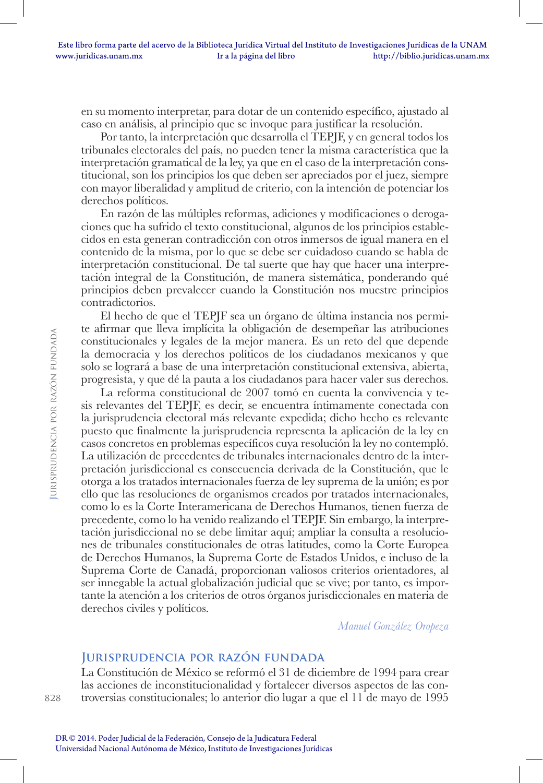en su momento interpretar, para dotar de un contenido específico, ajustado al caso en análisis, al principio que se invoque para justificar la resolución.

Por tanto, la interpretación que desarrolla el TEPJF, y en general todos los tribunales electorales del país, no pueden tener la misma característica que la interpretación gramatical de la ley, ya que en el caso de la interpretación constitucional, son los principios los que deben ser apreciados por el juez, siempre con mayor liberalidad y amplitud de criterio, con la intención de potenciar los derechos políticos.

En razón de las múltiples reformas, adiciones y modificaciones o derogaciones que ha sufrido el texto constitucional, algunos de los principios establecidos en esta generan contradicción con otros inmersos de igual manera en el contenido de la misma, por lo que se debe ser cuidadoso cuando se habla de interpretación constitucional. De tal suerte que hay que hacer una interpretación integral de la Constitución, de manera sistemática, ponderando qué principios deben prevalecer cuando la Constitución nos muestre principios contradictorios.

El hecho de que el TEPJF sea un órgano de última instancia nos permite afirmar que lleva implícita la obligación de desempeñar las atribuciones constitucionales y legales de la mejor manera. Es un reto del que depende la democracia y los derechos políticos de los ciudadanos mexicanos y que solo se logrará a base de una interpretación constitucional extensiva, abierta, progresista, y que dé la pauta a los ciudadanos para hacer valer sus derechos.

La reforma constitucional de 2007 tomó en cuenta la convivencia y tesis relevantes del TEPJF, es decir, se encuentra íntimamente conectada con la jurisprudencia electoral más relevante expedida; dicho hecho es relevante puesto que finalmente la jurisprudencia representa la aplicación de la ley en casos concretos en problemas específicos cuya resolución la ley no contempló. La utilización de precedentes de tribunales internacionales dentro de la interpretación jurisdiccional es consecuencia derivada de la Constitución, que le otorga a los tratados internacionales fuerza de ley suprema de la unión; es por ello que las resoluciones de organismos creados por tratados internacionales, como lo es la Corte Interamericana de Derechos Humanos, tienen fuerza de precedente, como lo ha venido realizando el TEPJF. Sin embargo, la interpretación jurisdiccional no se debe limitar aquí; ampliar la consulta a resoluciones de tribunales constitucionales de otras latitudes, como la Corte Europea de Derechos Humanos, la Suprema Corte de Estados Unidos, e incluso de la Suprema Corte de Canadá, proporcionan valiosos criterios orientadores, al ser innegable la actual globalización judicial que se vive; por tanto, es importante la atención a los criterios de otros órganos jurisdiccionales en materia de derechos civiles y políticos.

*Manuel González Oropeza*

#### **Jurisprudencia por razón fundada**

La Constitución de México se reformó el 31 de diciembre de 1994 para crear las acciones de inconstitucionalidad y fortalecer diversos aspectos de las controversias constitucionales; lo anterior dio lugar a que el 11 de mayo de 1995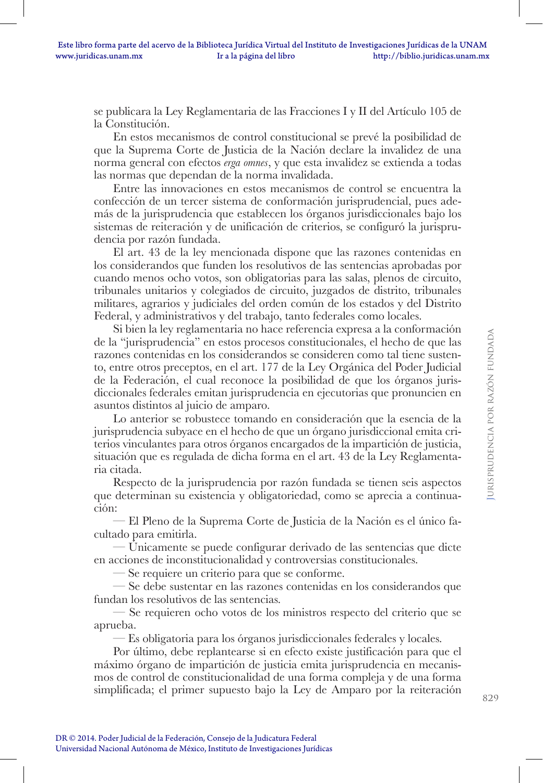se publicara la Ley Reglamentaria de las Fracciones I y II del Artículo 105 de la Constitución.

En estos mecanismos de control constitucional se prevé la posibilidad de que la Suprema Corte de Justicia de la Nación declare la invalidez de una norma general con efectos *erga omnes*, y que esta invalidez se extienda a todas las normas que dependan de la norma invalidada.

Entre las innovaciones en estos mecanismos de control se encuentra la confección de un tercer sistema de conformación jurisprudencial, pues además de la jurisprudencia que establecen los órganos jurisdiccionales bajo los sistemas de reiteración y de unificación de criterios, se configuró la jurisprudencia por razón fundada.

El art. 43 de la ley mencionada dispone que las razones contenidas en los considerandos que funden los resolutivos de las sentencias aprobadas por cuando menos ocho votos, son obligatorias para las salas, plenos de circuito, tribunales unitarios y colegiados de circuito, juzgados de distrito, tribunales militares, agrarios y judiciales del orden común de los estados y del Distrito Federal, y administrativos y del trabajo, tanto federales como locales.

Si bien la ley reglamentaria no hace referencia expresa a la conformación de la "jurisprudencia" en estos procesos constitucionales, el hecho de que las razones contenidas en los considerandos se consideren como tal tiene sustento, entre otros preceptos, en el art. 177 de la Ley Orgánica del Poder Judicial de la Federación, el cual reconoce la posibilidad de que los órganos jurisdiccionales federales emitan jurisprudencia en ejecutorias que pronuncien en asuntos distintos al juicio de amparo.

Lo anterior se robustece tomando en consideración que la esencia de la jurisprudencia subyace en el hecho de que un órgano jurisdiccional emita criterios vinculantes para otros órganos encargados de la impartición de justicia, situación que es regulada de dicha forma en el art. 43 de la Ley Reglamentaria citada.

Respecto de la jurisprudencia por razón fundada se tienen seis aspectos que determinan su existencia y obligatoriedad, como se aprecia a continuación:

— El Pleno de la Suprema Corte de Justicia de la Nación es el único facultado para emitirla.

— Únicamente se puede configurar derivado de las sentencias que dicte en acciones de inconstitucionalidad y controversias constitucionales.

— Se requiere un criterio para que se conforme.

— Se debe sustentar en las razones contenidas en los considerandos que fundan los resolutivos de las sentencias.

— Se requieren ocho votos de los ministros respecto del criterio que se aprueba.

— Es obligatoria para los órganos jurisdiccionales federales y locales.

Por último, debe replantearse si en efecto existe justificación para que el máximo órgano de impartición de justicia emita jurisprudencia en mecanismos de control de constitucionalidad de una forma compleja y de una forma simplificada; el primer supuesto bajo la Ley de Amparo por la reiteración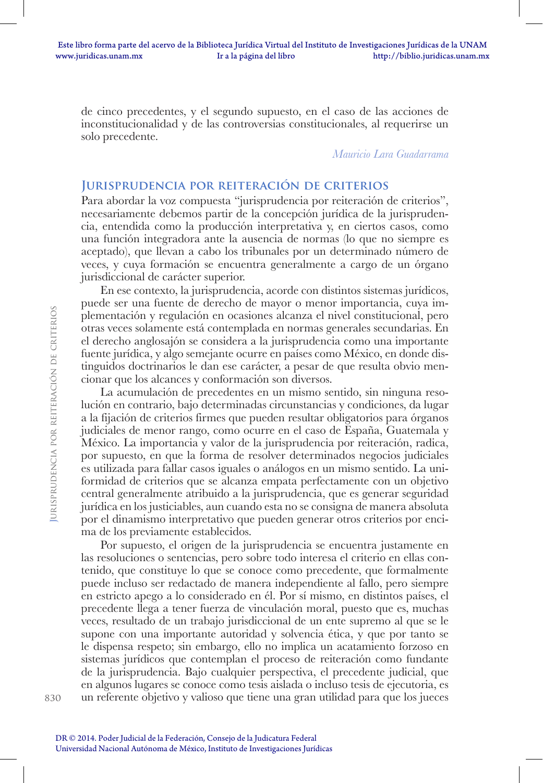de cinco precedentes, y el segundo supuesto, en el caso de las acciones de inconstitucionalidad y de las controversias constitucionales, al requerirse un solo precedente.

*Mauricio Lara Guadarrama*

## **Jurisprudencia por reiteración de criterios**

Para abordar la voz compuesta "jurisprudencia por reiteración de criterios", necesariamente debemos partir de la concepción jurídica de la jurisprudencia, entendida como la producción interpretativa y, en ciertos casos, como una función integradora ante la ausencia de normas (lo que no siempre es aceptado), que llevan a cabo los tribunales por un determinado número de veces, y cuya formación se encuentra generalmente a cargo de un órgano jurisdiccional de carácter superior.

En ese contexto, la jurisprudencia, acorde con distintos sistemas jurídicos, puede ser una fuente de derecho de mayor o menor importancia, cuya implementación y regulación en ocasiones alcanza el nivel constitucional, pero otras veces solamente está contemplada en normas generales secundarias. En el derecho anglosajón se considera a la jurisprudencia como una importante fuente jurídica, y algo semejante ocurre en países como México, en donde distinguidos doctrinarios le dan ese carácter, a pesar de que resulta obvio mencionar que los alcances y conformación son diversos.

La acumulación de precedentes en un mismo sentido, sin ninguna resolución en contrario, bajo determinadas circunstancias y condiciones, da lugar a la fijación de criterios firmes que pueden resultar obligatorios para órganos judiciales de menor rango, como ocurre en el caso de España, Guatemala y México. La importancia y valor de la jurisprudencia por reiteración, radica, por supuesto, en que la forma de resolver determinados negocios judiciales es utilizada para fallar casos iguales o análogos en un mismo sentido. La uniformidad de criterios que se alcanza empata perfectamente con un objetivo central generalmente atribuido a la jurisprudencia, que es generar seguridad jurídica en los justiciables, aun cuando esta no se consigna de manera absoluta por el dinamismo interpretativo que pueden generar otros criterios por encima de los previamente establecidos.

Por supuesto, el origen de la jurisprudencia se encuentra justamente en las resoluciones o sentencias, pero sobre todo interesa el criterio en ellas contenido, que constituye lo que se conoce como precedente, que formalmente puede incluso ser redactado de manera independiente al fallo, pero siempre en estricto apego a lo considerado en él. Por sí mismo, en distintos países, el precedente llega a tener fuerza de vinculación moral, puesto que es, muchas veces, resultado de un trabajo jurisdiccional de un ente supremo al que se le supone con una importante autoridad y solvencia ética, y que por tanto se le dispensa respeto; sin embargo, ello no implica un acatamiento forzoso en sistemas jurídicos que contemplan el proceso de reiteración como fundante de la jurisprudencia. Bajo cualquier perspectiva, el precedente judicial, que en algunos lugares se conoce como tesis aislada o incluso tesis de ejecutoria, es un referente objetivo y valioso que tiene una gran utilidad para que los jueces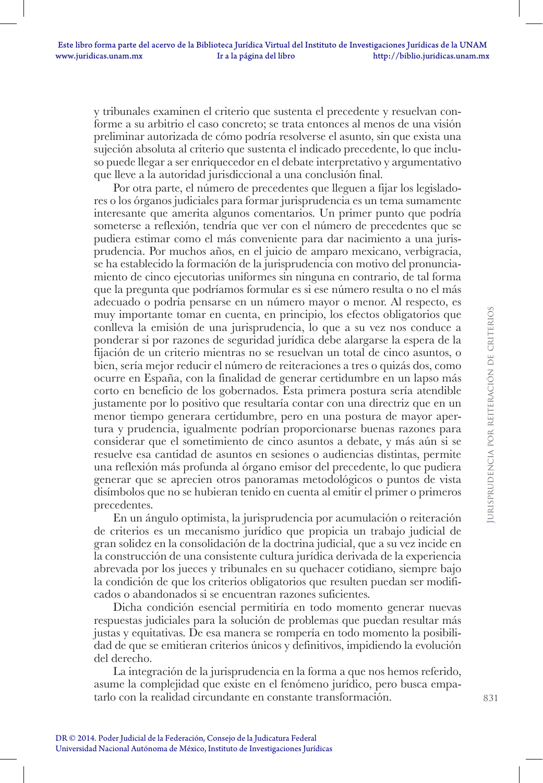y tribunales examinen el criterio que sustenta el precedente y resuelvan conforme a su arbitrio el caso concreto; se trata entonces al menos de una visión preliminar autorizada de cómo podría resolverse el asunto, sin que exista una sujeción absoluta al criterio que sustenta el indicado precedente, lo que incluso puede llegar a ser enriquecedor en el debate interpretativo y argumentativo que lleve a la autoridad jurisdiccional a una conclusión final.

Por otra parte, el número de precedentes que lleguen a fijar los legisladores o los órganos judiciales para formar jurisprudencia es un tema sumamente interesante que amerita algunos comentarios. Un primer punto que podría someterse a reflexión, tendría que ver con el número de precedentes que se pudiera estimar como el más conveniente para dar nacimiento a una jurisprudencia. Por muchos años, en el juicio de amparo mexicano, verbigracia, se ha establecido la formación de la jurisprudencia con motivo del pronunciamiento de cinco ejecutorias uniformes sin ninguna en contrario, de tal forma que la pregunta que podríamos formular es si ese número resulta o no el más adecuado o podría pensarse en un número mayor o menor. Al respecto, es muy importante tomar en cuenta, en principio, los efectos obligatorios que conlleva la emisión de una jurisprudencia, lo que a su vez nos conduce a ponderar si por razones de seguridad jurídica debe alargarse la espera de la fijación de un criterio mientras no se resuelvan un total de cinco asuntos, o bien, sería mejor reducir el número de reiteraciones a tres o quizás dos, como ocurre en España, con la finalidad de generar certidumbre en un lapso más corto en beneficio de los gobernados. Esta primera postura sería atendible justamente por lo positivo que resultaría contar con una directriz que en un menor tiempo generara certidumbre, pero en una postura de mayor apertura y prudencia, igualmente podrían proporcionarse buenas razones para considerar que el sometimiento de cinco asuntos a debate, y más aún si se resuelve esa cantidad de asuntos en sesiones o audiencias distintas, permite una reflexión más profunda al órgano emisor del precedente, lo que pudiera generar que se aprecien otros panoramas metodológicos o puntos de vista disímbolos que no se hubieran tenido en cuenta al emitir el primer o primeros precedentes.

En un ángulo optimista, la jurisprudencia por acumulación o reiteración de criterios es un mecanismo jurídico que propicia un trabajo judicial de gran solidez en la consolidación de la doctrina judicial, que a su vez incide en la construcción de una consistente cultura jurídica derivada de la experiencia abrevada por los jueces y tribunales en su quehacer cotidiano, siempre bajo la condición de que los criterios obligatorios que resulten puedan ser modificados o abandonados si se encuentran razones suficientes.

Dicha condición esencial permitiría en todo momento generar nuevas respuestas judiciales para la solución de problemas que puedan resultar más justas y equitativas. De esa manera se rompería en todo momento la posibilidad de que se emitieran criterios únicos y definitivos, impidiendo la evolución del derecho.

La integración de la jurisprudencia en la forma a que nos hemos referido, asume la complejidad que existe en el fenómeno jurídico, pero busca empatarlo con la realidad circundante en constante transformación.

**J**urisprudencia por reiteración de criterios

**JURISPRUDENCIA POR REITERACIÓN DE CRITERIOS**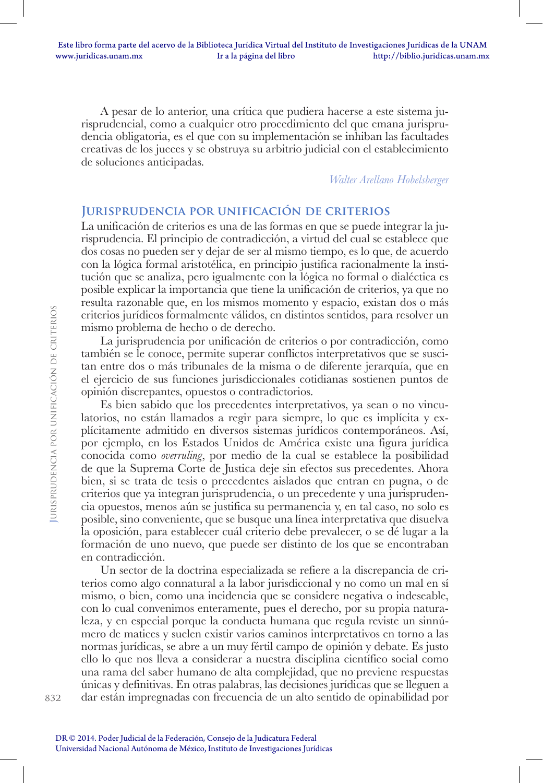A pesar de lo anterior, una crítica que pudiera hacerse a este sistema jurisprudencial, como a cualquier otro procedimiento del que emana jurisprudencia obligatoria, es el que con su implementación se inhiban las facultades creativas de los jueces y se obstruya su arbitrio judicial con el establecimiento de soluciones anticipadas.

*Walter Arellano Hobelsberger*

# **Jurisprudencia por unificación de criterios**

La unificación de criterios es una de las formas en que se puede integrar la jurisprudencia. El principio de contradicción, a virtud del cual se establece que dos cosas no pueden ser y dejar de ser al mismo tiempo, es lo que, de acuerdo con la lógica formal aristotélica, en principio justifica racionalmente la institución que se analiza, pero igualmente con la lógica no formal o dialéctica es posible explicar la importancia que tiene la unificación de criterios, ya que no resulta razonable que, en los mismos momento y espacio, existan dos o más criterios jurídicos formalmente válidos, en distintos sentidos, para resolver un mismo problema de hecho o de derecho.

La jurisprudencia por unificación de criterios o por contradicción, como también se le conoce, permite superar conflictos interpretativos que se suscitan entre dos o más tribunales de la misma o de diferente jerarquía, que en el ejercicio de sus funciones jurisdiccionales cotidianas sostienen puntos de opinión discrepantes, opuestos o contradictorios.

Es bien sabido que los precedentes interpretativos, ya sean o no vinculatorios, no están llamados a regir para siempre, lo que es implícita y explícitamente admitido en diversos sistemas jurídicos contemporáneos. Así, por ejemplo, en los Estados Unidos de América existe una figura jurídica conocida como *overruling*, por medio de la cual se establece la posibilidad de que la Suprema Corte de Justica deje sin efectos sus precedentes. Ahora bien, si se trata de tesis o precedentes aislados que entran en pugna, o de criterios que ya integran jurisprudencia, o un precedente y una jurisprudencia opuestos, menos aún se justifica su permanencia y, en tal caso, no solo es posible, sino conveniente, que se busque una línea interpretativa que disuelva la oposición, para establecer cuál criterio debe prevalecer, o se dé lugar a la formación de uno nuevo, que puede ser distinto de los que se encontraban en contradicción.

Un sector de la doctrina especializada se refiere a la discrepancia de criterios como algo connatural a la labor jurisdiccional y no como un mal en sí mismo, o bien, como una incidencia que se considere negativa o indeseable, con lo cual convenimos enteramente, pues el derecho, por su propia naturaleza, y en especial porque la conducta humana que regula reviste un sinnúmero de matices y suelen existir varios caminos interpretativos en torno a las normas jurídicas, se abre a un muy fértil campo de opinión y debate. Es justo ello lo que nos lleva a considerar a nuestra disciplina científico social como una rama del saber humano de alta complejidad, que no previene respuestas únicas y definitivas. En otras palabras, las decisiones jurídicas que se lleguen a dar están impregnadas con frecuencia de un alto sentido de opinabilidad por

832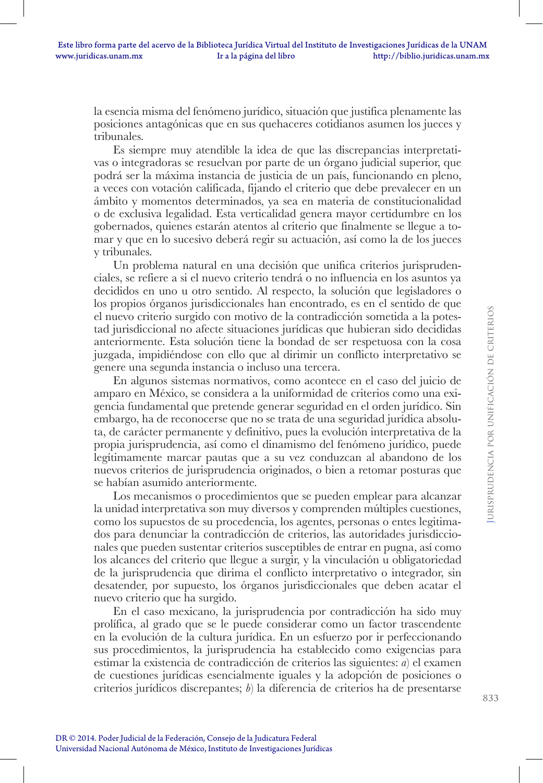la esencia misma del fenómeno jurídico, situación que justifica plenamente las posiciones antagónicas que en sus quehaceres cotidianos asumen los jueces y tribunales.

Es siempre muy atendible la idea de que las discrepancias interpretativas o integradoras se resuelvan por parte de un órgano judicial superior, que podrá ser la máxima instancia de justicia de un país, funcionando en pleno, a veces con votación calificada, fijando el criterio que debe prevalecer en un ámbito y momentos determinados, ya sea en materia de constitucionalidad o de exclusiva legalidad. Esta verticalidad genera mayor certidumbre en los gobernados, quienes estarán atentos al criterio que finalmente se llegue a tomar y que en lo sucesivo deberá regir su actuación, así como la de los jueces y tribunales.

Un problema natural en una decisión que unifica criterios jurisprudenciales, se refiere a si el nuevo criterio tendrá o no influencia en los asuntos ya decididos en uno u otro sentido. Al respecto, la solución que legisladores o los propios órganos jurisdiccionales han encontrado, es en el sentido de que el nuevo criterio surgido con motivo de la contradicción sometida a la potestad jurisdiccional no afecte situaciones jurídicas que hubieran sido decididas anteriormente. Esta solución tiene la bondad de ser respetuosa con la cosa juzgada, impidiéndose con ello que al dirimir un conflicto interpretativo se genere una segunda instancia o incluso una tercera.

En algunos sistemas normativos, como acontece en el caso del juicio de amparo en México, se considera a la uniformidad de criterios como una exigencia fundamental que pretende generar seguridad en el orden jurídico. Sin embargo, ha de reconocerse que no se trata de una seguridad jurídica absoluta, de carácter permanente y definitivo, pues la evolución interpretativa de la propia jurisprudencia, así como el dinamismo del fenómeno jurídico, puede legítimamente marcar pautas que a su vez conduzcan al abandono de los nuevos criterios de jurisprudencia originados, o bien a retomar posturas que se habían asumido anteriormente.

Los mecanismos o procedimientos que se pueden emplear para alcanzar la unidad interpretativa son muy diversos y comprenden múltiples cuestiones, como los supuestos de su procedencia, los agentes, personas o entes legitimados para denunciar la contradicción de criterios, las autoridades jurisdiccionales que pueden sustentar criterios susceptibles de entrar en pugna, así como los alcances del criterio que llegue a surgir, y la vinculación u obligatoriedad de la jurisprudencia que dirima el conflicto interpretativo o integrador, sin desatender, por supuesto, los órganos jurisdiccionales que deben acatar el nuevo criterio que ha surgido.

En el caso mexicano, la jurisprudencia por contradicción ha sido muy prolífica, al grado que se le puede considerar como un factor trascendente en la evolución de la cultura jurídica. En un esfuerzo por ir perfeccionando sus procedimientos, la jurisprudencia ha establecido como exigencias para estimar la existencia de contradicción de criterios las siguientes: *a*) el examen de cuestiones jurídicas esencialmente iguales y la adopción de posiciones o criterios jurídicos discrepantes; *b*) la diferencia de criterios ha de presentarse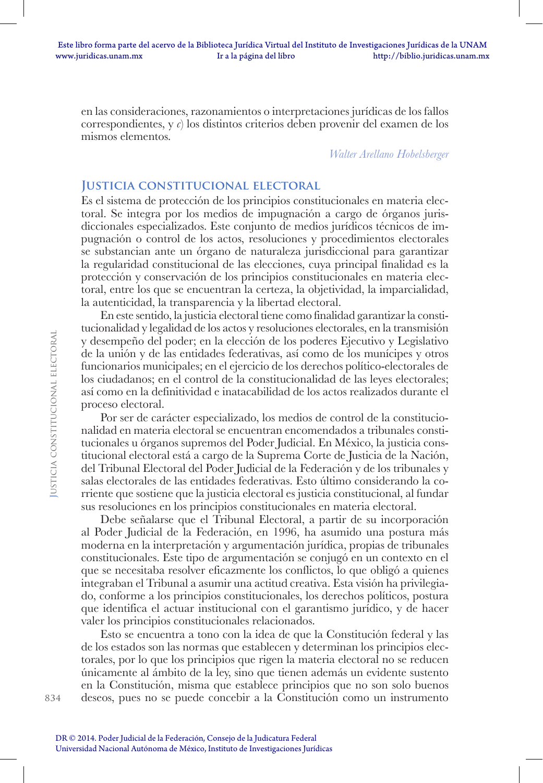en las consideraciones, razonamientos o interpretaciones jurídicas de los fallos correspondientes, y *c*) los distintos criterios deben provenir del examen de los mismos elementos.

*Walter Arellano Hobelsberger*

### **Justicia constitucional electoral**

Es el sistema de protección de los principios constitucionales en materia electoral. Se integra por los medios de impugnación a cargo de órganos jurisdiccionales especializados. Este conjunto de medios jurídicos técnicos de impugnación o control de los actos, resoluciones y procedimientos electorales se substancian ante un órgano de naturaleza jurisdiccional para garantizar la regularidad constitucional de las elecciones, cuya principal finalidad es la protección y conservación de los principios constitucionales en materia electoral, entre los que se encuentran la certeza, la objetividad, la imparcialidad, la autenticidad, la transparencia y la libertad electoral.

En este sentido, la justicia electoral tiene como finalidad garantizar la constitucionalidad y legalidad de los actos y resoluciones electorales, en la transmisión y desempeño del poder; en la elección de los poderes Ejecutivo y Legislativo de la unión y de las entidades federativas, así como de los munícipes y otros funcionarios municipales; en el ejercicio de los derechos político-electorales de los ciudadanos; en el control de la constitucionalidad de las leyes electorales; así como en la definitividad e inatacabilidad de los actos realizados durante el proceso electoral.

Por ser de carácter especializado, los medios de control de la constitucionalidad en materia electoral se encuentran encomendados a tribunales constitucionales u órganos supremos del Poder Judicial. En México, la justicia constitucional electoral está a cargo de la Suprema Corte de Justicia de la Nación, del Tribunal Electoral del Poder Judicial de la Federación y de los tribunales y salas electorales de las entidades federativas. Esto último considerando la corriente que sostiene que la justicia electoral es justicia constitucional, al fundar sus resoluciones en los principios constitucionales en materia electoral.

Debe señalarse que el Tribunal Electoral, a partir de su incorporación al Poder Judicial de la Federación, en 1996, ha asumido una postura más moderna en la interpretación y argumentación jurídica, propias de tribunales constitucionales. Este tipo de argumentación se conjugó en un contexto en el que se necesitaba resolver eficazmente los conflictos, lo que obligó a quienes integraban el Tribunal a asumir una actitud creativa. Esta visión ha privilegiado, conforme a los principios constitucionales, los derechos políticos, postura que identifica el actuar institucional con el garantismo jurídico, y de hacer valer los principios constitucionales relacionados.

Esto se encuentra a tono con la idea de que la Constitución federal y las de los estados son las normas que establecen y determinan los principios electorales, por lo que los principios que rigen la materia electoral no se reducen únicamente al ámbito de la ley, sino que tienen además un evidente sustento en la Constitución, misma que establece principios que no son solo buenos deseos, pues no se puede concebir a la Constitución como un instrumento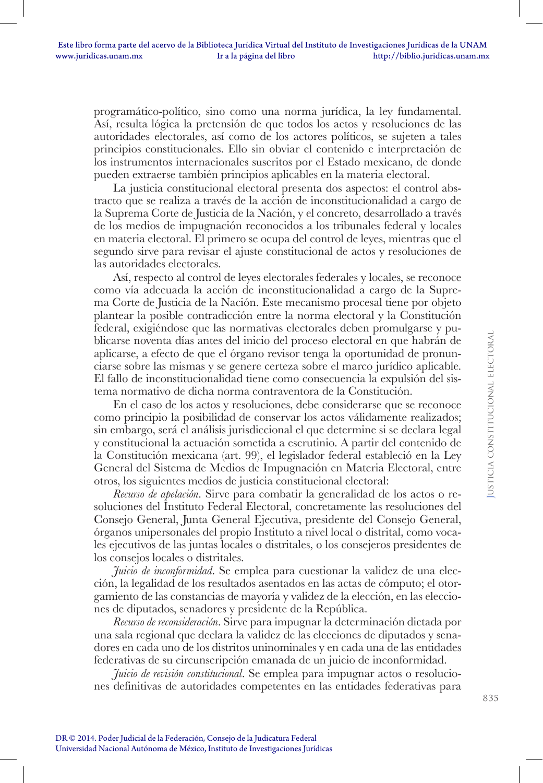programático-político, sino como una norma jurídica, la ley fundamental. Así, resulta lógica la pretensión de que todos los actos y resoluciones de las autoridades electorales, así como de los actores políticos, se sujeten a tales principios constitucionales. Ello sin obviar el contenido e interpretación de los instrumentos internacionales suscritos por el Estado mexicano, de donde pueden extraerse también principios aplicables en la materia electoral.

La justicia constitucional electoral presenta dos aspectos: el control abstracto que se realiza a través de la acción de inconstitucionalidad a cargo de la Suprema Corte de Justicia de la Nación, y el concreto, desarrollado a través de los medios de impugnación reconocidos a los tribunales federal y locales en materia electoral. El primero se ocupa del control de leyes, mientras que el segundo sirve para revisar el ajuste constitucional de actos y resoluciones de las autoridades electorales.

Así, respecto al control de leyes electorales federales y locales, se reconoce como vía adecuada la acción de inconstitucionalidad a cargo de la Suprema Corte de Justicia de la Nación. Este mecanismo procesal tiene por objeto plantear la posible contradicción entre la norma electoral y la Constitución federal, exigiéndose que las normativas electorales deben promulgarse y publicarse noventa días antes del inicio del proceso electoral en que habrán de aplicarse, a efecto de que el órgano revisor tenga la oportunidad de pronunciarse sobre las mismas y se genere certeza sobre el marco jurídico aplicable. El fallo de inconstitucionalidad tiene como consecuencia la expulsión del sistema normativo de dicha norma contraventora de la Constitución.

En el caso de los actos y resoluciones, debe considerarse que se reconoce como principio la posibilidad de conservar los actos válidamente realizados; sin embargo, será el análisis jurisdiccional el que determine si se declara legal y constitucional la actuación sometida a escrutinio. A partir del contenido de la Constitución mexicana (art. 99), el legislador federal estableció en la Ley General del Sistema de Medios de Impugnación en Materia Electoral, entre otros, los siguientes medios de justicia constitucional electoral:

*Recurso de apelación*. Sirve para combatir la generalidad de los actos o resoluciones del Instituto Federal Electoral, concretamente las resoluciones del Consejo General, Junta General Ejecutiva, presidente del Consejo General, órganos unipersonales del propio Instituto a nivel local o distrital, como vocales ejecutivos de las juntas locales o distritales, o los consejeros presidentes de los consejos locales o distritales.

*Juicio de inconformidad*. Se emplea para cuestionar la validez de una elección, la legalidad de los resultados asentados en las actas de cómputo; el otorgamiento de las constancias de mayoría y validez de la elección, en las elecciones de diputados, senadores y presidente de la República.

*Recurso de reconsideración*. Sirve para impugnar la determinación dictada por una sala regional que declara la validez de las elecciones de diputados y senadores en cada uno de los distritos uninominales y en cada una de las entidades federativas de su circunscripción emanada de un juicio de inconformidad.

*Juicio de revisión constitucional*. Se emplea para impugnar actos o resoluciones definitivas de autoridades competentes en las entidades federativas para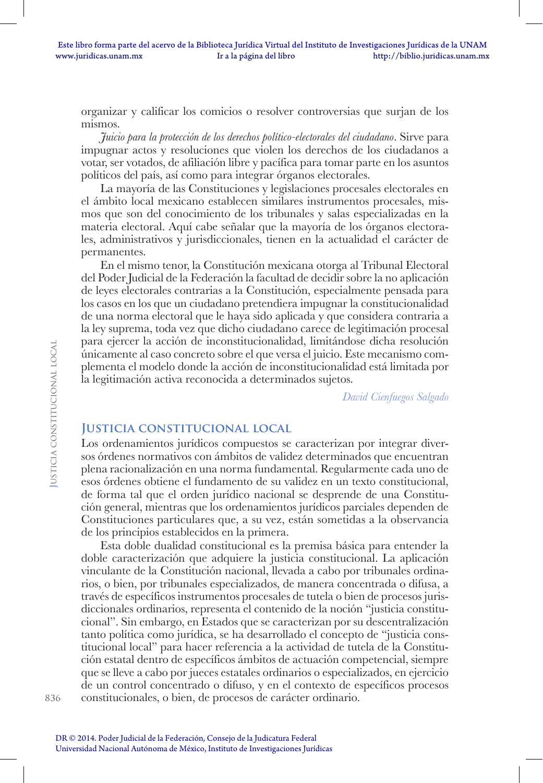organizar y calificar los comicios o resolver controversias que surjan de los mismos.

*Juicio para la protección de los derechos político-electorales del ciudadano*. Sirve para impugnar actos y resoluciones que violen los derechos de los ciudadanos a votar, ser votados, de afiliación libre y pacífica para tomar parte en los asuntos políticos del país, así como para integrar órganos electorales.

La mayoría de las Constituciones y legislaciones procesales electorales en el ámbito local mexicano establecen similares instrumentos procesales, mismos que son del conocimiento de los tribunales y salas especializadas en la materia electoral. Aquí cabe señalar que la mayoría de los órganos electorales, administrativos y jurisdiccionales, tienen en la actualidad el carácter de permanentes.

En el mismo tenor, la Constitución mexicana otorga al Tribunal Electoral del Poder Judicial de la Federación la facultad de decidir sobre la no aplicación de leyes electorales contrarias a la Constitución, especialmente pensada para los casos en los que un ciudadano pretendiera impugnar la constitucionalidad de una norma electoral que le haya sido aplicada y que considera contraria a la ley suprema, toda vez que dicho ciudadano carece de legitimación procesal para ejercer la acción de inconstitucionalidad, limitándose dicha resolución únicamente al caso concreto sobre el que versa el juicio. Este mecanismo complementa el modelo donde la acción de inconstitucionalidad está limitada por la legitimación activa reconocida a determinados sujetos.

*David Cienfuegos Salgado*

### **Justicia constitucional local**

Los ordenamientos jurídicos compuestos se caracterizan por integrar diversos órdenes normativos con ámbitos de validez determinados que encuentran plena racionalización en una norma fundamental. Regularmente cada uno de esos órdenes obtiene el fundamento de su validez en un texto constitucional, de forma tal que el orden jurídico nacional se desprende de una Constitución general, mientras que los ordenamientos jurídicos parciales dependen de Constituciones particulares que, a su vez, están sometidas a la observancia de los principios establecidos en la primera.

Esta doble dualidad constitucional es la premisa básica para entender la doble caracterización que adquiere la justicia constitucional. La aplicación vinculante de la Constitución nacional, llevada a cabo por tribunales ordinarios, o bien, por tribunales especializados, de manera concentrada o difusa, a través de específicos instrumentos procesales de tutela o bien de procesos jurisdiccionales ordinarios, representa el contenido de la noción "justicia constitucional". Sin embargo, en Estados que se caracterizan por su descentralización tanto política como jurídica, se ha desarrollado el concepto de "justicia constitucional local" para hacer referencia a la actividad de tutela de la Constitución estatal dentro de específicos ámbitos de actuación competencial, siempre que se lleve a cabo por jueces estatales ordinarios o especializados, en ejercicio de un control concentrado o difuso, y en el contexto de específicos procesos constitucionales, o bien, de procesos de carácter ordinario.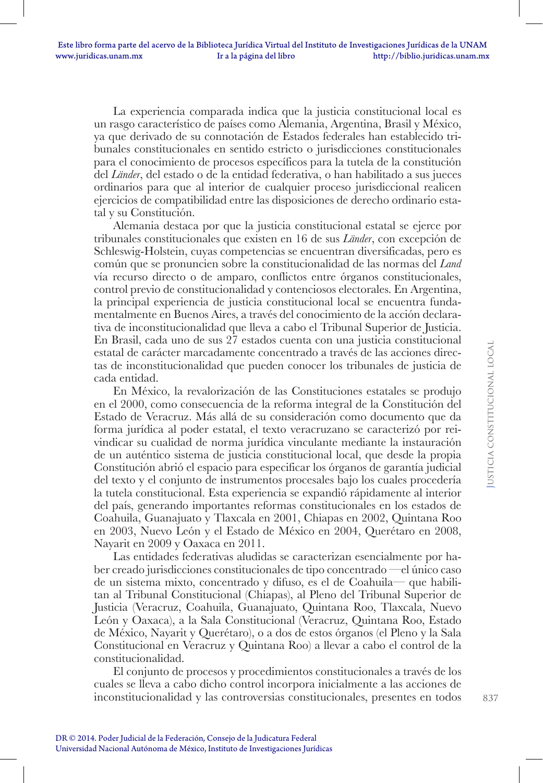La experiencia comparada indica que la justicia constitucional local es un rasgo característico de países como Alemania, Argentina, Brasil y México, ya que derivado de su connotación de Estados federales han establecido tribunales constitucionales en sentido estricto o jurisdicciones constitucionales para el conocimiento de procesos específicos para la tutela de la constitución del *Länder*, del estado o de la entidad federativa, o han habilitado a sus jueces ordinarios para que al interior de cualquier proceso jurisdiccional realicen ejercicios de compatibilidad entre las disposiciones de derecho ordinario estatal y su Constitución.

Alemania destaca por que la justicia constitucional estatal se ejerce por tribunales constitucionales que existen en 16 de sus *Länder*, con excepción de Schleswig-Holstein, cuyas competencias se encuentran diversificadas, pero es común que se pronuncien sobre la constitucionalidad de las normas del *Land* vía recurso directo o de amparo, conflictos entre órganos constitucionales, control previo de constitucionalidad y contenciosos electorales. En Argentina, la principal experiencia de justicia constitucional local se encuentra fundamentalmente en Buenos Aires, a través del conocimiento de la acción declarativa de inconstitucionalidad que lleva a cabo el Tribunal Superior de Justicia. En Brasil, cada uno de sus 27 estados cuenta con una justicia constitucional estatal de carácter marcadamente concentrado a través de las acciones directas de inconstitucionalidad que pueden conocer los tribunales de justicia de cada entidad.

En México, la revalorización de las Constituciones estatales se produjo en el 2000, como consecuencia de la reforma integral de la Constitución del Estado de Veracruz. Más allá de su consideración como documento que da forma jurídica al poder estatal, el texto veracruzano se caracterizó por reivindicar su cualidad de norma jurídica vinculante mediante la instauración de un auténtico sistema de justicia constitucional local, que desde la propia Constitución abrió el espacio para especificar los órganos de garantía judicial del texto y el conjunto de instrumentos procesales bajo los cuales procedería la tutela constitucional. Esta experiencia se expandió rápidamente al interior del país, generando importantes reformas constitucionales en los estados de Coahuila, Guanajuato y Tlaxcala en 2001, Chiapas en 2002, Quintana Roo en 2003, Nuevo León y el Estado de México en 2004, Querétaro en 2008, Nayarit en 2009 y Oaxaca en 2011.

Las entidades federativas aludidas se caracterizan esencialmente por haber creado jurisdicciones constitucionales de tipo concentrado —el único caso de un sistema mixto, concentrado y difuso, es el de Coahuila— que habilitan al Tribunal Constitucional (Chiapas), al Pleno del Tribunal Superior de Justicia (Veracruz, Coahuila, Guanajuato, Quintana Roo, Tlaxcala, Nuevo León y Oaxaca), a la Sala Constitucional (Veracruz, Quintana Roo, Estado de México, Nayarit y Querétaro), o a dos de estos órganos (el Pleno y la Sala Constitucional en Veracruz y Quintana Roo) a llevar a cabo el control de la constitucionalidad.

El conjunto de procesos y procedimientos constitucionales a través de los cuales se lleva a cabo dicho control incorpora inicialmente a las acciones de inconstitucionalidad y las controversias constitucionales, presentes en todos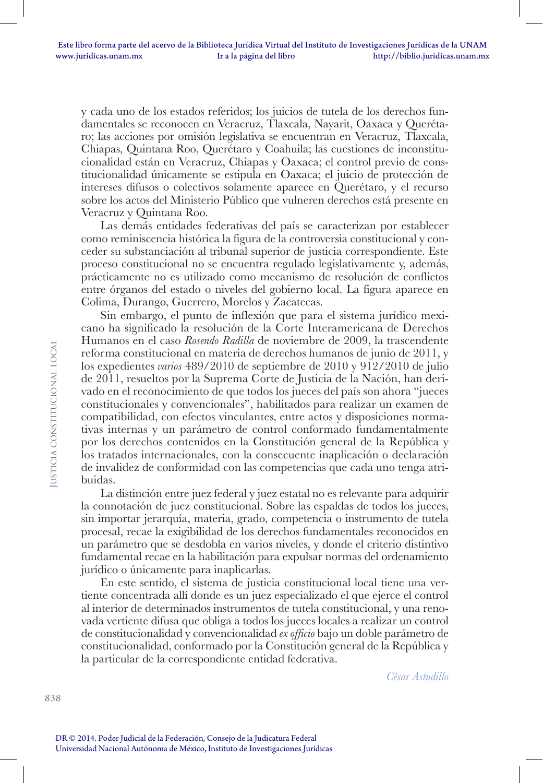y cada uno de los estados referidos; los juicios de tutela de los derechos fundamentales se reconocen en Veracruz, Tlaxcala, Nayarit, Oaxaca y Querétaro; las acciones por omisión legislativa se encuentran en Veracruz, Tlaxcala, Chiapas, Quintana Roo, Querétaro y Coahuila; las cuestiones de inconstitucionalidad están en Veracruz, Chiapas y Oaxaca; el control previo de constitucionalidad únicamente se estipula en Oaxaca; el juicio de protección de intereses difusos o colectivos solamente aparece en Querétaro, y el recurso sobre los actos del Ministerio Público que vulneren derechos está presente en Veracruz y Quintana Roo.

Las demás entidades federativas del país se caracterizan por establecer como reminiscencia histórica la figura de la controversia constitucional y conceder su substanciación al tribunal superior de justicia correspondiente. Este proceso constitucional no se encuentra regulado legislativamente y, además, prácticamente no es utilizado como mecanismo de resolución de conflictos entre órganos del estado o niveles del gobierno local. La figura aparece en Colima, Durango, Guerrero, Morelos y Zacatecas.

Sin embargo, el punto de inflexión que para el sistema jurídico mexicano ha significado la resolución de la Corte Interamericana de Derechos Humanos en el caso *Rosendo Radilla* de noviembre de 2009, la trascendente reforma constitucional en materia de derechos humanos de junio de 2011, y los expedientes *varios* 489/2010 de septiembre de 2010 y 912/2010 de julio de 2011, resueltos por la Suprema Corte de Justicia de la Nación, han derivado en el reconocimiento de que todos los jueces del país son ahora "jueces constitucionales y convencionales", habilitados para realizar un examen de compatibilidad, con efectos vinculantes, entre actos y disposiciones normativas internas y un parámetro de control conformado fundamentalmente por los derechos contenidos en la Constitución general de la República y los tratados internacionales, con la consecuente inaplicación o declaración de invalidez de conformidad con las competencias que cada uno tenga atribuidas.

La distinción entre juez federal y juez estatal no es relevante para adquirir la connotación de juez constitucional. Sobre las espaldas de todos los jueces, sin importar jerarquía, materia, grado, competencia o instrumento de tutela procesal, recae la exigibilidad de los derechos fundamentales reconocidos en un parámetro que se desdobla en varios niveles, y donde el criterio distintivo fundamental recae en la habilitación para expulsar normas del ordenamiento jurídico o únicamente para inaplicarlas.

En este sentido, el sistema de justicia constitucional local tiene una vertiente concentrada allí donde es un juez especializado el que ejerce el control al interior de determinados instrumentos de tutela constitucional, y una renovada vertiente difusa que obliga a todos los jueces locales a realizar un control de constitucionalidad y convencionalidad *ex officio* bajo un doble parámetro de constitucionalidad, conformado por la Constitución general de la República y la particular de la correspondiente entidad federativa.

*César Astudillo*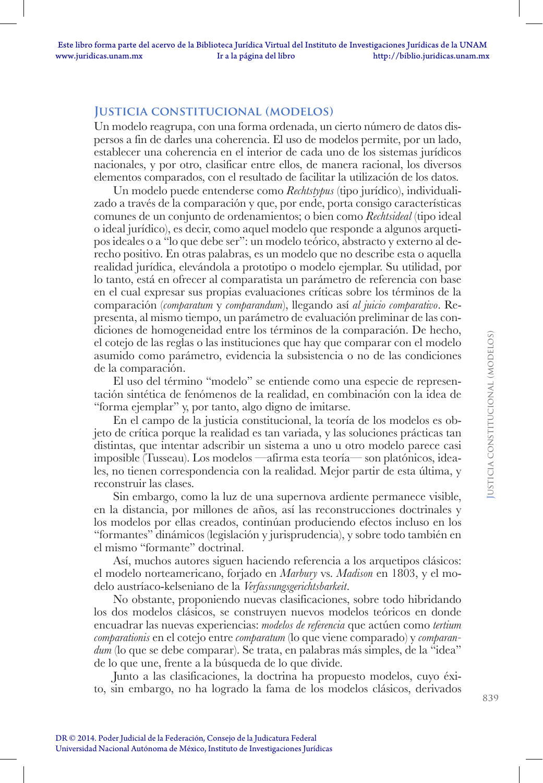## **Justicia constitucional (modelos)**

Un modelo reagrupa, con una forma ordenada, un cierto número de datos dispersos a fin de darles una coherencia. El uso de modelos permite, por un lado, establecer una coherencia en el interior de cada uno de los sistemas jurídicos nacionales, y por otro, clasificar entre ellos, de manera racional, los diversos elementos comparados, con el resultado de facilitar la utilización de los datos.

Un modelo puede entenderse como *Rechtstypus* (tipo jurídico), individualizado a través de la comparación y que, por ende, porta consigo características comunes de un conjunto de ordenamientos; o bien como *Rechtsideal* (tipo ideal o ideal jurídico), es decir, como aquel modelo que responde a algunos arquetipos ideales o a "lo que debe ser": un modelo teórico, abstracto y externo al derecho positivo. En otras palabras, es un modelo que no describe esta o aquella realidad jurídica, elevándola a prototipo o modelo ejemplar. Su utilidad, por lo tanto, está en ofrecer al comparatista un parámetro de referencia con base en el cual expresar sus propias evaluaciones críticas sobre los términos de la comparación (*comparatum* y *comparandum*), llegando así *al juicio comparativo*. Representa, al mismo tiempo, un parámetro de evaluación preliminar de las condiciones de homogeneidad entre los términos de la comparación. De hecho, el cotejo de las reglas o las instituciones que hay que comparar con el modelo asumido como parámetro, evidencia la subsistencia o no de las condiciones de la comparación.

El uso del término "modelo" se entiende como una especie de representación sintética de fenómenos de la realidad, en combinación con la idea de "forma ejemplar" y, por tanto, algo digno de imitarse.

En el campo de la justicia constitucional, la teoría de los modelos es objeto de crítica porque la realidad es tan variada, y las soluciones prácticas tan distintas, que intentar adscribir un sistema a uno u otro modelo parece casi imposible (Tusseau). Los modelos —afirma esta teoría— son platónicos, ideales, no tienen correspondencia con la realidad. Mejor partir de esta última, y reconstruir las clases.

Sin embargo, como la luz de una supernova ardiente permanece visible, en la distancia, por millones de años, así las reconstrucciones doctrinales y los modelos por ellas creados, continúan produciendo efectos incluso en los "formantes" dinámicos (legislación y jurisprudencia), y sobre todo también en el mismo "formante" doctrinal.

Así, muchos autores siguen haciendo referencia a los arquetipos clásicos: el modelo norteamericano, forjado en *Marbury* vs. *Madison* en 1803, y el modelo austríaco-kelseniano de la *Verfassungsgerichtsbarkeit*.

No obstante, proponiendo nuevas clasificaciones, sobre todo hibridando los dos modelos clásicos, se construyen nuevos modelos teóricos en donde encuadrar las nuevas experiencias: *modelos de referencia* que actúen como *tertium comparationis* en el cotejo entre *comparatum* (lo que viene comparado) y *comparandum* (lo que se debe comparar). Se trata, en palabras más simples, de la "idea" de lo que une, frente a la búsqueda de lo que divide.

Junto a las clasificaciones, la doctrina ha propuesto modelos, cuyo éxito, sin embargo, no ha logrado la fama de los modelos clásicos, derivados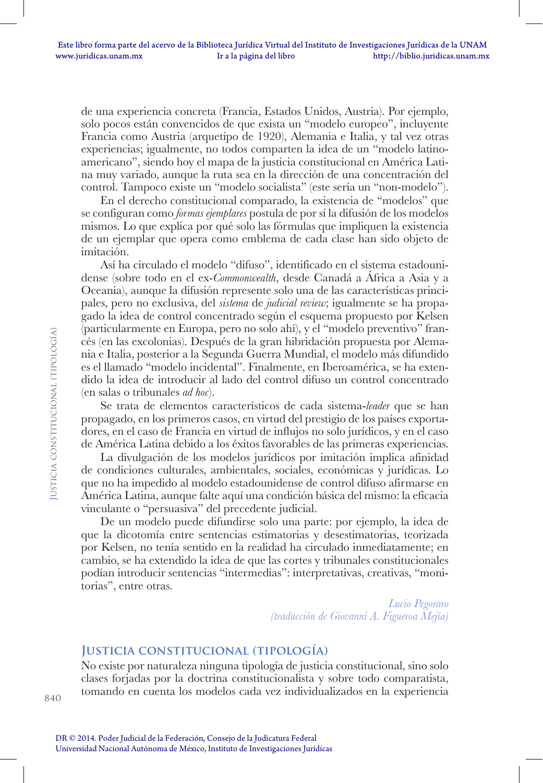de una experiencia concreta (Francia, Estados Unidos, Austria). Por ejemplo, solo pocos están convencidos de que exista un "modelo europeo", incluyente Francia como Austria (arquetipo de 1920), Alemania e Italia, y tal vez otras experiencias; igualmente, no todos comparten la idea de un "modelo latinoamericano", siendo hoy el mapa de la justicia constitucional en América Latina muy variado, aunque la ruta sea en la dirección de una concentración del control. Tampoco existe un "modelo socialista" (este sería un "non-modelo").

En el derecho constitucional comparado, la existencia de "modelos" que se configuran como *formas ejemplares* postula de por sí la difusión de los modelos mismos. Lo que explica por qué solo las fórmulas que impliquen la existencia de un ejemplar que opera como emblema de cada clase han sido objeto de imitación.

Así ha circulado el modelo "difuso", identificado en el sistema estadounidense (sobre todo en el ex-*Commonwealth*, desde Canadá a África a Asia y a Oceanía), aunque la difusión represente solo una de las características principales, pero no exclusiva, del *sistema* de *judicial review*; igualmente se ha propagado la idea de control concentrado según el esquema propuesto por Kelsen (particularmente en Europa, pero no solo ahí), y el "modelo preventivo" francés (en las excolonias). Después de la gran hibridación propuesta por Alemania e Italia, posterior a la Segunda Guerra Mundial, el modelo más difundido es el llamado "modelo incidental". Finalmente, en Iberoamérica, se ha extendido la idea de introducir al lado del control difuso un control concentrado (en salas o tribunales *ad hoc*).

Se trata de elementos característicos de cada sistema-*leader* que se han propagado, en los primeros casos, en virtud del prestigio de los países exportadores, en el caso de Francia en virtud de influjos no solo jurídicos, y en el caso de América Latina debido a los éxitos favorables de las primeras experiencias.

La divulgación de los modelos jurídicos por imitación implica afinidad de condiciones culturales, ambientales, sociales, económicas y jurídicas. Lo que no ha impedido al modelo estadounidense de control difuso afirmarse en América Latina, aunque falte aquí una condición básica del mismo: la eficacia vinculante o "persuasiva" del precedente judicial.

De un modelo puede difundirse solo una parte: por ejemplo, la idea de que la dicotomía entre sentencias estimatorias y desestimatorias, teorizada por Kelsen, no tenía sentido en la realidad ha circulado inmediatamente; en cambio, se ha extendido la idea de que las cortes y tribunales constitucionales podían introducir sentencias "intermedias": interpretativas, creativas, "monitorias", entre otras.

> *Lucio Pegoraro (traducción de Giovanni A. Figueroa Mejía)*

#### **Justicia constitucional (tipología)**

No existe por naturaleza ninguna tipología de justicia constitucional, sino solo clases forjadas por la doctrina constitucionalista y sobre todo comparatista, tomando en cuenta los modelos cada vez individualizados en la experiencia

**J**usticia constitucional (tipología)

USTICIA CONSTITUCIONAL (TIPOLOGÍA)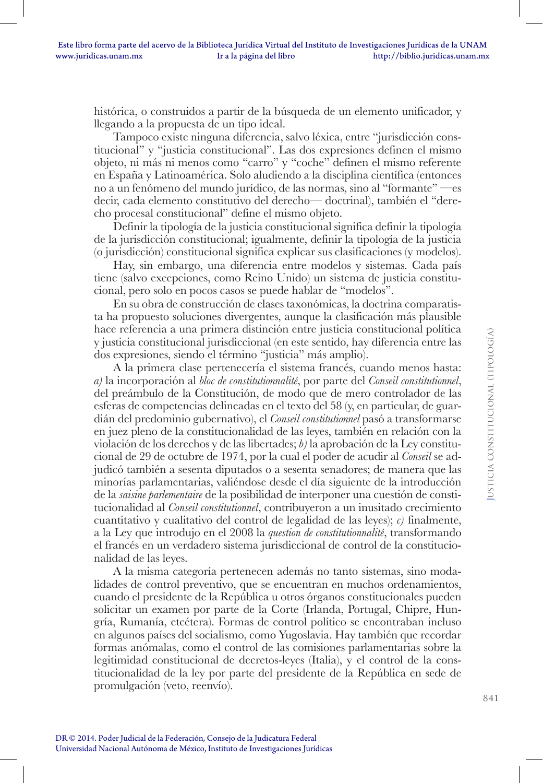histórica, o construidos a partir de la búsqueda de un elemento unificador, y llegando a la propuesta de un tipo ideal.

Tampoco existe ninguna diferencia, salvo léxica, entre "jurisdicción constitucional" y "justicia constitucional". Las dos expresiones definen el mismo objeto, ni más ni menos como "carro" y "coche" definen el mismo referente en España y Latinoamérica. Solo aludiendo a la disciplina científica (entonces no a un fenómeno del mundo jurídico, de las normas, sino al "formante" —es decir, cada elemento constitutivo del derecho— doctrinal), también el "derecho procesal constitucional" define el mismo objeto.

Definir la tipología de la justicia constitucional significa definir la tipología de la jurisdicción constitucional; igualmente, definir la tipología de la justicia (o jurisdicción) constitucional significa explicar sus clasificaciones (y modelos).

Hay, sin embargo, una diferencia entre modelos y sistemas. Cada país tiene (salvo excepciones, como Reino Unido) un sistema de justicia constitucional, pero solo en pocos casos se puede hablar de "modelos".

En su obra de construcción de clases taxonómicas, la doctrina comparatista ha propuesto soluciones divergentes, aunque la clasificación más plausible hace referencia a una primera distinción entre justicia constitucional política y justicia constitucional jurisdiccional (en este sentido, hay diferencia entre las dos expresiones, siendo el término "justicia" más amplio).

A la primera clase pertenecería el sistema francés, cuando menos hasta: *a)* la incorporación al *bloc de constitutionnalité*, por parte del *Conseil constitutionnel*, del preámbulo de la Constitución, de modo que de mero controlador de las esferas de competencias delineadas en el texto del 58 (y, en particular, de guardián del predominio gubernativo), el *Conseil constitutionnel* pasó a transformarse en juez pleno de la constitucionalidad de las leyes, también en relación con la violación de los derechos y de las libertades; *b)* la aprobación de la Ley constitucional de 29 de octubre de 1974, por la cual el poder de acudir al *Conseil* se adjudicó también a sesenta diputados o a sesenta senadores; de manera que las minorías parlamentarias, valiéndose desde el día siguiente de la introducción de la *saisine parlementaire* de la posibilidad de interponer una cuestión de constitucionalidad al *Conseil constitutionnel*, contribuyeron a un inusitado crecimiento cuantitativo y cualitativo del control de legalidad de las leyes); *c)* finalmente, a la Ley que introdujo en el 2008 la *question de constitutionnalité*, transformando el francés en un verdadero sistema jurisdiccional de control de la constitucionalidad de las leyes.

A la misma categoría pertenecen además no tanto sistemas, sino modalidades de control preventivo, que se encuentran en muchos ordenamientos, cuando el presidente de la República u otros órganos constitucionales pueden solicitar un examen por parte de la Corte (Irlanda, Portugal, Chipre, Hungría, Rumanía, etcétera). Formas de control político se encontraban incluso en algunos países del socialismo, como Yugoslavia. Hay también que recordar formas anómalas, como el control de las comisiones parlamentarias sobre la legitimidad constitucional de decretos-leyes (Italia), y el control de la constitucionalidad de la ley por parte del presidente de la República en sede de promulgación (veto, reenvío).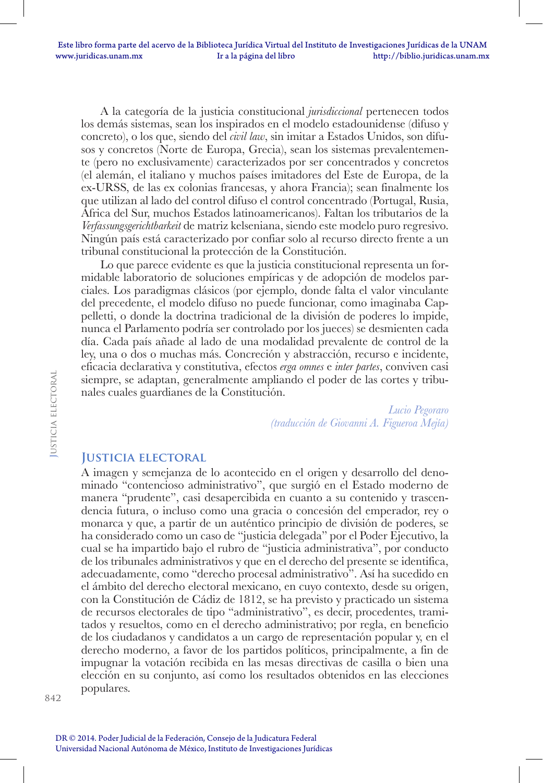A la categoría de la justicia constitucional *jurisdiccional* pertenecen todos los demás sistemas, sean los inspirados en el modelo estadounidense (difuso y concreto), o los que, siendo del *civil law*, sin imitar a Estados Unidos, son difusos y concretos (Norte de Europa, Grecia), sean los sistemas prevalentemente (pero no exclusivamente) caracterizados por ser concentrados y concretos (el alemán, el italiano y muchos países imitadores del Este de Europa, de la ex-URSS, de las ex colonias francesas, y ahora Francia); sean finalmente los que utilizan al lado del control difuso el control concentrado (Portugal, Rusia, África del Sur, muchos Estados latinoamericanos). Faltan los tributarios de la *Verfassungsgerichtbarkeit* de matriz kelseniana, siendo este modelo puro regresivo. Ningún país está caracterizado por confiar solo al recurso directo frente a un tribunal constitucional la protección de la Constitución.

Lo que parece evidente es que la justicia constitucional representa un formidable laboratorio de soluciones empíricas y de adopción de modelos parciales. Los paradigmas clásicos (por ejemplo, donde falta el valor vinculante del precedente, el modelo difuso no puede funcionar, como imaginaba Cappelletti, o donde la doctrina tradicional de la división de poderes lo impide, nunca el Parlamento podría ser controlado por los jueces) se desmienten cada día. Cada país añade al lado de una modalidad prevalente de control de la ley, una o dos o muchas más. Concreción y abstracción, recurso e incidente, eficacia declarativa y constitutiva, efectos *erga omnes* e *inter partes*, conviven casi siempre, se adaptan, generalmente ampliando el poder de las cortes y tribunales cuales guardianes de la Constitución.

> *Lucio Pegoraro (traducción de Giovanni A. Figueroa Mejía)*

## **Justicia electoral**

A imagen y semejanza de lo acontecido en el origen y desarrollo del denominado "contencioso administrativo", que surgió en el Estado moderno de manera "prudente", casi desapercibida en cuanto a su contenido y trascendencia futura, o incluso como una gracia o concesión del emperador, rey o monarca y que, a partir de un auténtico principio de división de poderes, se ha considerado como un caso de "justicia delegada" por el Poder Ejecutivo, la cual se ha impartido bajo el rubro de "justicia administrativa", por conducto de los tribunales administrativos y que en el derecho del presente se identifica, adecuadamente, como "derecho procesal administrativo". Así ha sucedido en el ámbito del derecho electoral mexicano, en cuyo contexto, desde su origen, con la Constitución de Cádiz de 1812, se ha previsto y practicado un sistema de recursos electorales de tipo "administrativo", es decir, procedentes, tramitados y resueltos, como en el derecho administrativo; por regla, en beneficio de los ciudadanos y candidatos a un cargo de representación popular y, en el derecho moderno, a favor de los partidos políticos, principalmente, a fin de impugnar la votación recibida en las mesas directivas de casilla o bien una elección en su conjunto, así como los resultados obtenidos en las elecciones populares.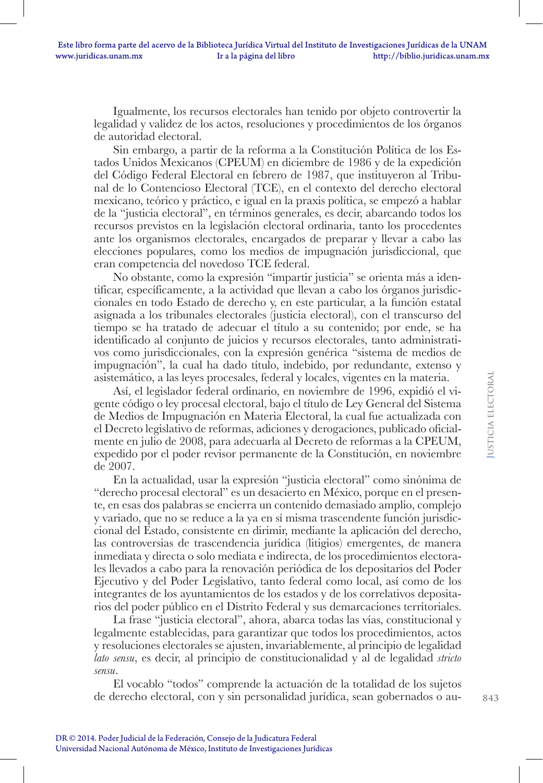Igualmente, los recursos electorales han tenido por objeto controvertir la legalidad y validez de los actos, resoluciones y procedimientos de los órganos de autoridad electoral.

Sin embargo, a partir de la reforma a la Constitución Política de los Estados Unidos Mexicanos (CPEUM) en diciembre de 1986 y de la expedición del Código Federal Electoral en febrero de 1987, que instituyeron al Tribunal de lo Contencioso Electoral (TCE), en el contexto del derecho electoral mexicano, teórico y práctico, e igual en la praxis política, se empezó a hablar de la "justicia electoral", en términos generales, es decir, abarcando todos los recursos previstos en la legislación electoral ordinaria, tanto los procedentes ante los organismos electorales, encargados de preparar y llevar a cabo las elecciones populares, como los medios de impugnación jurisdiccional, que eran competencia del novedoso TCE federal.

No obstante, como la expresión "impartir justicia" se orienta más a identificar, específicamente, a la actividad que llevan a cabo los órganos jurisdiccionales en todo Estado de derecho y, en este particular, a la función estatal asignada a los tribunales electorales (justicia electoral), con el transcurso del tiempo se ha tratado de adecuar el título a su contenido; por ende, se ha identificado al conjunto de juicios y recursos electorales, tanto administrativos como jurisdiccionales, con la expresión genérica "sistema de medios de impugnación", la cual ha dado título, indebido, por redundante, extenso y asistemático, a las leyes procesales, federal y locales, vigentes en la materia.

Así, el legislador federal ordinario, en noviembre de 1996, expidió el vigente código o ley procesal electoral, bajo el título de Ley General del Sistema de Medios de Impugnación en Materia Electoral, la cual fue actualizada con el Decreto legislativo de reformas, adiciones y derogaciones, publicado oficialmente en julio de 2008, para adecuarla al Decreto de reformas a la CPEUM, expedido por el poder revisor permanente de la Constitución, en noviembre de 2007.

En la actualidad, usar la expresión "justicia electoral" como sinónima de "derecho procesal electoral" es un desacierto en México, porque en el presente, en esas dos palabras se encierra un contenido demasiado amplio, complejo y variado, que no se reduce a la ya en sí misma trascendente función jurisdiccional del Estado, consistente en dirimir, mediante la aplicación del derecho, las controversias de trascendencia jurídica (litigios) emergentes, de manera inmediata y directa o solo mediata e indirecta, de los procedimientos electorales llevados a cabo para la renovación periódica de los depositarios del Poder Ejecutivo y del Poder Legislativo, tanto federal como local, así como de los integrantes de los ayuntamientos de los estados y de los correlativos depositarios del poder público en el Distrito Federal y sus demarcaciones territoriales.

La frase "justicia electoral", ahora, abarca todas las vías, constitucional y legalmente establecidas, para garantizar que todos los procedimientos, actos y resoluciones electorales se ajusten, invariablemente, al principio de legalidad *lato sensu*, es decir, al principio de constitucionalidad y al de legalidad *stricto sensu*.

El vocablo "todos" comprende la actuación de la totalidad de los sujetos de derecho electoral, con y sin personalidad jurídica, sean gobernados o au-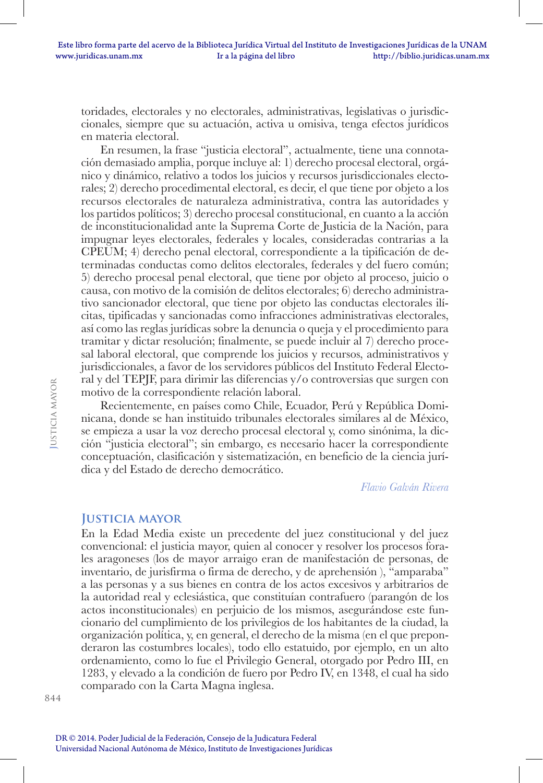toridades, electorales y no electorales, administrativas, legislativas o jurisdiccionales, siempre que su actuación, activa u omisiva, tenga efectos jurídicos en materia electoral.

En resumen, la frase "justicia electoral", actualmente, tiene una connotación demasiado amplia, porque incluye al: 1) derecho procesal electoral, orgánico y dinámico, relativo a todos los juicios y recursos jurisdiccionales electorales; 2) derecho procedimental electoral, es decir, el que tiene por objeto a los recursos electorales de naturaleza administrativa, contra las autoridades y los partidos políticos; 3) derecho procesal constitucional, en cuanto a la acción de inconstitucionalidad ante la Suprema Corte de Justicia de la Nación, para impugnar leyes electorales, federales y locales, consideradas contrarias a la CPEUM; 4) derecho penal electoral, correspondiente a la tipificación de determinadas conductas como delitos electorales, federales y del fuero común; 5) derecho procesal penal electoral, que tiene por objeto al proceso, juicio o causa, con motivo de la comisión de delitos electorales; 6) derecho administrativo sancionador electoral, que tiene por objeto las conductas electorales ilícitas, tipificadas y sancionadas como infracciones administrativas electorales, así como las reglas jurídicas sobre la denuncia o queja y el procedimiento para tramitar y dictar resolución; finalmente, se puede incluir al 7) derecho procesal laboral electoral, que comprende los juicios y recursos, administrativos y jurisdiccionales, a favor de los servidores públicos del Instituto Federal Electoral y del TEPJF, para dirimir las diferencias y/o controversias que surgen con motivo de la correspondiente relación laboral.

Recientemente, en países como Chile, Ecuador, Perú y República Dominicana, donde se han instituido tribunales electorales similares al de México, se empieza a usar la voz derecho procesal electoral y, como sinónima, la dicción "justicia electoral"; sin embargo, es necesario hacer la correspondiente conceptuación, clasificación y sistematización, en beneficio de la ciencia jurídica y del Estado de derecho democrático.

*Flavio Galván Rivera*

## **Justicia mayor**

En la Edad Media existe un precedente del juez constitucional y del juez convencional: el justicia mayor, quien al conocer y resolver los procesos forales aragoneses (los de mayor arraigo eran de manifestación de personas, de inventario, de jurisfirma o firma de derecho, y de aprehensión ), "amparaba" a las personas y a sus bienes en contra de los actos excesivos y arbitrarios de la autoridad real y eclesiástica, que constituían contrafuero (parangón de los actos inconstitucionales) en perjuicio de los mismos, asegurándose este funcionario del cumplimiento de los privilegios de los habitantes de la ciudad, la organización política, y, en general, el derecho de la misma (en el que preponderaron las costumbres locales), todo ello estatuido, por ejemplo, en un alto ordenamiento, como lo fue el Privilegio General, otorgado por Pedro III, en 1283, y elevado a la condición de fuero por Pedro IV, en 1348, el cual ha sido comparado con la Carta Magna inglesa.

DR © 2014. Poder Judicial de la Federación, Consejo de la Judicatura Federal Universidad Nacional Autónoma de México, Instituto de Investigaciones Jurídicas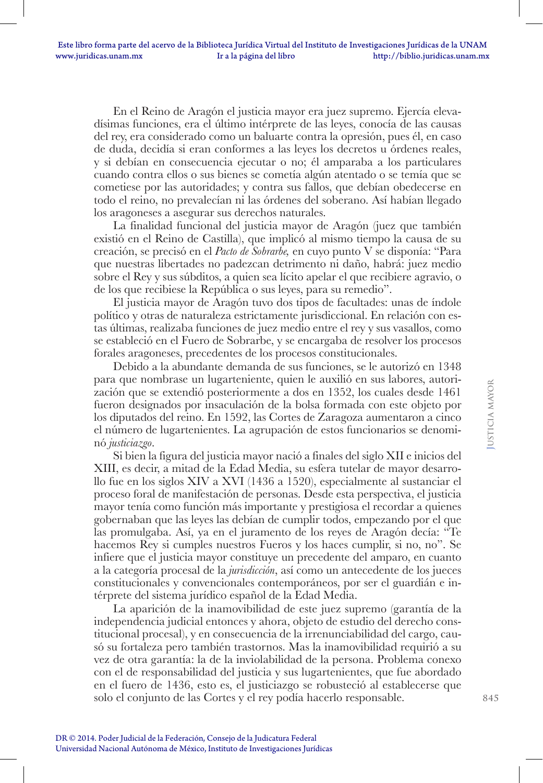En el Reino de Aragón el justicia mayor era juez supremo. Ejercía elevadísimas funciones, era el último intérprete de las leyes, conocía de las causas del rey, era considerado como un baluarte contra la opresión, pues él, en caso de duda, decidía si eran conformes a las leyes los decretos u órdenes reales, y si debían en consecuencia ejecutar o no; él amparaba a los particulares cuando contra ellos o sus bienes se cometía algún atentado o se temía que se cometiese por las autoridades; y contra sus fallos, que debían obedecerse en todo el reino, no prevalecían ni las órdenes del soberano. Así habían llegado los aragoneses a asegurar sus derechos naturales.

La finalidad funcional del justicia mayor de Aragón (juez que también existió en el Reino de Castilla), que implicó al mismo tiempo la causa de su creación, se precisó en el *Pacto de Sobrarbe,* en cuyo punto V se disponía: "Para que nuestras libertades no padezcan detrimento ni daño, habrá: juez medio sobre el Rey y sus súbditos, a quien sea lícito apelar el que recibiere agravio, o de los que recibiese la República o sus leyes, para su remedio".

El justicia mayor de Aragón tuvo dos tipos de facultades: unas de índole político y otras de naturaleza estrictamente jurisdiccional. En relación con estas últimas, realizaba funciones de juez medio entre el rey y sus vasallos, como se estableció en el Fuero de Sobrarbe, y se encargaba de resolver los procesos forales aragoneses, precedentes de los procesos constitucionales.

Debido a la abundante demanda de sus funciones, se le autorizó en 1348 para que nombrase un lugarteniente, quien le auxilió en sus labores, autorización que se extendió posteriormente a dos en 1352, los cuales desde 1461 fueron designados por insaculación de la bolsa formada con este objeto por los diputados del reino. En 1592, las Cortes de Zaragoza aumentaron a cinco el número de lugartenientes. La agrupación de estos funcionarios se denominó *justiciazgo*.

Si bien la figura del justicia mayor nació a finales del siglo XII e inicios del XIII, es decir, a mitad de la Edad Media, su esfera tutelar de mayor desarrollo fue en los siglos XIV a XVI (1436 a 1520), especialmente al sustanciar el proceso foral de manifestación de personas. Desde esta perspectiva, el justicia mayor tenía como función más importante y prestigiosa el recordar a quienes gobernaban que las leyes las debían de cumplir todos, empezando por el que las promulgaba. Así, ya en el juramento de los reyes de Aragón decía: "Te hacemos Rey si cumples nuestros Fueros y los haces cumplir, si no, no". Se infiere que el justicia mayor constituye un precedente del amparo, en cuanto a la categoría procesal de la *jurisdicción*, así como un antecedente de los jueces constitucionales y convencionales contemporáneos, por ser el guardián e intérprete del sistema jurídico español de la Edad Media.

La aparición de la inamovibilidad de este juez supremo (garantía de la independencia judicial entonces y ahora, objeto de estudio del derecho constitucional procesal), y en consecuencia de la irrenunciabilidad del cargo, causó su fortaleza pero también trastornos. Mas la inamovibilidad requirió a su vez de otra garantía: la de la inviolabilidad de la persona. Problema conexo con el de responsabilidad del justicia y sus lugartenientes, que fue abordado en el fuero de 1436, esto es, el justiciazgo se robusteció al establecerse que solo el conjunto de las Cortes y el rey podía hacerlo responsable.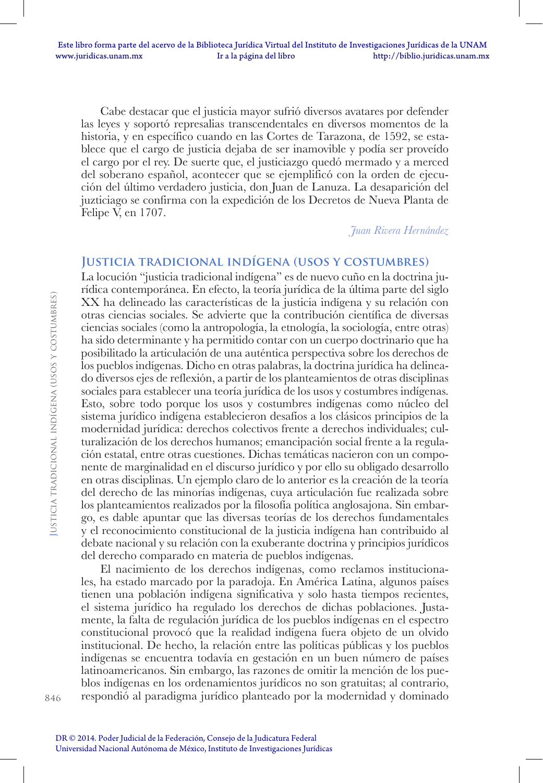Cabe destacar que el justicia mayor sufrió diversos avatares por defender las leyes y soportó represalias transcendentales en diversos momentos de la historia, y en específico cuando en las Cortes de Tarazona, de 1592, se establece que el cargo de justicia dejaba de ser inamovible y podía ser proveído el cargo por el rey. De suerte que, el justiciazgo quedó mermado y a merced del soberano español, acontecer que se ejemplificó con la orden de ejecución del último verdadero justicia, don Juan de Lanuza. La desaparición del juzticiago se confirma con la expedición de los Decretos de Nueva Planta de Felipe V, en 1707.

*Juan Rivera Hernández*

## **Justicia tradicional indígena (usos y costumbres)**

La locución "justicia tradicional indígena" es de nuevo cuño en la doctrina jurídica contemporánea. En efecto, la teoría jurídica de la última parte del siglo XX ha delineado las características de la justicia indígena y su relación con otras ciencias sociales. Se advierte que la contribución científica de diversas ciencias sociales (como la antropología, la etnología, la sociología, entre otras) ha sido determinante y ha permitido contar con un cuerpo doctrinario que ha posibilitado la articulación de una auténtica perspectiva sobre los derechos de los pueblos indígenas. Dicho en otras palabras, la doctrina jurídica ha delineado diversos ejes de reflexión, a partir de los planteamientos de otras disciplinas sociales para establecer una teoría jurídica de los usos y costumbres indígenas. Esto, sobre todo porque los usos y costumbres indígenas como núcleo del sistema jurídico indígena establecieron desafíos a los clásicos principios de la modernidad jurídica: derechos colectivos frente a derechos individuales; culturalización de los derechos humanos; emancipación social frente a la regulación estatal, entre otras cuestiones. Dichas temáticas nacieron con un componente de marginalidad en el discurso jurídico y por ello su obligado desarrollo en otras disciplinas. Un ejemplo claro de lo anterior es la creación de la teoría del derecho de las minorías indígenas, cuya articulación fue realizada sobre los planteamientos realizados por la filosofía política anglosajona. Sin embargo, es dable apuntar que las diversas teorías de los derechos fundamentales y el reconocimiento constitucional de la justicia indígena han contribuido al debate nacional y su relación con la exuberante doctrina y principios jurídicos del derecho comparado en materia de pueblos indígenas.

El nacimiento de los derechos indígenas, como reclamos institucionales, ha estado marcado por la paradoja. En América Latina, algunos países tienen una población indígena significativa y solo hasta tiempos recientes, el sistema jurídico ha regulado los derechos de dichas poblaciones. Justamente, la falta de regulación jurídica de los pueblos indígenas en el espectro constitucional provocó que la realidad indígena fuera objeto de un olvido institucional. De hecho, la relación entre las políticas públicas y los pueblos indígenas se encuentra todavía en gestación en un buen número de países latinoamericanos. Sin embargo, las razones de omitir la mención de los pueblos indígenas en los ordenamientos jurídicos no son gratuitas; al contrario, respondió al paradigma jurídico planteado por la modernidad y dominado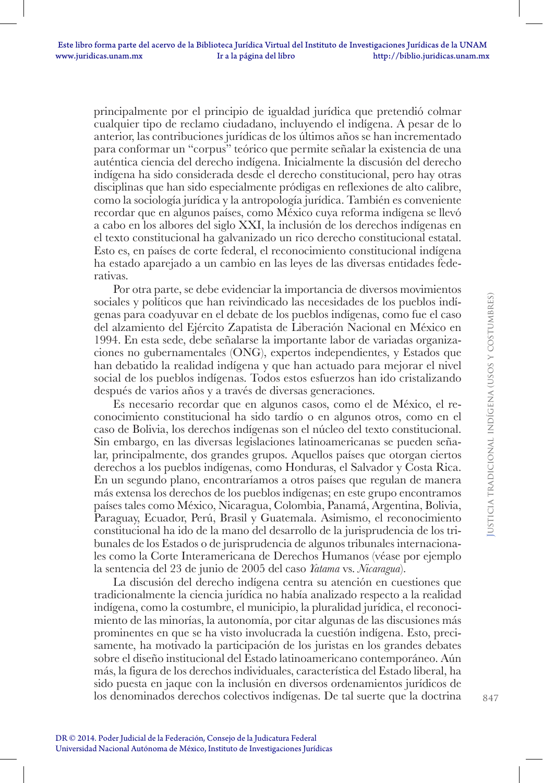principalmente por el principio de igualdad jurídica que pretendió colmar cualquier tipo de reclamo ciudadano, incluyendo el indígena. A pesar de lo anterior, las contribuciones jurídicas de los últimos años se han incrementado para conformar un "corpus" teórico que permite señalar la existencia de una auténtica ciencia del derecho indígena. Inicialmente la discusión del derecho indígena ha sido considerada desde el derecho constitucional, pero hay otras disciplinas que han sido especialmente pródigas en reflexiones de alto calibre, como la sociología jurídica y la antropología jurídica. También es conveniente recordar que en algunos países, como México cuya reforma indígena se llevó a cabo en los albores del siglo XXI, la inclusión de los derechos indígenas en el texto constitucional ha galvanizado un rico derecho constitucional estatal. Esto es, en países de corte federal, el reconocimiento constitucional indígena ha estado aparejado a un cambio en las leyes de las diversas entidades federativas.

Por otra parte, se debe evidenciar la importancia de diversos movimientos sociales y políticos que han reivindicado las necesidades de los pueblos indígenas para coadyuvar en el debate de los pueblos indígenas, como fue el caso del alzamiento del Ejército Zapatista de Liberación Nacional en México en 1994. En esta sede, debe señalarse la importante labor de variadas organizaciones no gubernamentales (ONG), expertos independientes, y Estados que han debatido la realidad indígena y que han actuado para mejorar el nivel social de los pueblos indígenas. Todos estos esfuerzos han ido cristalizando después de varios años y a través de diversas generaciones.

Es necesario recordar que en algunos casos, como el de México, el reconocimiento constitucional ha sido tardío o en algunos otros, como en el caso de Bolivia, los derechos indígenas son el núcleo del texto constitucional. Sin embargo, en las diversas legislaciones latinoamericanas se pueden señalar, principalmente, dos grandes grupos. Aquellos países que otorgan ciertos derechos a los pueblos indígenas, como Honduras, el Salvador y Costa Rica. En un segundo plano, encontraríamos a otros países que regulan de manera más extensa los derechos de los pueblos indígenas; en este grupo encontramos países tales como México, Nicaragua, Colombia, Panamá, Argentina, Bolivia, Paraguay, Ecuador, Perú, Brasil y Guatemala. Asimismo, el reconocimiento constitucional ha ido de la mano del desarrollo de la jurisprudencia de los tribunales de los Estados o de jurisprudencia de algunos tribunales internacionales como la Corte Interamericana de Derechos Humanos (véase por ejemplo la sentencia del 23 de junio de 2005 del caso *Yatama* vs. *Nicaragua*).

La discusión del derecho indígena centra su atención en cuestiones que tradicionalmente la ciencia jurídica no había analizado respecto a la realidad indígena, como la costumbre, el municipio, la pluralidad jurídica, el reconocimiento de las minorías, la autonomía, por citar algunas de las discusiones más prominentes en que se ha visto involucrada la cuestión indígena. Esto, precisamente, ha motivado la participación de los juristas en los grandes debates sobre el diseño institucional del Estado latinoamericano contemporáneo. Aún más, la figura de los derechos individuales, característica del Estado liberal, ha sido puesta en jaque con la inclusión en diversos ordenamientos jurídicos de los denominados derechos colectivos indígenas. De tal suerte que la doctrina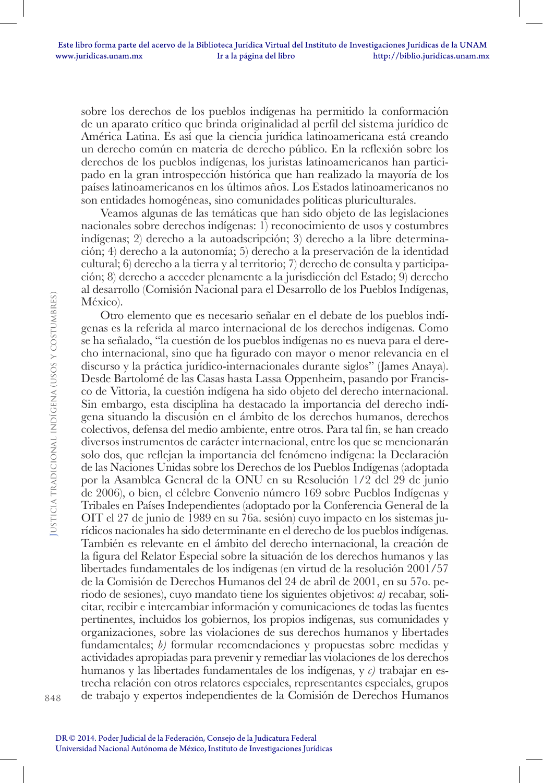sobre los derechos de los pueblos indígenas ha permitido la conformación de un aparato crítico que brinda originalidad al perfil del sistema jurídico de América Latina. Es así que la ciencia jurídica latinoamericana está creando un derecho común en materia de derecho público. En la reflexión sobre los derechos de los pueblos indígenas, los juristas latinoamericanos han participado en la gran introspección histórica que han realizado la mayoría de los países latinoamericanos en los últimos años. Los Estados latinoamericanos no son entidades homogéneas, sino comunidades políticas pluriculturales.

Veamos algunas de las temáticas que han sido objeto de las legislaciones nacionales sobre derechos indígenas: 1) reconocimiento de usos y costumbres indígenas; 2) derecho a la autoadscripción; 3) derecho a la libre determinación; 4) derecho a la autonomía; 5) derecho a la preservación de la identidad cultural; 6) derecho a la tierra y al territorio; 7) derecho de consulta y participación; 8) derecho a acceder plenamente a la jurisdicción del Estado; 9) derecho al desarrollo (Comisión Nacional para el Desarrollo de los Pueblos Indígenas, México).

Otro elemento que es necesario señalar en el debate de los pueblos indígenas es la referida al marco internacional de los derechos indígenas. Como se ha señalado, "la cuestión de los pueblos indígenas no es nueva para el derecho internacional, sino que ha figurado con mayor o menor relevancia en el discurso y la práctica jurídico-internacionales durante siglos" (James Anaya). Desde Bartolomé de las Casas hasta Lassa Oppenheim, pasando por Francisco de Vittoria, la cuestión indígena ha sido objeto del derecho internacional. Sin embargo, esta disciplina ha destacado la importancia del derecho indígena situando la discusión en el ámbito de los derechos humanos, derechos colectivos, defensa del medio ambiente, entre otros. Para tal fin, se han creado diversos instrumentos de carácter internacional, entre los que se mencionarán solo dos, que reflejan la importancia del fenómeno indígena: la Declaración de las Naciones Unidas sobre los Derechos de los Pueblos Indígenas (adoptada por la Asamblea General de la ONU en su Resolución 1/2 del 29 de junio de 2006), o bien, el célebre Convenio número 169 sobre Pueblos Indígenas y Tribales en Países Independientes (adoptado por la Conferencia General de la OIT el 27 de junio de 1989 en su 76a. sesión) cuyo impacto en los sistemas jurídicos nacionales ha sido determinante en el derecho de los pueblos indígenas. También es relevante en el ámbito del derecho internacional, la creación de la figura del Relator Especial sobre la situación de los derechos humanos y las libertades fundamentales de los indígenas (en virtud de la resolución 2001/57 de la Comisión de Derechos Humanos del 24 de abril de 2001, en su 57o. periodo de sesiones), cuyo mandato tiene los siguientes objetivos: *a)* recabar, solicitar, recibir e intercambiar información y comunicaciones de todas las fuentes pertinentes, incluidos los gobiernos, los propios indígenas, sus comunidades y organizaciones, sobre las violaciones de sus derechos humanos y libertades fundamentales; *b)* formular recomendaciones y propuestas sobre medidas y actividades apropiadas para prevenir y remediar las violaciones de los derechos humanos y las libertades fundamentales de los indígenas, y *c)* trabajar en estrecha relación con otros relatores especiales, representantes especiales, grupos de trabajo y expertos independientes de la Comisión de Derechos Humanos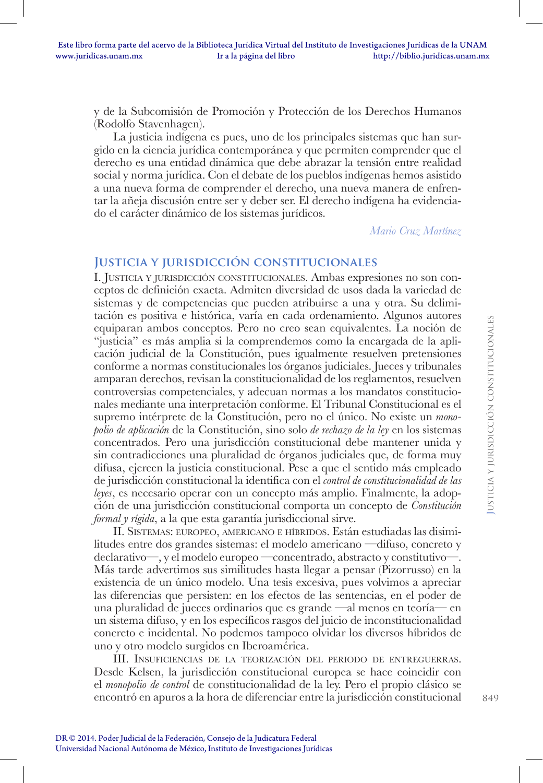y de la Subcomisión de Promoción y Protección de los Derechos Humanos (Rodolfo Stavenhagen).

La justicia indígena es pues, uno de los principales sistemas que han surgido en la ciencia jurídica contemporánea y que permiten comprender que el derecho es una entidad dinámica que debe abrazar la tensión entre realidad social y norma jurídica. Con el debate de los pueblos indígenas hemos asistido a una nueva forma de comprender el derecho, una nueva manera de enfrentar la añeja discusión entre ser y deber ser. El derecho indígena ha evidenciado el carácter dinámico de los sistemas jurídicos.

*Mario Cruz Martínez*

## **Justicia y jurisdicción constitucionales**

I. Justicia <sup>y</sup> jurisdicción constitucionales. Ambas expresiones no son conceptos de definición exacta. Admiten diversidad de usos dada la variedad de sistemas y de competencias que pueden atribuirse a una y otra. Su delimitación es positiva e histórica, varía en cada ordenamiento. Algunos autores equiparan ambos conceptos. Pero no creo sean equivalentes. La noción de "justicia" es más amplia si la comprendemos como la encargada de la aplicación judicial de la Constitución, pues igualmente resuelven pretensiones conforme a normas constitucionales los órganos judiciales. Jueces y tribunales amparan derechos, revisan la constitucionalidad de los reglamentos, resuelven controversias competenciales, y adecuan normas a los mandatos constitucionales mediante una interpretación conforme. El Tribunal Constitucional es el supremo intérprete de la Constitución, pero no el único. No existe un *monopolio de aplicación* de la Constitución, sino solo *de rechazo de la ley* en los sistemas concentrados. Pero una jurisdicción constitucional debe mantener unida y sin contradicciones una pluralidad de órganos judiciales que, de forma muy difusa, ejercen la justicia constitucional. Pese a que el sentido más empleado de jurisdicción constitucional la identifica con el *control de constitucionalidad de las leyes*, es necesario operar con un concepto más amplio. Finalmente, la adopción de una jurisdicción constitucional comporta un concepto de *Constitución formal y rígida*, a la que esta garantía jurisdiccional sirve.

II. Sistemas: europeo, americano <sup>e</sup> híbridos. Están estudiadas las disimilitudes entre dos grandes sistemas: el modelo americano —difuso, concreto y declarativo—, y el modelo europeo —concentrado, abstracto y constitutivo—. Más tarde advertimos sus similitudes hasta llegar a pensar (Pizorrusso) en la existencia de un único modelo. Una tesis excesiva, pues volvimos a apreciar las diferencias que persisten: en los efectos de las sentencias, en el poder de una pluralidad de jueces ordinarios que es grande —al menos en teoría— en un sistema difuso, y en los específicos rasgos del juicio de inconstitucionalidad concreto e incidental. No podemos tampoco olvidar los diversos híbridos de uno y otro modelo surgidos en Iberoamérica.

III. Insuficiencias de la teorización del periodo de entreguerras. Desde Kelsen, la jurisdicción constitucional europea se hace coincidir con el *monopolio de control* de constitucionalidad de la ley. Pero el propio clásico se encontró en apuros a la hora de diferenciar entre la jurisdicción constitucional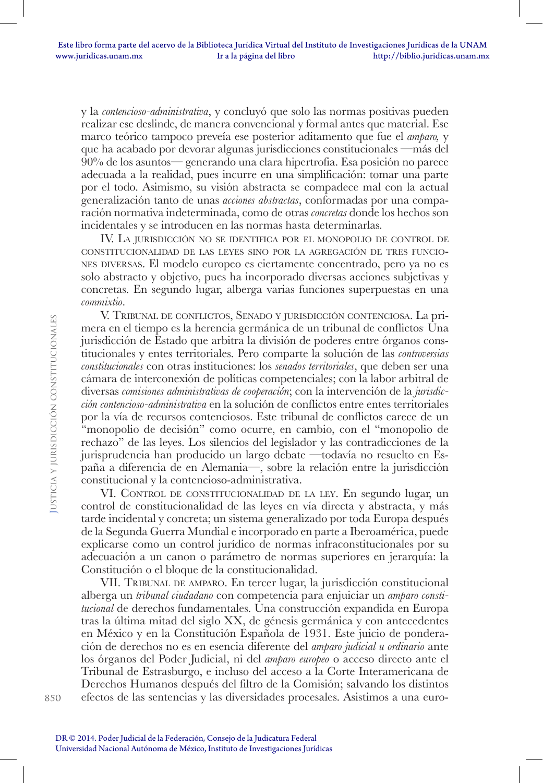y la *contencioso-administrativa*, y concluyó que solo las normas positivas pueden realizar ese deslinde, de manera convencional y formal antes que material. Ese marco teórico tampoco preveía ese posterior aditamento que fue el *amparo,* y que ha acabado por devorar algunas jurisdicciones constitucionales —más del 90% de los asuntos— generando una clara hipertrofia. Esa posición no parece adecuada a la realidad, pues incurre en una simplificación: tomar una parte por el todo. Asimismo, su visión abstracta se compadece mal con la actual generalización tanto de unas *acciones abstractas*, conformadas por una comparación normativa indeterminada, como de otras *concretas* donde los hechos son incidentales y se introducen en las normas hasta determinarlas.

IV. La jurisdicción no se identifica por el monopolio de control de constitucionalidad de las leyes sino por la agregación de tres funciones diversas. El modelo europeo es ciertamente concentrado, pero ya no es solo abstracto y objetivo, pues ha incorporado diversas acciones subjetivas y concretas. En segundo lugar, alberga varias funciones superpuestas en una *commixtio*.

V. Tribunal de conflictos, Senado <sup>y</sup> jurisdicción contenciosa. La primera en el tiempo es la herencia germánica de un tribunal de conflictos. Una jurisdicción de Estado que arbitra la división de poderes entre órganos constitucionales y entes territoriales. Pero comparte la solución de las *controversias constitucionales* con otras instituciones: los *senados territoriales*, que deben ser una cámara de interconexión de políticas competenciales; con la labor arbitral de diversas *comisiones administrativas de cooperación*; con la intervención de la *jurisdicción contencioso-administrativa* en la solución de conflictos entre entes territoriales por la vía de recursos contenciosos. Este tribunal de conflictos carece de un "monopolio de decisión" como ocurre, en cambio, con el "monopolio de rechazo" de las leyes. Los silencios del legislador y las contradicciones de la jurisprudencia han producido un largo debate —todavía no resuelto en España a diferencia de en Alemania—, sobre la relación entre la jurisdicción constitucional y la contencioso-administrativa.

VI. Control de constitucionalidad de la ley. En segundo lugar, un control de constitucionalidad de las leyes en vía directa y abstracta, y más tarde incidental y concreta; un sistema generalizado por toda Europa después de la Segunda Guerra Mundial e incorporado en parte a Iberoamérica, puede explicarse como un control jurídico de normas infraconstitucionales por su adecuación a un canon o parámetro de normas superiores en jerarquía: la Constitución o el bloque de la constitucionalidad.

VII. TRIBUNAL DE AMPARO. En tercer lugar, la jurisdicción constitucional alberga un *tribunal ciudadano* con competencia para enjuiciar un *amparo constitucional* de derechos fundamentales. Una construcción expandida en Europa tras la última mitad del siglo XX, de génesis germánica y con antecedentes en México y en la Constitución Española de 1931. Este juicio de ponderación de derechos no es en esencia diferente del *amparo judicial u ordinario* ante los órganos del Poder Judicial, ni del *amparo europeo* o acceso directo ante el Tribunal de Estrasburgo, e incluso del acceso a la Corte Interamericana de Derechos Humanos después del filtro de la Comisión; salvando los distintos efectos de las sentencias y las diversidades procesales. Asistimos a una euro